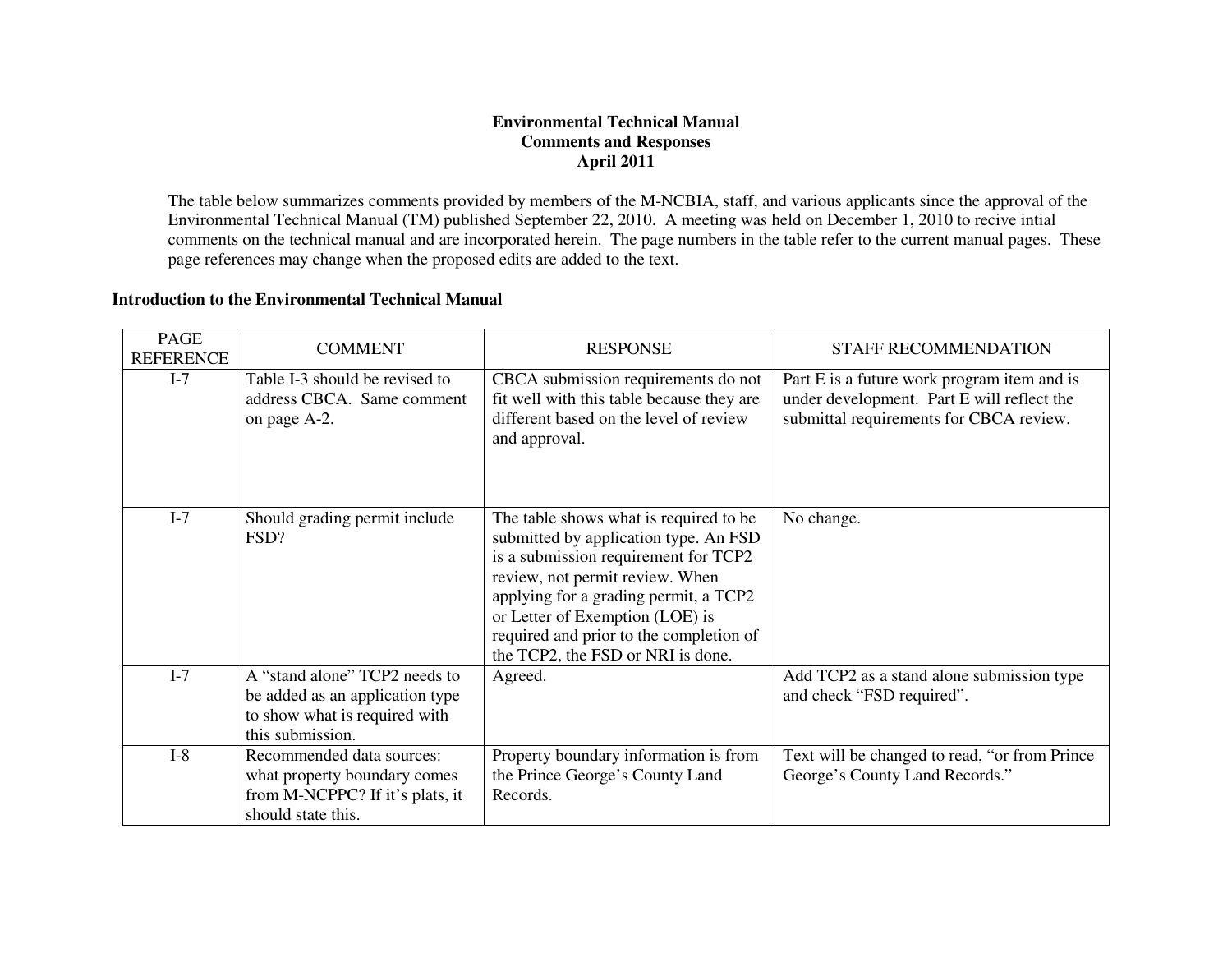#### **Environmental Technical Manual Comments and Responses April 2011**

The table below summarizes comments provided by members of the M-NCBIA, staff, and various applicants since the approval of the Environmental Technical Manual (TM) published September 22, 2010. A meeting was held on December 1, 2010 to recive intial comments on the technical manual and are incorporated herein. The page numbers in the table refer to the current manual pages. These page references may change when the proposed edits are added to the text.

#### **Introduction to the Environmental Technical Manual**

| <b>PAGE</b><br><b>REFERENCE</b> | <b>COMMENT</b>                                                                                                        | <b>RESPONSE</b>                                                                                                                                                                                                                                                                                                        | <b>STAFF RECOMMENDATION</b>                                                                                                          |
|---------------------------------|-----------------------------------------------------------------------------------------------------------------------|------------------------------------------------------------------------------------------------------------------------------------------------------------------------------------------------------------------------------------------------------------------------------------------------------------------------|--------------------------------------------------------------------------------------------------------------------------------------|
| $I-7$                           | Table I-3 should be revised to<br>address CBCA. Same comment<br>on page A-2.                                          | CBCA submission requirements do not<br>fit well with this table because they are<br>different based on the level of review<br>and approval.                                                                                                                                                                            | Part E is a future work program item and is<br>under development. Part E will reflect the<br>submittal requirements for CBCA review. |
| $I-7$                           | Should grading permit include<br>FSD?                                                                                 | The table shows what is required to be<br>submitted by application type. An FSD<br>is a submission requirement for TCP2<br>review, not permit review. When<br>applying for a grading permit, a TCP2<br>or Letter of Exemption (LOE) is<br>required and prior to the completion of<br>the TCP2, the FSD or NRI is done. | No change.                                                                                                                           |
| $I-7$                           | A "stand alone" TCP2 needs to<br>be added as an application type<br>to show what is required with<br>this submission. | Agreed.                                                                                                                                                                                                                                                                                                                | Add TCP2 as a stand alone submission type<br>and check "FSD required".                                                               |
| $I-8$                           | Recommended data sources:<br>what property boundary comes<br>from M-NCPPC? If it's plats, it<br>should state this.    | Property boundary information is from<br>the Prince George's County Land<br>Records.                                                                                                                                                                                                                                   | Text will be changed to read, "or from Prince"<br>George's County Land Records."                                                     |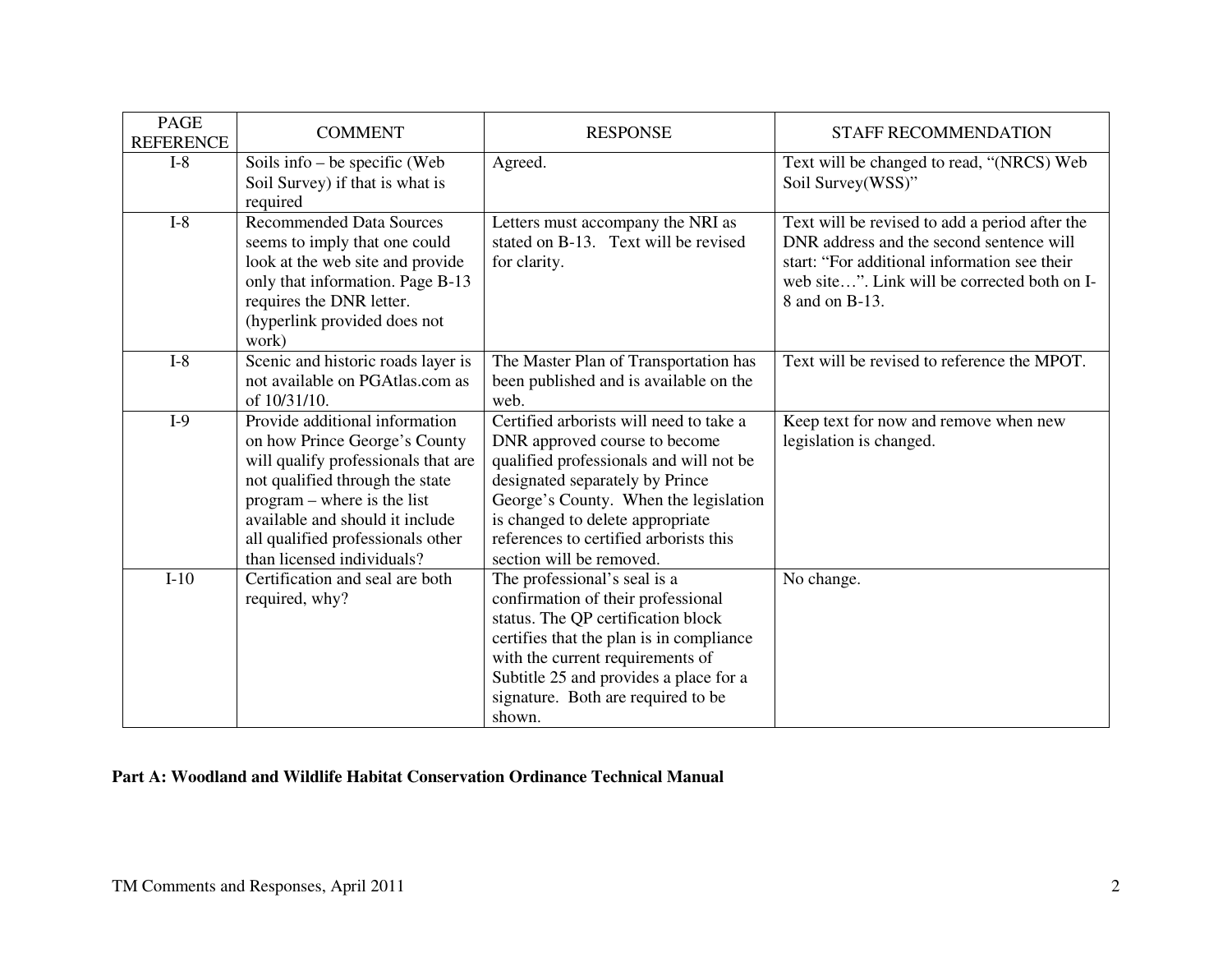| <b>PAGE</b><br><b>REFERENCE</b> | <b>COMMENT</b>                                                                                                                                                                                                                                                                 | <b>RESPONSE</b>                                                                                                                                                                                                                                                                                           | STAFF RECOMMENDATION                                                                                                                                                                                         |
|---------------------------------|--------------------------------------------------------------------------------------------------------------------------------------------------------------------------------------------------------------------------------------------------------------------------------|-----------------------------------------------------------------------------------------------------------------------------------------------------------------------------------------------------------------------------------------------------------------------------------------------------------|--------------------------------------------------------------------------------------------------------------------------------------------------------------------------------------------------------------|
| $I-8$                           | Soils info – be specific (Web<br>Soil Survey) if that is what is<br>required                                                                                                                                                                                                   | Agreed.                                                                                                                                                                                                                                                                                                   | Text will be changed to read, "(NRCS) Web<br>Soil Survey(WSS)"                                                                                                                                               |
| $I-8$                           | <b>Recommended Data Sources</b><br>seems to imply that one could<br>look at the web site and provide<br>only that information. Page B-13<br>requires the DNR letter.<br>(hyperlink provided does not<br>work)                                                                  | Letters must accompany the NRI as<br>stated on B-13. Text will be revised<br>for clarity.                                                                                                                                                                                                                 | Text will be revised to add a period after the<br>DNR address and the second sentence will<br>start: "For additional information see their<br>web site". Link will be corrected both on I-<br>8 and on B-13. |
| $I-8$                           | Scenic and historic roads layer is<br>not available on PGAtlas.com as<br>of 10/31/10.                                                                                                                                                                                          | The Master Plan of Transportation has<br>been published and is available on the<br>web.                                                                                                                                                                                                                   | Text will be revised to reference the MPOT.                                                                                                                                                                  |
| $I-9$                           | Provide additional information<br>on how Prince George's County<br>will qualify professionals that are<br>not qualified through the state<br>program – where is the list<br>available and should it include<br>all qualified professionals other<br>than licensed individuals? | Certified arborists will need to take a<br>DNR approved course to become<br>qualified professionals and will not be<br>designated separately by Prince<br>George's County. When the legislation<br>is changed to delete appropriate<br>references to certified arborists this<br>section will be removed. | Keep text for now and remove when new<br>legislation is changed.                                                                                                                                             |
| $I-10$                          | Certification and seal are both<br>required, why?                                                                                                                                                                                                                              | The professional's seal is a<br>confirmation of their professional<br>status. The QP certification block<br>certifies that the plan is in compliance<br>with the current requirements of<br>Subtitle 25 and provides a place for a<br>signature. Both are required to be<br>shown.                        | No change.                                                                                                                                                                                                   |

#### **Part A: Woodland and Wildlife Habitat Conservation Ordinance Technical Manual**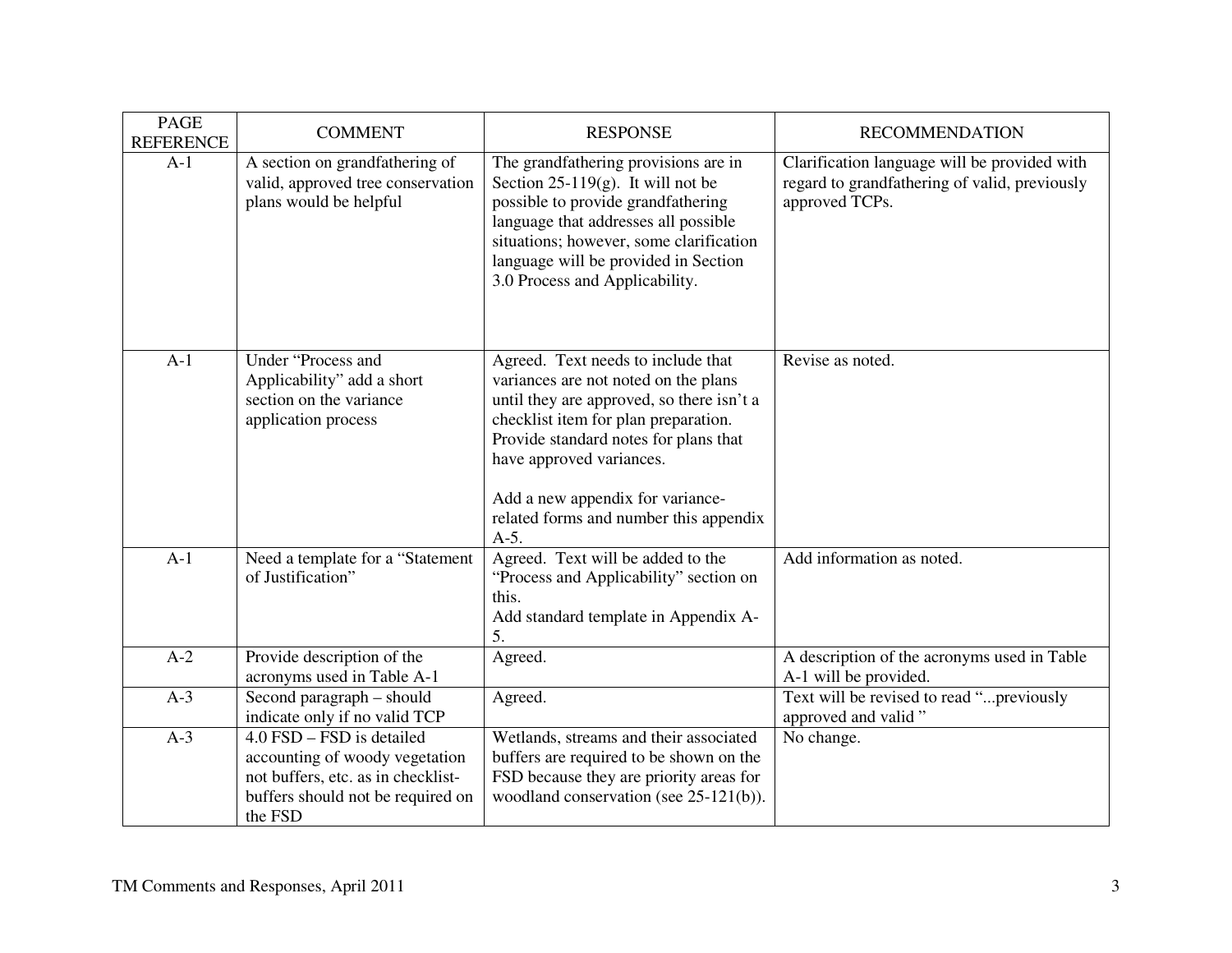| <b>PAGE</b><br><b>REFERENCE</b> | <b>COMMENT</b>                                                                                                                                    | <b>RESPONSE</b>                                                                                                                                                                                                                                                                                                              | <b>RECOMMENDATION</b>                                                                                           |
|---------------------------------|---------------------------------------------------------------------------------------------------------------------------------------------------|------------------------------------------------------------------------------------------------------------------------------------------------------------------------------------------------------------------------------------------------------------------------------------------------------------------------------|-----------------------------------------------------------------------------------------------------------------|
| $A-1$                           | A section on grandfathering of<br>valid, approved tree conservation<br>plans would be helpful                                                     | The grandfathering provisions are in<br>Section $25-119(g)$ . It will not be<br>possible to provide grandfathering<br>language that addresses all possible<br>situations; however, some clarification<br>language will be provided in Section<br>3.0 Process and Applicability.                                              | Clarification language will be provided with<br>regard to grandfathering of valid, previously<br>approved TCPs. |
| $A-1$                           | Under "Process and<br>Applicability" add a short<br>section on the variance<br>application process                                                | Agreed. Text needs to include that<br>variances are not noted on the plans<br>until they are approved, so there isn't a<br>checklist item for plan preparation.<br>Provide standard notes for plans that<br>have approved variances.<br>Add a new appendix for variance-<br>related forms and number this appendix<br>$A-5.$ | Revise as noted.                                                                                                |
| $A-1$                           | Need a template for a "Statement<br>of Justification"                                                                                             | Agreed. Text will be added to the<br>"Process and Applicability" section on<br>this.<br>Add standard template in Appendix A-<br>5.                                                                                                                                                                                           | Add information as noted.                                                                                       |
| $A-2$                           | Provide description of the<br>acronyms used in Table A-1                                                                                          | Agreed.                                                                                                                                                                                                                                                                                                                      | A description of the acronyms used in Table<br>A-1 will be provided.                                            |
| $A-3$                           | Second paragraph - should<br>indicate only if no valid TCP                                                                                        | Agreed.                                                                                                                                                                                                                                                                                                                      | Text will be revised to read "previously<br>approved and valid"                                                 |
| $A-3$                           | 4.0 FSD – FSD is detailed<br>accounting of woody vegetation<br>not buffers, etc. as in checklist-<br>buffers should not be required on<br>the FSD | Wetlands, streams and their associated<br>buffers are required to be shown on the<br>FSD because they are priority areas for<br>woodland conservation (see 25-121(b)).                                                                                                                                                       | No change.                                                                                                      |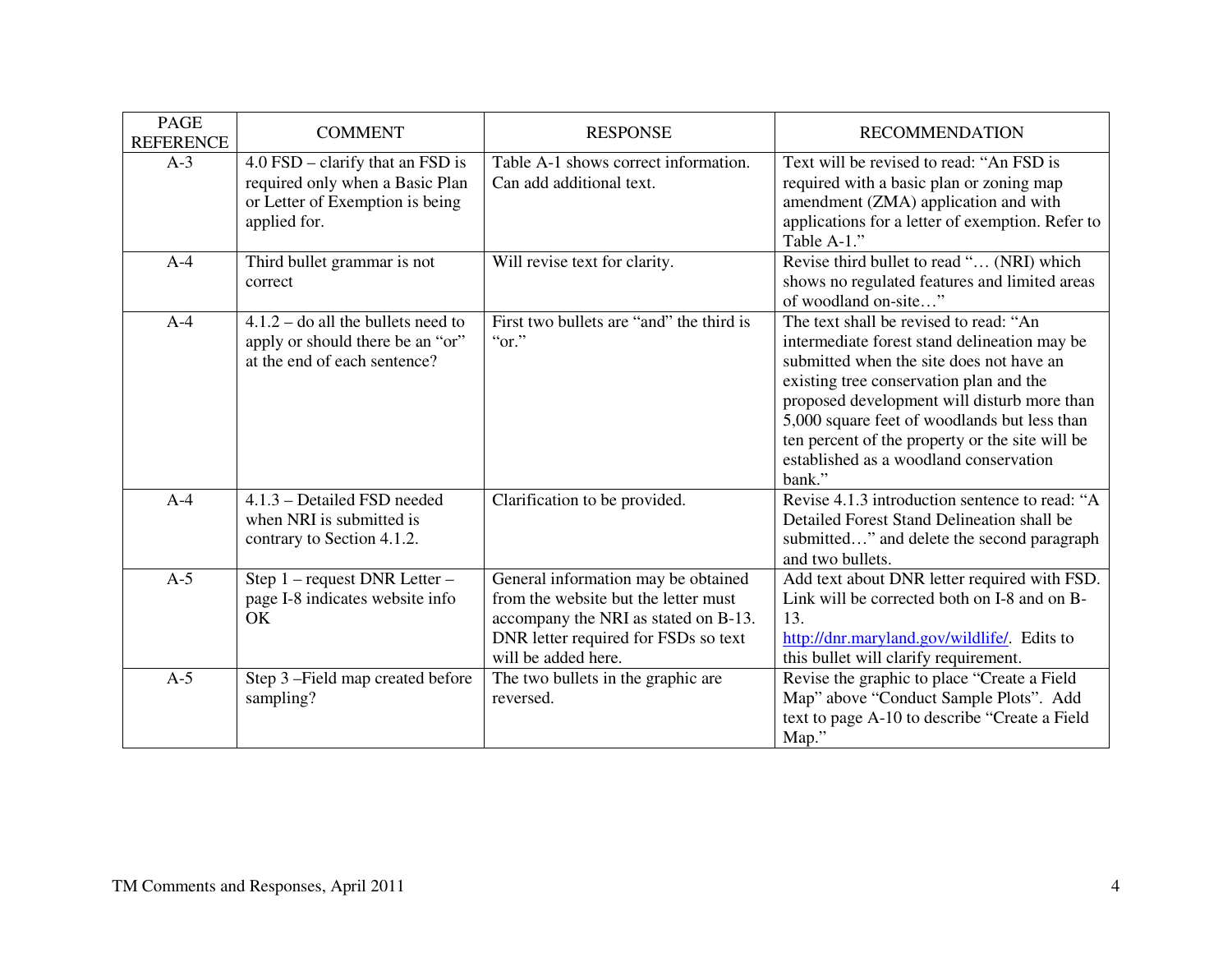| <b>PAGE</b><br><b>REFERENCE</b> | <b>COMMENT</b>                                                                                                           | <b>RESPONSE</b>                                                                                                                                                                    | <b>RECOMMENDATION</b>                                                                                                                                                                                                                                                                                                                                                               |
|---------------------------------|--------------------------------------------------------------------------------------------------------------------------|------------------------------------------------------------------------------------------------------------------------------------------------------------------------------------|-------------------------------------------------------------------------------------------------------------------------------------------------------------------------------------------------------------------------------------------------------------------------------------------------------------------------------------------------------------------------------------|
| $A-3$                           | $4.0$ FSD – clarify that an FSD is<br>required only when a Basic Plan<br>or Letter of Exemption is being<br>applied for. | Table A-1 shows correct information.<br>Can add additional text.                                                                                                                   | Text will be revised to read: "An FSD is<br>required with a basic plan or zoning map<br>amendment (ZMA) application and with<br>applications for a letter of exemption. Refer to<br>Table A-1."                                                                                                                                                                                     |
| $A-4$                           | Third bullet grammar is not<br>correct                                                                                   | Will revise text for clarity.                                                                                                                                                      | Revise third bullet to read " (NRI) which<br>shows no regulated features and limited areas<br>of woodland on-site"                                                                                                                                                                                                                                                                  |
| $A-4$                           | $4.1.2 -$ do all the bullets need to<br>apply or should there be an "or"<br>at the end of each sentence?                 | First two bullets are "and" the third is<br>"or."                                                                                                                                  | The text shall be revised to read: "An<br>intermediate forest stand delineation may be<br>submitted when the site does not have an<br>existing tree conservation plan and the<br>proposed development will disturb more than<br>5,000 square feet of woodlands but less than<br>ten percent of the property or the site will be<br>established as a woodland conservation<br>bank." |
| $A-4$                           | 4.1.3 - Detailed FSD needed<br>when NRI is submitted is<br>contrary to Section 4.1.2.                                    | Clarification to be provided.                                                                                                                                                      | Revise 4.1.3 introduction sentence to read: "A<br>Detailed Forest Stand Delineation shall be<br>submitted" and delete the second paragraph<br>and two bullets.                                                                                                                                                                                                                      |
| $A-5$                           | Step 1 – request DNR Letter –<br>page I-8 indicates website info<br>OK                                                   | General information may be obtained<br>from the website but the letter must<br>accompany the NRI as stated on B-13.<br>DNR letter required for FSDs so text<br>will be added here. | Add text about DNR letter required with FSD.<br>Link will be corrected both on I-8 and on B-<br>13.<br>http://dnr.maryland.gov/wildlife/. Edits to<br>this bullet will clarify requirement.                                                                                                                                                                                         |
| $A-5$                           | Step 3 - Field map created before<br>sampling?                                                                           | The two bullets in the graphic are<br>reversed.                                                                                                                                    | Revise the graphic to place "Create a Field<br>Map" above "Conduct Sample Plots". Add<br>text to page A-10 to describe "Create a Field<br>Map."                                                                                                                                                                                                                                     |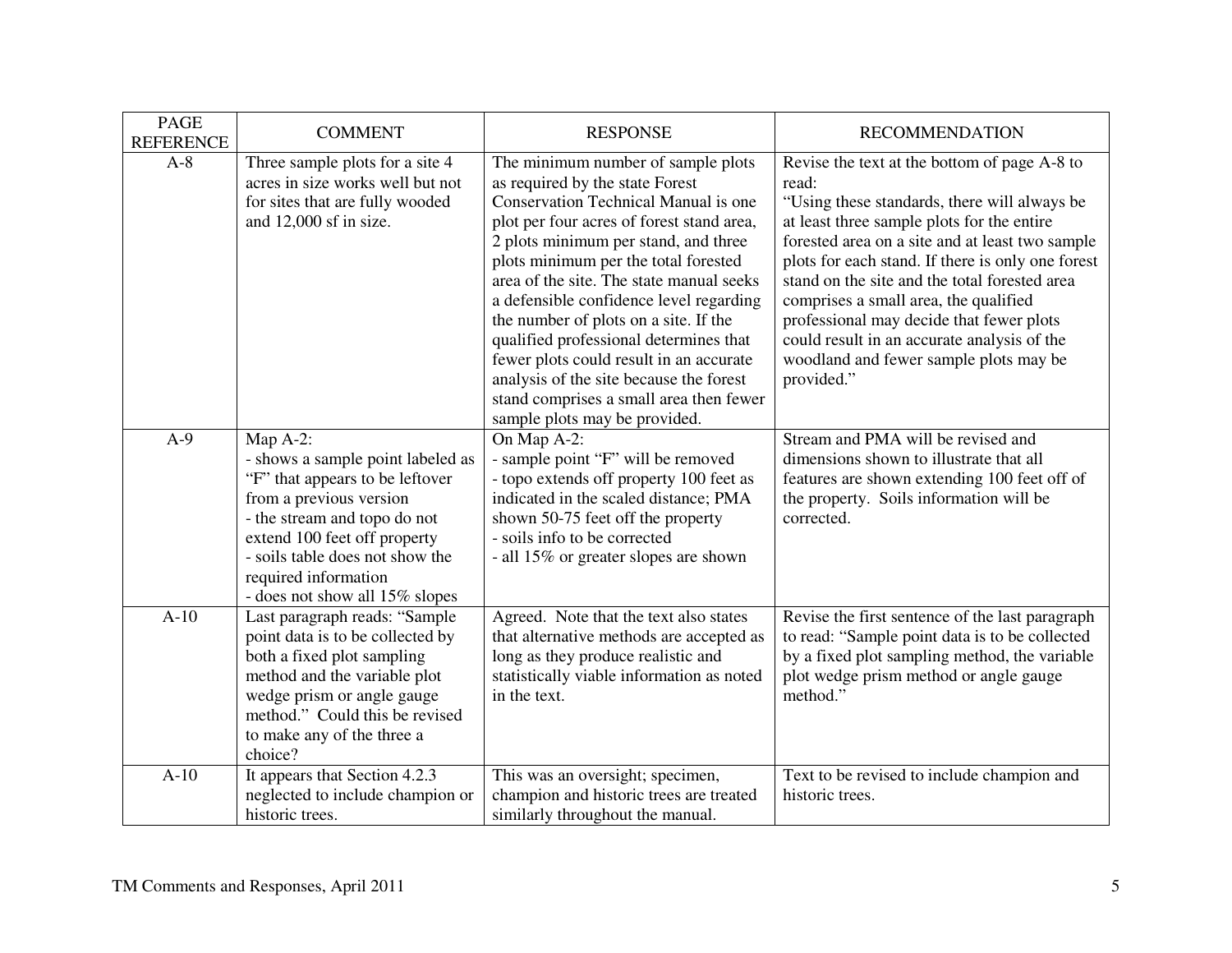| <b>PAGE</b><br><b>REFERENCE</b> | <b>COMMENT</b>                                                                                                                                                                                                                                                           | <b>RESPONSE</b>                                                                                                                                                                                                                                                                                                                                                                                                                                                                                                                                                                        | <b>RECOMMENDATION</b>                                                                                                                                                                                                                                                                                                                                                                                                                                                                                    |
|---------------------------------|--------------------------------------------------------------------------------------------------------------------------------------------------------------------------------------------------------------------------------------------------------------------------|----------------------------------------------------------------------------------------------------------------------------------------------------------------------------------------------------------------------------------------------------------------------------------------------------------------------------------------------------------------------------------------------------------------------------------------------------------------------------------------------------------------------------------------------------------------------------------------|----------------------------------------------------------------------------------------------------------------------------------------------------------------------------------------------------------------------------------------------------------------------------------------------------------------------------------------------------------------------------------------------------------------------------------------------------------------------------------------------------------|
| $A-8$                           | Three sample plots for a site 4<br>acres in size works well but not<br>for sites that are fully wooded<br>and 12,000 sf in size.                                                                                                                                         | The minimum number of sample plots<br>as required by the state Forest<br>Conservation Technical Manual is one<br>plot per four acres of forest stand area,<br>2 plots minimum per stand, and three<br>plots minimum per the total forested<br>area of the site. The state manual seeks<br>a defensible confidence level regarding<br>the number of plots on a site. If the<br>qualified professional determines that<br>fewer plots could result in an accurate<br>analysis of the site because the forest<br>stand comprises a small area then fewer<br>sample plots may be provided. | Revise the text at the bottom of page A-8 to<br>read:<br>"Using these standards, there will always be<br>at least three sample plots for the entire<br>forested area on a site and at least two sample<br>plots for each stand. If there is only one forest<br>stand on the site and the total forested area<br>comprises a small area, the qualified<br>professional may decide that fewer plots<br>could result in an accurate analysis of the<br>woodland and fewer sample plots may be<br>provided." |
| $A-9$                           | Map A-2:<br>- shows a sample point labeled as<br>"F" that appears to be leftover<br>from a previous version<br>- the stream and topo do not<br>extend 100 feet off property<br>- soils table does not show the<br>required information<br>- does not show all 15% slopes | On Map A-2:<br>- sample point "F" will be removed<br>- topo extends off property 100 feet as<br>indicated in the scaled distance; PMA<br>shown 50-75 feet off the property<br>- soils info to be corrected<br>- all 15% or greater slopes are shown                                                                                                                                                                                                                                                                                                                                    | Stream and PMA will be revised and<br>dimensions shown to illustrate that all<br>features are shown extending 100 feet off of<br>the property. Soils information will be<br>corrected.                                                                                                                                                                                                                                                                                                                   |
| $A-10$                          | Last paragraph reads: "Sample<br>point data is to be collected by<br>both a fixed plot sampling<br>method and the variable plot<br>wedge prism or angle gauge<br>method." Could this be revised<br>to make any of the three a<br>choice?                                 | Agreed. Note that the text also states<br>that alternative methods are accepted as<br>long as they produce realistic and<br>statistically viable information as noted<br>in the text.                                                                                                                                                                                                                                                                                                                                                                                                  | Revise the first sentence of the last paragraph<br>to read: "Sample point data is to be collected<br>by a fixed plot sampling method, the variable<br>plot wedge prism method or angle gauge<br>method."                                                                                                                                                                                                                                                                                                 |
| $A-10$                          | It appears that Section 4.2.3<br>neglected to include champion or<br>historic trees.                                                                                                                                                                                     | This was an oversight; specimen,<br>champion and historic trees are treated<br>similarly throughout the manual.                                                                                                                                                                                                                                                                                                                                                                                                                                                                        | Text to be revised to include champion and<br>historic trees.                                                                                                                                                                                                                                                                                                                                                                                                                                            |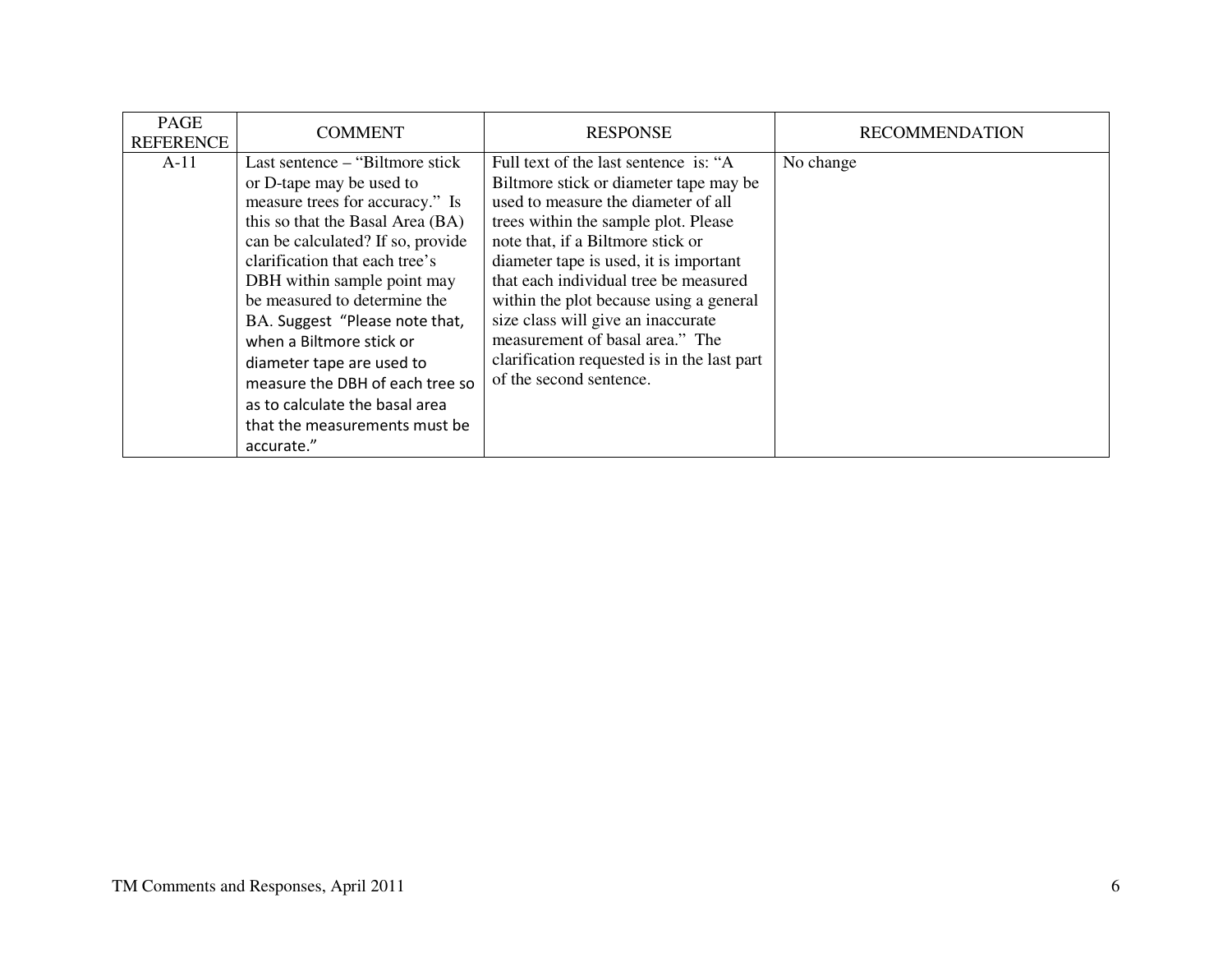| <b>PAGE</b><br><b>REFERENCE</b> | <b>COMMENT</b>                                                                                                                                                                                                                                                                                                                                                                                                                                                                           | <b>RESPONSE</b>                                                                                                                                                                                                                                                                                                                                                                                                                                                                      | <b>RECOMMENDATION</b> |
|---------------------------------|------------------------------------------------------------------------------------------------------------------------------------------------------------------------------------------------------------------------------------------------------------------------------------------------------------------------------------------------------------------------------------------------------------------------------------------------------------------------------------------|--------------------------------------------------------------------------------------------------------------------------------------------------------------------------------------------------------------------------------------------------------------------------------------------------------------------------------------------------------------------------------------------------------------------------------------------------------------------------------------|-----------------------|
| $A-11$                          | Last sentence – "Biltmore stick"<br>or D-tape may be used to<br>measure trees for accuracy." Is<br>this so that the Basal Area (BA)<br>can be calculated? If so, provide<br>clarification that each tree's<br>DBH within sample point may<br>be measured to determine the<br>BA. Suggest "Please note that,<br>when a Biltmore stick or<br>diameter tape are used to<br>measure the DBH of each tree so<br>as to calculate the basal area<br>that the measurements must be<br>accurate." | Full text of the last sentence is: "A<br>Biltmore stick or diameter tape may be<br>used to measure the diameter of all<br>trees within the sample plot. Please<br>note that, if a Biltmore stick or<br>diameter tape is used, it is important<br>that each individual tree be measured<br>within the plot because using a general<br>size class will give an inaccurate<br>measurement of basal area." The<br>clarification requested is in the last part<br>of the second sentence. | No change             |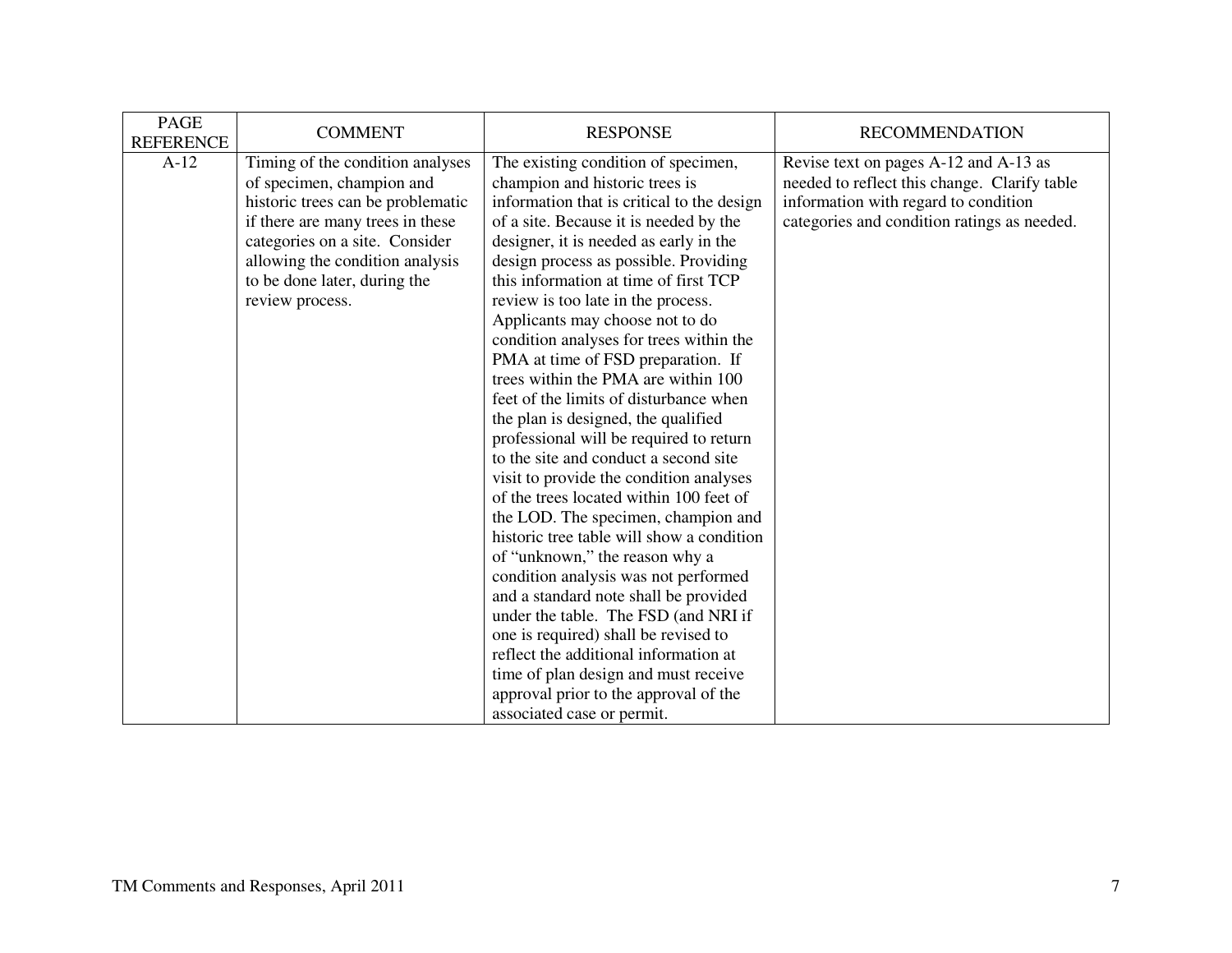| <b>PAGE</b><br><b>REFERENCE</b> | <b>COMMENT</b>                                                                                                                                                                                                                                                 | <b>RESPONSE</b>                                                                                                                                                                                                                                                                                                                                                                                                                                                                                                                                                                                                                                                                                                                                                                                                                                                                                                                                                                                                                                                                                                                                                                                      | <b>RECOMMENDATION</b>                                                                                                                                                        |
|---------------------------------|----------------------------------------------------------------------------------------------------------------------------------------------------------------------------------------------------------------------------------------------------------------|------------------------------------------------------------------------------------------------------------------------------------------------------------------------------------------------------------------------------------------------------------------------------------------------------------------------------------------------------------------------------------------------------------------------------------------------------------------------------------------------------------------------------------------------------------------------------------------------------------------------------------------------------------------------------------------------------------------------------------------------------------------------------------------------------------------------------------------------------------------------------------------------------------------------------------------------------------------------------------------------------------------------------------------------------------------------------------------------------------------------------------------------------------------------------------------------------|------------------------------------------------------------------------------------------------------------------------------------------------------------------------------|
| $A-12$                          | Timing of the condition analyses<br>of specimen, champion and<br>historic trees can be problematic<br>if there are many trees in these<br>categories on a site. Consider<br>allowing the condition analysis<br>to be done later, during the<br>review process. | The existing condition of specimen,<br>champion and historic trees is<br>information that is critical to the design<br>of a site. Because it is needed by the<br>designer, it is needed as early in the<br>design process as possible. Providing<br>this information at time of first TCP<br>review is too late in the process.<br>Applicants may choose not to do<br>condition analyses for trees within the<br>PMA at time of FSD preparation. If<br>trees within the PMA are within 100<br>feet of the limits of disturbance when<br>the plan is designed, the qualified<br>professional will be required to return<br>to the site and conduct a second site<br>visit to provide the condition analyses<br>of the trees located within 100 feet of<br>the LOD. The specimen, champion and<br>historic tree table will show a condition<br>of "unknown," the reason why a<br>condition analysis was not performed<br>and a standard note shall be provided<br>under the table. The FSD (and NRI if<br>one is required) shall be revised to<br>reflect the additional information at<br>time of plan design and must receive<br>approval prior to the approval of the<br>associated case or permit. | Revise text on pages A-12 and A-13 as<br>needed to reflect this change. Clarify table<br>information with regard to condition<br>categories and condition ratings as needed. |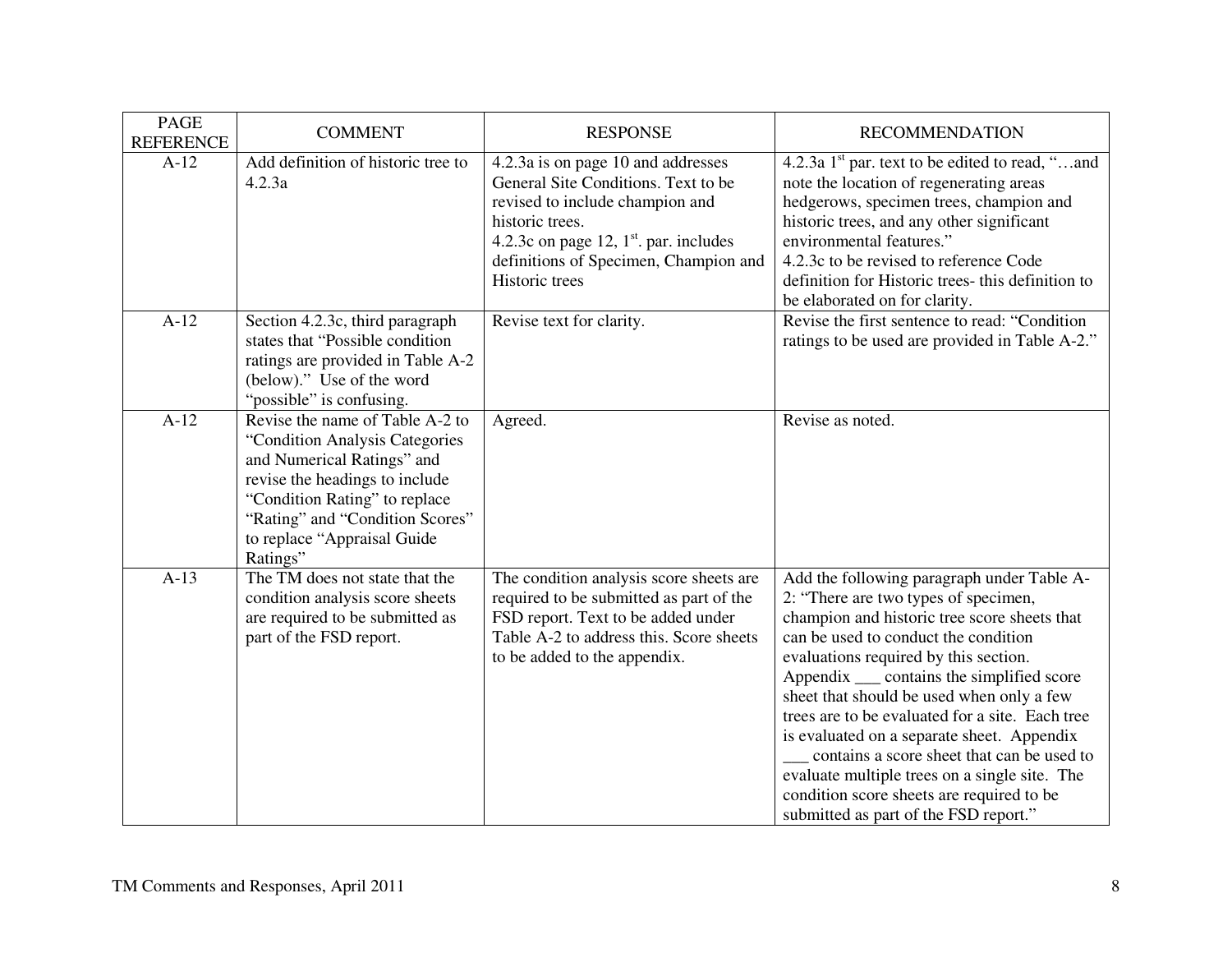| <b>PAGE</b><br><b>REFERENCE</b> | <b>COMMENT</b>                                                                                                                                                                                                                                   | <b>RESPONSE</b>                                                                                                                                                                                                                      | <b>RECOMMENDATION</b>                                                                                                                                                                                                                                                                                                                                                                                                                                                                                                                                                                               |
|---------------------------------|--------------------------------------------------------------------------------------------------------------------------------------------------------------------------------------------------------------------------------------------------|--------------------------------------------------------------------------------------------------------------------------------------------------------------------------------------------------------------------------------------|-----------------------------------------------------------------------------------------------------------------------------------------------------------------------------------------------------------------------------------------------------------------------------------------------------------------------------------------------------------------------------------------------------------------------------------------------------------------------------------------------------------------------------------------------------------------------------------------------------|
| $A-12$                          | Add definition of historic tree to<br>4.2.3a                                                                                                                                                                                                     | 4.2.3a is on page 10 and addresses<br>General Site Conditions. Text to be<br>revised to include champion and<br>historic trees.<br>4.2.3c on page 12, $1st$ par. includes<br>definitions of Specimen, Champion and<br>Historic trees | 4.2.3a $1st$ par. text to be edited to read, "and<br>note the location of regenerating areas<br>hedgerows, specimen trees, champion and<br>historic trees, and any other significant<br>environmental features."<br>4.2.3c to be revised to reference Code<br>definition for Historic trees- this definition to<br>be elaborated on for clarity.                                                                                                                                                                                                                                                    |
| $A-12$                          | Section 4.2.3c, third paragraph<br>states that "Possible condition<br>ratings are provided in Table A-2<br>(below)." Use of the word<br>"possible" is confusing.                                                                                 | Revise text for clarity.                                                                                                                                                                                                             | Revise the first sentence to read: "Condition<br>ratings to be used are provided in Table A-2."                                                                                                                                                                                                                                                                                                                                                                                                                                                                                                     |
| $A-12$                          | Revise the name of Table A-2 to<br>"Condition Analysis Categories<br>and Numerical Ratings" and<br>revise the headings to include<br>"Condition Rating" to replace<br>"Rating" and "Condition Scores"<br>to replace "Appraisal Guide<br>Ratings" | Agreed.                                                                                                                                                                                                                              | Revise as noted.                                                                                                                                                                                                                                                                                                                                                                                                                                                                                                                                                                                    |
| $A-13$                          | The TM does not state that the<br>condition analysis score sheets<br>are required to be submitted as<br>part of the FSD report.                                                                                                                  | The condition analysis score sheets are<br>required to be submitted as part of the<br>FSD report. Text to be added under<br>Table A-2 to address this. Score sheets<br>to be added to the appendix.                                  | Add the following paragraph under Table A-<br>2: "There are two types of specimen,<br>champion and historic tree score sheets that<br>can be used to conduct the condition<br>evaluations required by this section.<br>Appendix __ contains the simplified score<br>sheet that should be used when only a few<br>trees are to be evaluated for a site. Each tree<br>is evaluated on a separate sheet. Appendix<br>contains a score sheet that can be used to<br>evaluate multiple trees on a single site. The<br>condition score sheets are required to be<br>submitted as part of the FSD report." |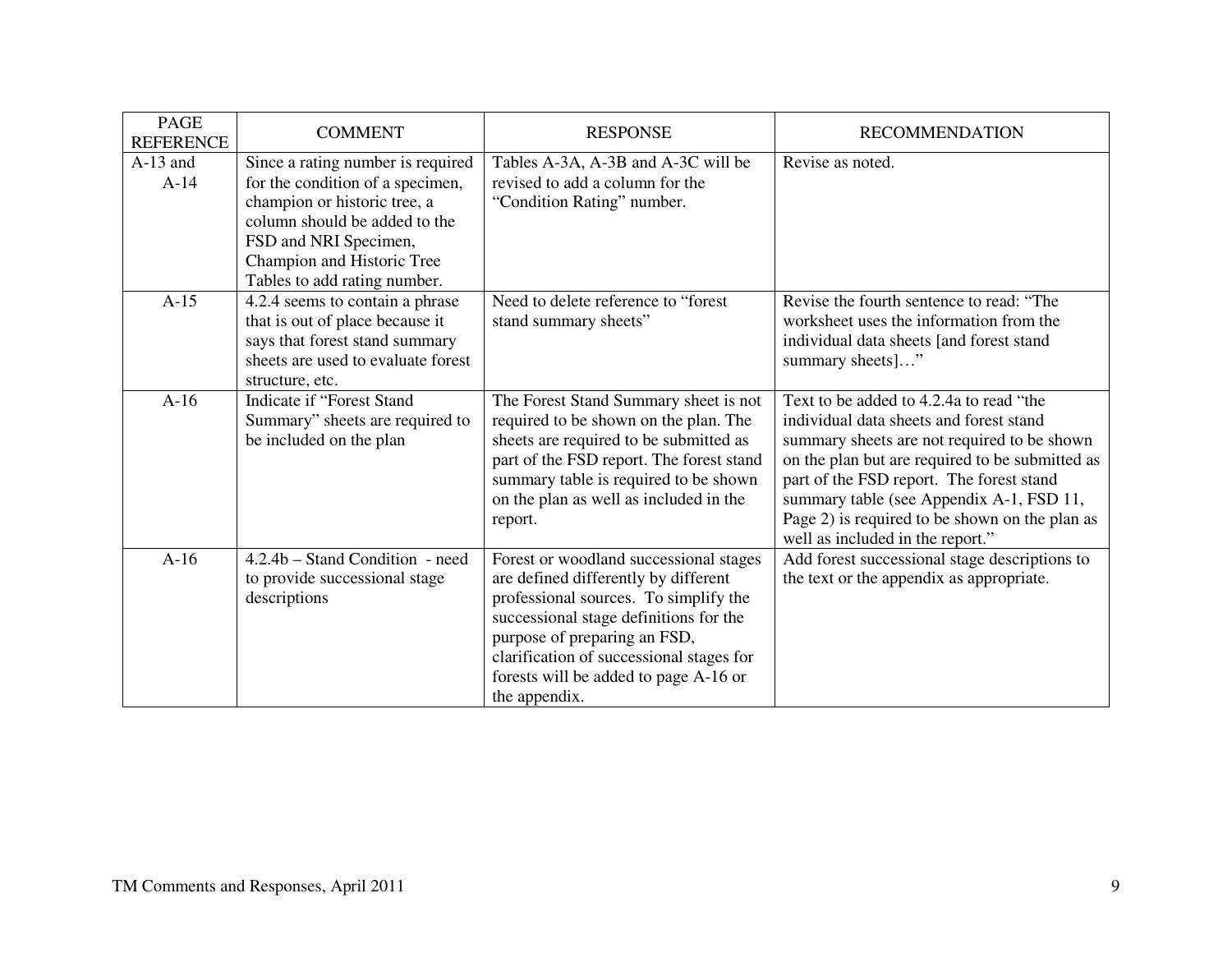| <b>PAGE</b><br><b>REFERENCE</b> | <b>COMMENT</b>                                                                                                                                                                                                                | <b>RESPONSE</b>                                                                                                                                                                                                                                                                                         | <b>RECOMMENDATION</b>                                                                                                                                                                                                                                                                                                                                              |
|---------------------------------|-------------------------------------------------------------------------------------------------------------------------------------------------------------------------------------------------------------------------------|---------------------------------------------------------------------------------------------------------------------------------------------------------------------------------------------------------------------------------------------------------------------------------------------------------|--------------------------------------------------------------------------------------------------------------------------------------------------------------------------------------------------------------------------------------------------------------------------------------------------------------------------------------------------------------------|
| $A-13$ and<br>$A-14$            | Since a rating number is required<br>for the condition of a specimen,<br>champion or historic tree, a<br>column should be added to the<br>FSD and NRI Specimen,<br>Champion and Historic Tree<br>Tables to add rating number. | Tables A-3A, A-3B and A-3C will be<br>revised to add a column for the<br>"Condition Rating" number.                                                                                                                                                                                                     | Revise as noted.                                                                                                                                                                                                                                                                                                                                                   |
| $A-15$                          | 4.2.4 seems to contain a phrase<br>that is out of place because it<br>says that forest stand summary<br>sheets are used to evaluate forest<br>structure, etc.                                                                 | Need to delete reference to "forest"<br>stand summary sheets"                                                                                                                                                                                                                                           | Revise the fourth sentence to read: "The<br>worksheet uses the information from the<br>individual data sheets [and forest stand<br>summary sheets]"                                                                                                                                                                                                                |
| $A-16$                          | Indicate if "Forest Stand<br>Summary" sheets are required to<br>be included on the plan                                                                                                                                       | The Forest Stand Summary sheet is not<br>required to be shown on the plan. The<br>sheets are required to be submitted as<br>part of the FSD report. The forest stand<br>summary table is required to be shown<br>on the plan as well as included in the<br>report.                                      | Text to be added to 4.2.4a to read "the<br>individual data sheets and forest stand<br>summary sheets are not required to be shown<br>on the plan but are required to be submitted as<br>part of the FSD report. The forest stand<br>summary table (see Appendix A-1, FSD 11,<br>Page 2) is required to be shown on the plan as<br>well as included in the report." |
| $A-16$                          | $4.2.4b - Stand Condition - need$<br>to provide successional stage<br>descriptions                                                                                                                                            | Forest or woodland successional stages<br>are defined differently by different<br>professional sources. To simplify the<br>successional stage definitions for the<br>purpose of preparing an FSD,<br>clarification of successional stages for<br>forests will be added to page A-16 or<br>the appendix. | Add forest successional stage descriptions to<br>the text or the appendix as appropriate.                                                                                                                                                                                                                                                                          |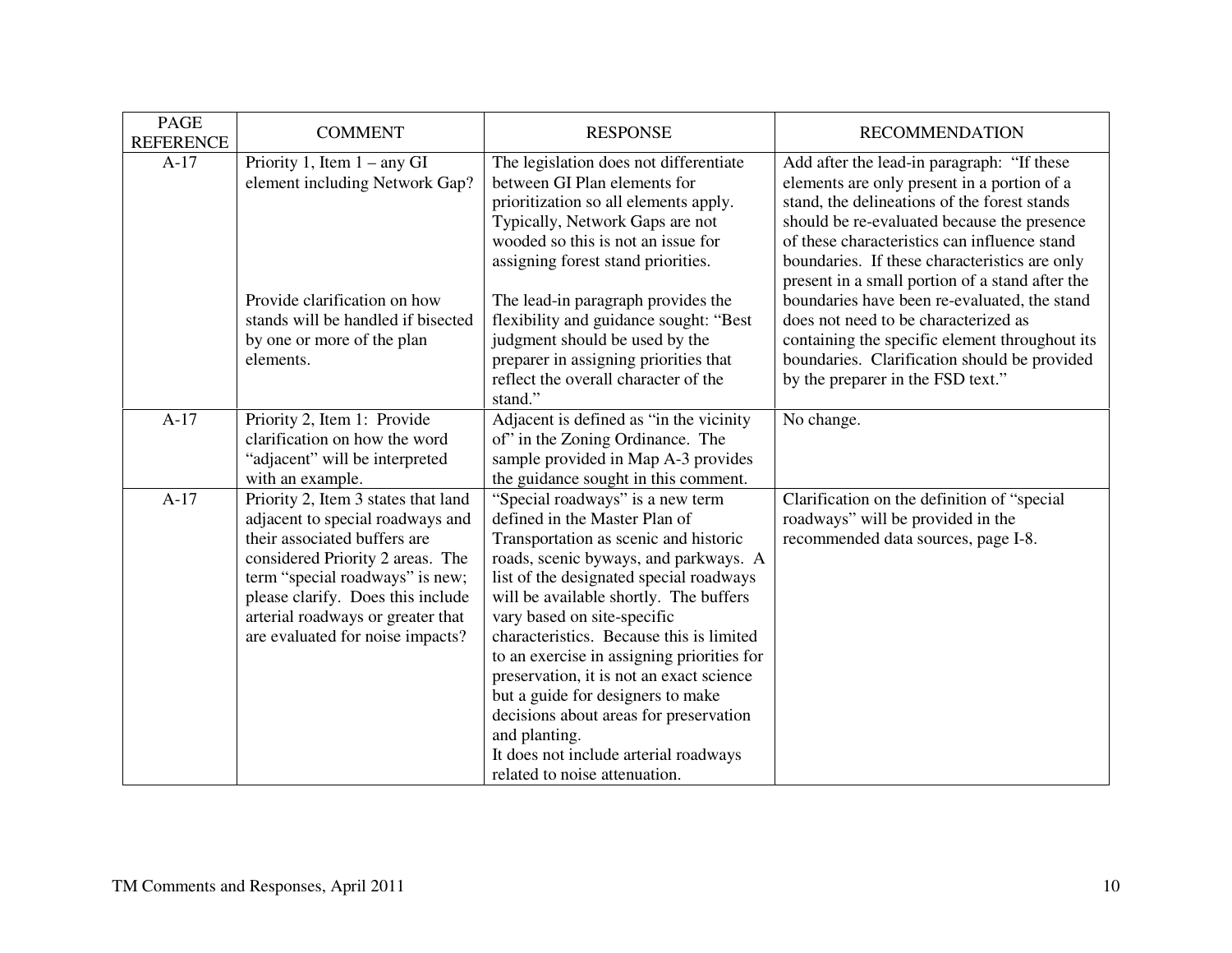| <b>PAGE</b><br><b>REFERENCE</b> | <b>COMMENT</b>                                                                                                                                                                                                                                                                               | <b>RESPONSE</b>                                                                                                                                                                                                                                                                                                                                                                                                                                                                                                                                                                         | <b>RECOMMENDATION</b>                                                                                                                                                                                                                                                                                                                        |
|---------------------------------|----------------------------------------------------------------------------------------------------------------------------------------------------------------------------------------------------------------------------------------------------------------------------------------------|-----------------------------------------------------------------------------------------------------------------------------------------------------------------------------------------------------------------------------------------------------------------------------------------------------------------------------------------------------------------------------------------------------------------------------------------------------------------------------------------------------------------------------------------------------------------------------------------|----------------------------------------------------------------------------------------------------------------------------------------------------------------------------------------------------------------------------------------------------------------------------------------------------------------------------------------------|
| $A-17$                          | Priority 1, Item $1 - any GI$<br>element including Network Gap?                                                                                                                                                                                                                              | The legislation does not differentiate<br>between GI Plan elements for<br>prioritization so all elements apply.<br>Typically, Network Gaps are not<br>wooded so this is not an issue for<br>assigning forest stand priorities.                                                                                                                                                                                                                                                                                                                                                          | Add after the lead-in paragraph: "If these<br>elements are only present in a portion of a<br>stand, the delineations of the forest stands<br>should be re-evaluated because the presence<br>of these characteristics can influence stand<br>boundaries. If these characteristics are only<br>present in a small portion of a stand after the |
|                                 | Provide clarification on how<br>stands will be handled if bisected<br>by one or more of the plan<br>elements.                                                                                                                                                                                | The lead-in paragraph provides the<br>flexibility and guidance sought: "Best<br>judgment should be used by the<br>preparer in assigning priorities that<br>reflect the overall character of the<br>stand."                                                                                                                                                                                                                                                                                                                                                                              | boundaries have been re-evaluated, the stand<br>does not need to be characterized as<br>containing the specific element throughout its<br>boundaries. Clarification should be provided<br>by the preparer in the FSD text."                                                                                                                  |
| $A-17$                          | Priority 2, Item 1: Provide<br>clarification on how the word<br>"adjacent" will be interpreted<br>with an example.                                                                                                                                                                           | Adjacent is defined as "in the vicinity"<br>of" in the Zoning Ordinance. The<br>sample provided in Map A-3 provides<br>the guidance sought in this comment.                                                                                                                                                                                                                                                                                                                                                                                                                             | No change.                                                                                                                                                                                                                                                                                                                                   |
| $A-17$                          | Priority 2, Item 3 states that land<br>adjacent to special roadways and<br>their associated buffers are<br>considered Priority 2 areas. The<br>term "special roadways" is new;<br>please clarify. Does this include<br>arterial roadways or greater that<br>are evaluated for noise impacts? | "Special roadways" is a new term<br>defined in the Master Plan of<br>Transportation as scenic and historic<br>roads, scenic byways, and parkways. A<br>list of the designated special roadways<br>will be available shortly. The buffers<br>vary based on site-specific<br>characteristics. Because this is limited<br>to an exercise in assigning priorities for<br>preservation, it is not an exact science<br>but a guide for designers to make<br>decisions about areas for preservation<br>and planting.<br>It does not include arterial roadways<br>related to noise attenuation. | Clarification on the definition of "special"<br>roadways" will be provided in the<br>recommended data sources, page I-8.                                                                                                                                                                                                                     |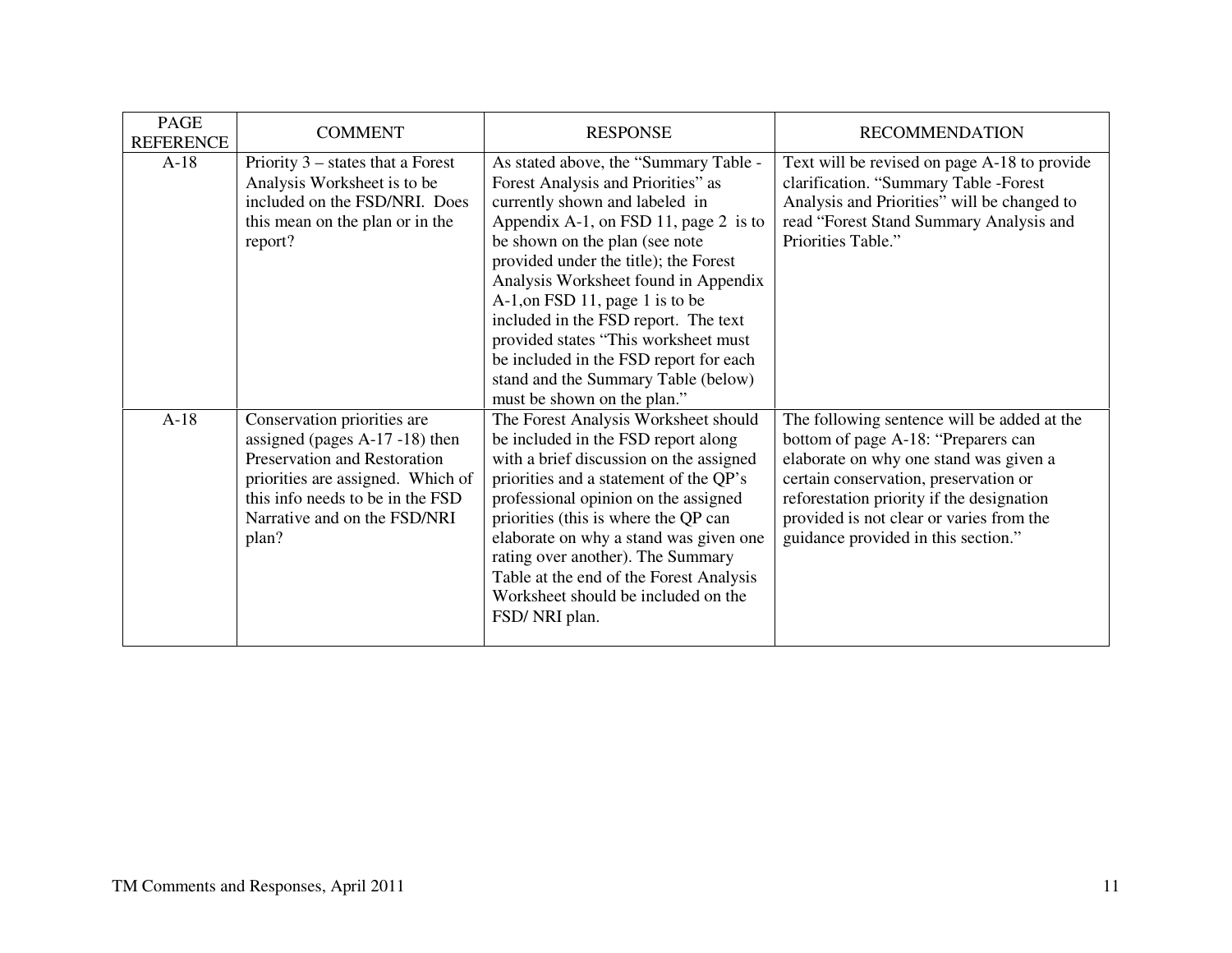| PAGE<br><b>REFERENCE</b> | <b>COMMENT</b>                                                                                                                                                                                                  | <b>RESPONSE</b>                                                                                                                                                                                                                                                                                                                                                                                                                                                                                              | <b>RECOMMENDATION</b>                                                                                                                                                                                                                                                                                 |
|--------------------------|-----------------------------------------------------------------------------------------------------------------------------------------------------------------------------------------------------------------|--------------------------------------------------------------------------------------------------------------------------------------------------------------------------------------------------------------------------------------------------------------------------------------------------------------------------------------------------------------------------------------------------------------------------------------------------------------------------------------------------------------|-------------------------------------------------------------------------------------------------------------------------------------------------------------------------------------------------------------------------------------------------------------------------------------------------------|
| $A-18$                   | Priority $3$ – states that a Forest<br>Analysis Worksheet is to be<br>included on the FSD/NRI. Does<br>this mean on the plan or in the<br>report?                                                               | As stated above, the "Summary Table -<br>Forest Analysis and Priorities" as<br>currently shown and labeled in<br>Appendix A-1, on FSD 11, page 2 is to<br>be shown on the plan (see note<br>provided under the title); the Forest<br>Analysis Worksheet found in Appendix<br>A-1, on FSD 11, page 1 is to be<br>included in the FSD report. The text<br>provided states "This worksheet must<br>be included in the FSD report for each<br>stand and the Summary Table (below)<br>must be shown on the plan." | Text will be revised on page A-18 to provide<br>clarification. "Summary Table -Forest<br>Analysis and Priorities" will be changed to<br>read "Forest Stand Summary Analysis and<br>Priorities Table."                                                                                                 |
| $A-18$                   | Conservation priorities are<br>assigned (pages A-17 -18) then<br>Preservation and Restoration<br>priorities are assigned. Which of<br>this info needs to be in the FSD<br>Narrative and on the FSD/NRI<br>plan? | The Forest Analysis Worksheet should<br>be included in the FSD report along<br>with a brief discussion on the assigned<br>priorities and a statement of the QP's<br>professional opinion on the assigned<br>priorities (this is where the QP can<br>elaborate on why a stand was given one<br>rating over another). The Summary<br>Table at the end of the Forest Analysis<br>Worksheet should be included on the<br>FSD/ NRI plan.                                                                          | The following sentence will be added at the<br>bottom of page A-18: "Preparers can<br>elaborate on why one stand was given a<br>certain conservation, preservation or<br>reforestation priority if the designation<br>provided is not clear or varies from the<br>guidance provided in this section." |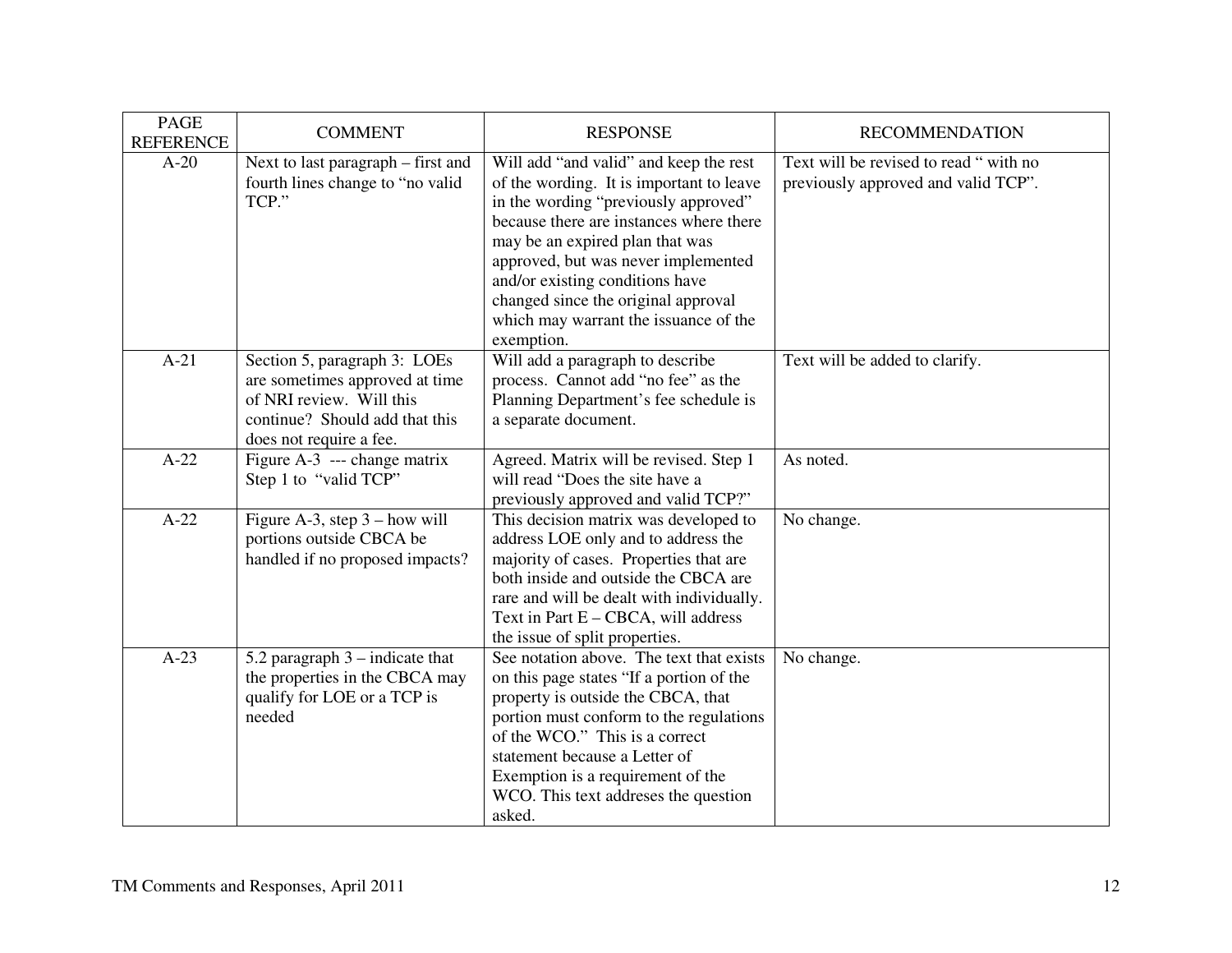| <b>PAGE</b><br><b>REFERENCE</b> | <b>COMMENT</b>                                                                                                                                          | <b>RESPONSE</b>                                                                                                                                                                                                                                                                                                                                                                  | <b>RECOMMENDATION</b>                                                        |
|---------------------------------|---------------------------------------------------------------------------------------------------------------------------------------------------------|----------------------------------------------------------------------------------------------------------------------------------------------------------------------------------------------------------------------------------------------------------------------------------------------------------------------------------------------------------------------------------|------------------------------------------------------------------------------|
| $A-20$                          | Next to last paragraph – first and<br>fourth lines change to "no valid<br>TCP."                                                                         | Will add "and valid" and keep the rest<br>of the wording. It is important to leave<br>in the wording "previously approved"<br>because there are instances where there<br>may be an expired plan that was<br>approved, but was never implemented<br>and/or existing conditions have<br>changed since the original approval<br>which may warrant the issuance of the<br>exemption. | Text will be revised to read "with no<br>previously approved and valid TCP". |
| $A-21$                          | Section 5, paragraph 3: LOEs<br>are sometimes approved at time<br>of NRI review. Will this<br>continue? Should add that this<br>does not require a fee. | Will add a paragraph to describe<br>process. Cannot add "no fee" as the<br>Planning Department's fee schedule is<br>a separate document.                                                                                                                                                                                                                                         | Text will be added to clarify.                                               |
| $A-22$                          | Figure $A-3$ --- change matrix<br>Step 1 to "valid TCP"                                                                                                 | Agreed. Matrix will be revised. Step 1<br>will read "Does the site have a<br>previously approved and valid TCP?"                                                                                                                                                                                                                                                                 | As noted.                                                                    |
| $A-22$                          | Figure A-3, step $3$ – how will<br>portions outside CBCA be<br>handled if no proposed impacts?                                                          | This decision matrix was developed to<br>address LOE only and to address the<br>majority of cases. Properties that are<br>both inside and outside the CBCA are<br>rare and will be dealt with individually.<br>Text in Part E – CBCA, will address<br>the issue of split properties.                                                                                             | No change.                                                                   |
| $A-23$                          | 5.2 paragraph $3$ – indicate that<br>the properties in the CBCA may<br>qualify for LOE or a TCP is<br>needed                                            | See notation above. The text that exists<br>on this page states "If a portion of the<br>property is outside the CBCA, that<br>portion must conform to the regulations<br>of the WCO." This is a correct<br>statement because a Letter of<br>Exemption is a requirement of the<br>WCO. This text addreses the question<br>asked.                                                  | No change.                                                                   |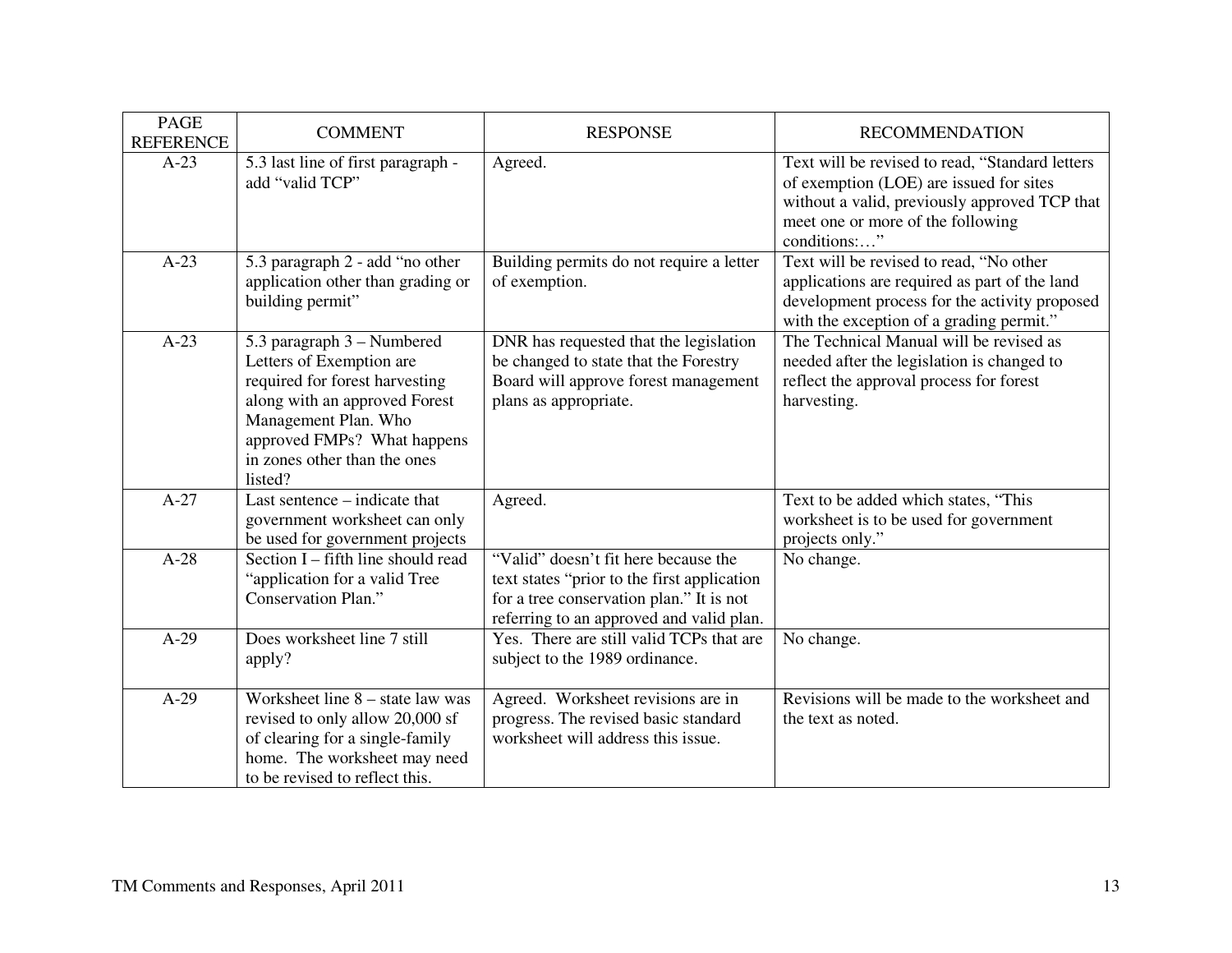| <b>PAGE</b><br><b>REFERENCE</b> | <b>COMMENT</b>                                                                                                                                                                                                              | <b>RESPONSE</b>                                                                                                                                                             | <b>RECOMMENDATION</b>                                                                                                                                                                            |
|---------------------------------|-----------------------------------------------------------------------------------------------------------------------------------------------------------------------------------------------------------------------------|-----------------------------------------------------------------------------------------------------------------------------------------------------------------------------|--------------------------------------------------------------------------------------------------------------------------------------------------------------------------------------------------|
| $A-23$                          | 5.3 last line of first paragraph -<br>add "valid TCP"                                                                                                                                                                       | Agreed.                                                                                                                                                                     | Text will be revised to read, "Standard letters<br>of exemption (LOE) are issued for sites<br>without a valid, previously approved TCP that<br>meet one or more of the following<br>conditions:" |
| $A-23$                          | 5.3 paragraph 2 - add "no other<br>application other than grading or<br>building permit"                                                                                                                                    | Building permits do not require a letter<br>of exemption.                                                                                                                   | Text will be revised to read, "No other<br>applications are required as part of the land<br>development process for the activity proposed<br>with the exception of a grading permit."            |
| $A-23$                          | 5.3 paragraph 3 – Numbered<br>Letters of Exemption are<br>required for forest harvesting<br>along with an approved Forest<br>Management Plan. Who<br>approved FMPs? What happens<br>in zones other than the ones<br>listed? | DNR has requested that the legislation<br>be changed to state that the Forestry<br>Board will approve forest management<br>plans as appropriate.                            | The Technical Manual will be revised as<br>needed after the legislation is changed to<br>reflect the approval process for forest<br>harvesting.                                                  |
| $A-27$                          | Last sentence – indicate that<br>government worksheet can only<br>be used for government projects                                                                                                                           | Agreed.                                                                                                                                                                     | Text to be added which states, "This<br>worksheet is to be used for government<br>projects only."                                                                                                |
| $A-28$                          | Section I – fifth line should read<br>"application for a valid Tree<br>Conservation Plan."                                                                                                                                  | "Valid" doesn't fit here because the<br>text states "prior to the first application<br>for a tree conservation plan." It is not<br>referring to an approved and valid plan. | No change.                                                                                                                                                                                       |
| $A-29$                          | Does worksheet line 7 still<br>apply?                                                                                                                                                                                       | Yes. There are still valid TCPs that are<br>subject to the 1989 ordinance.                                                                                                  | No change.                                                                                                                                                                                       |
| $A-29$                          | Worksheet line $8 -$ state law was<br>revised to only allow 20,000 sf<br>of clearing for a single-family<br>home. The worksheet may need<br>to be revised to reflect this.                                                  | Agreed. Worksheet revisions are in<br>progress. The revised basic standard<br>worksheet will address this issue.                                                            | Revisions will be made to the worksheet and<br>the text as noted.                                                                                                                                |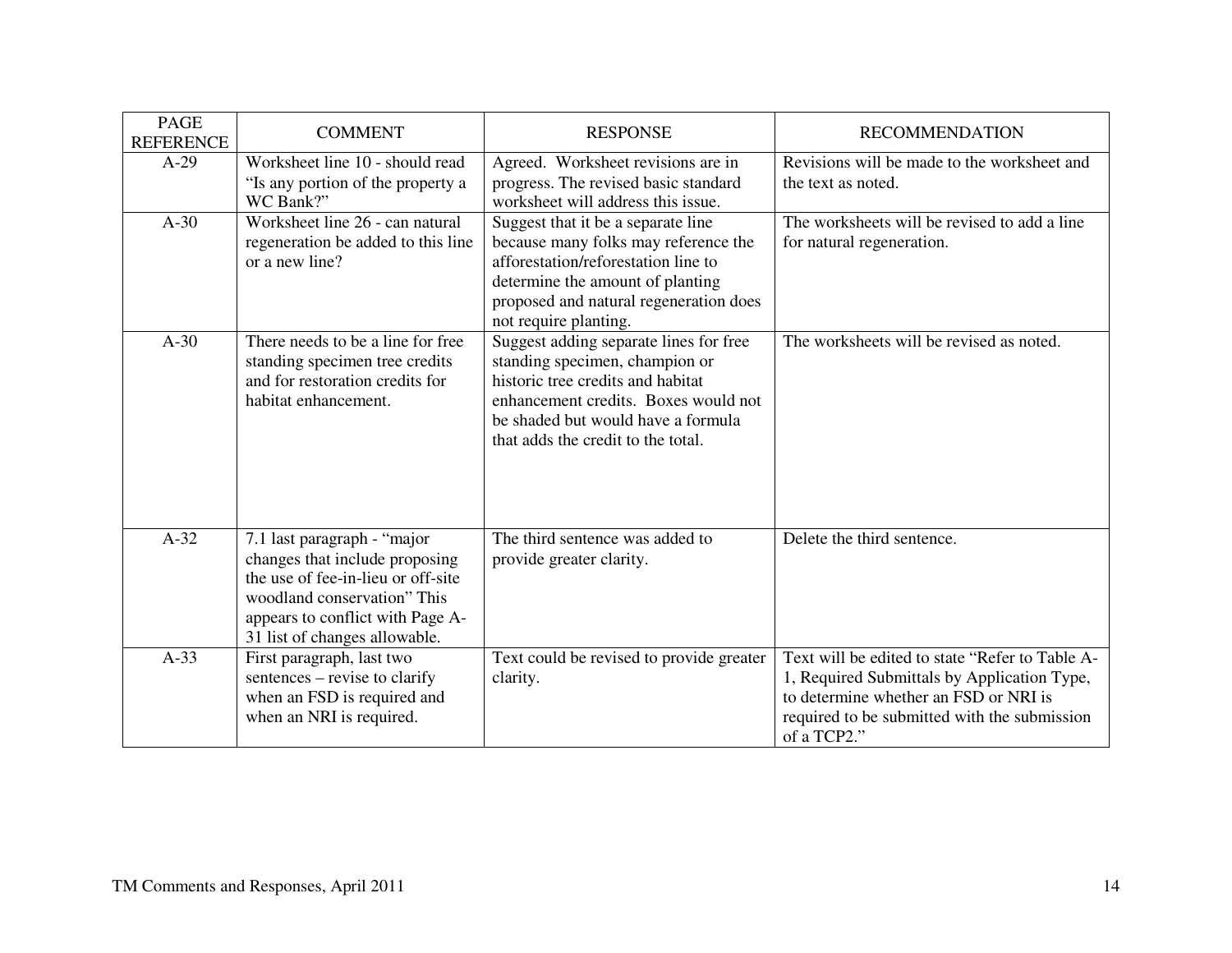| <b>PAGE</b><br><b>REFERENCE</b> | <b>COMMENT</b>                                                                                                                                                                                          | <b>RESPONSE</b>                                                                                                                                                                                                                   | <b>RECOMMENDATION</b>                                                                                                                                                                                  |
|---------------------------------|---------------------------------------------------------------------------------------------------------------------------------------------------------------------------------------------------------|-----------------------------------------------------------------------------------------------------------------------------------------------------------------------------------------------------------------------------------|--------------------------------------------------------------------------------------------------------------------------------------------------------------------------------------------------------|
| $A-29$                          | Worksheet line 10 - should read<br>"Is any portion of the property a<br>WC Bank?"                                                                                                                       | Agreed. Worksheet revisions are in<br>progress. The revised basic standard<br>worksheet will address this issue.                                                                                                                  | Revisions will be made to the worksheet and<br>the text as noted.                                                                                                                                      |
| $A-30$                          | Worksheet line 26 - can natural<br>regeneration be added to this line<br>or a new line?                                                                                                                 | Suggest that it be a separate line<br>because many folks may reference the<br>afforestation/reforestation line to<br>determine the amount of planting<br>proposed and natural regeneration does<br>not require planting.          | The worksheets will be revised to add a line<br>for natural regeneration.                                                                                                                              |
| $A-30$                          | There needs to be a line for free<br>standing specimen tree credits<br>and for restoration credits for<br>habitat enhancement.                                                                          | Suggest adding separate lines for free<br>standing specimen, champion or<br>historic tree credits and habitat<br>enhancement credits. Boxes would not<br>be shaded but would have a formula<br>that adds the credit to the total. | The worksheets will be revised as noted.                                                                                                                                                               |
| $A-32$                          | 7.1 last paragraph - "major<br>changes that include proposing<br>the use of fee-in-lieu or off-site<br>woodland conservation" This<br>appears to conflict with Page A-<br>31 list of changes allowable. | The third sentence was added to<br>provide greater clarity.                                                                                                                                                                       | Delete the third sentence.                                                                                                                                                                             |
| $A-33$                          | First paragraph, last two<br>sentences – revise to clarify<br>when an FSD is required and<br>when an NRI is required.                                                                                   | Text could be revised to provide greater<br>clarity.                                                                                                                                                                              | Text will be edited to state "Refer to Table A-<br>1, Required Submittals by Application Type,<br>to determine whether an FSD or NRI is<br>required to be submitted with the submission<br>of a TCP2." |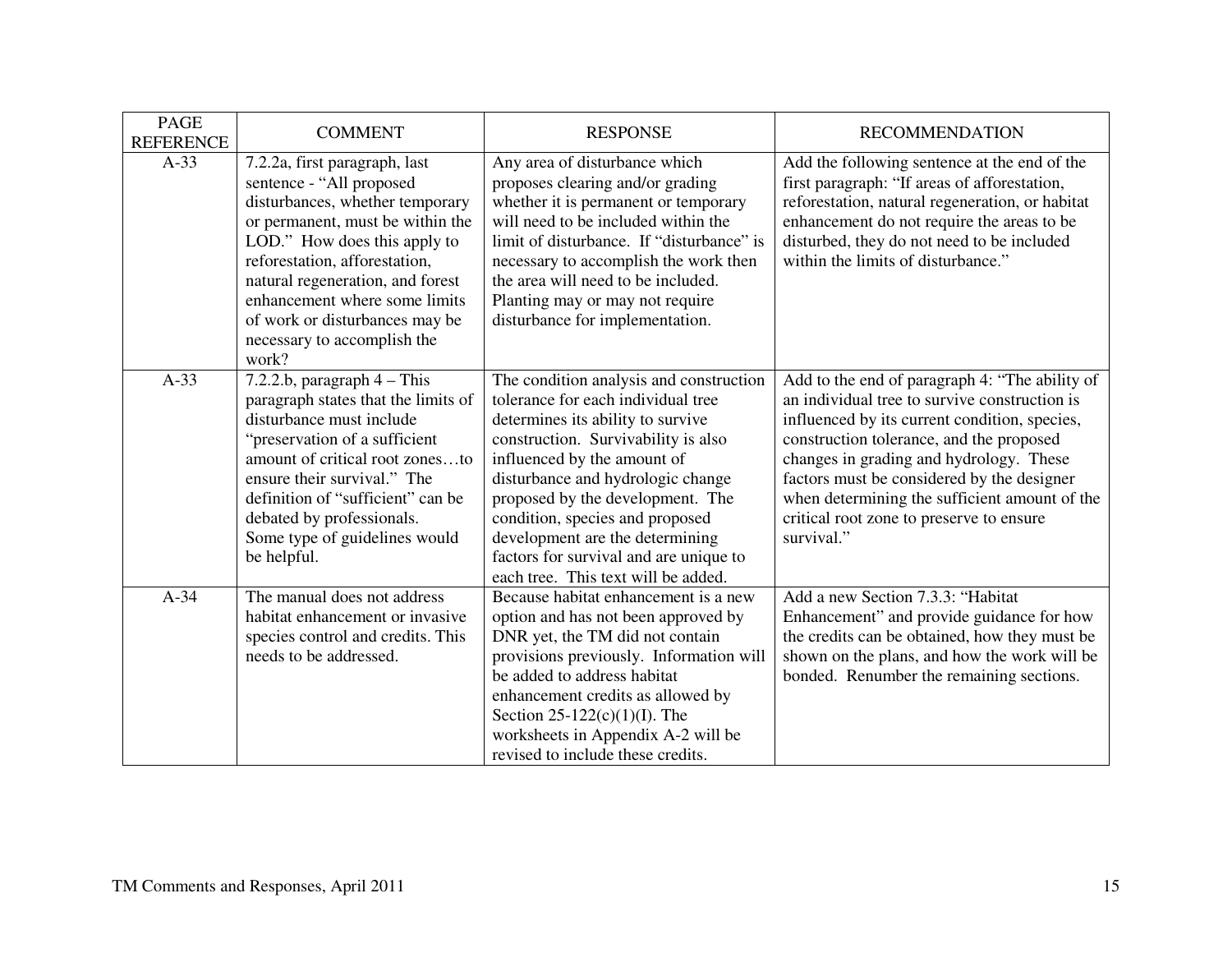| <b>PAGE</b><br><b>REFERENCE</b> | <b>COMMENT</b>                                                                                                                                                                                                                                                                                                                                   | <b>RESPONSE</b>                                                                                                                                                                                                                                                                                                                                                                                                          | <b>RECOMMENDATION</b>                                                                                                                                                                                                                                                                                                                                                                            |
|---------------------------------|--------------------------------------------------------------------------------------------------------------------------------------------------------------------------------------------------------------------------------------------------------------------------------------------------------------------------------------------------|--------------------------------------------------------------------------------------------------------------------------------------------------------------------------------------------------------------------------------------------------------------------------------------------------------------------------------------------------------------------------------------------------------------------------|--------------------------------------------------------------------------------------------------------------------------------------------------------------------------------------------------------------------------------------------------------------------------------------------------------------------------------------------------------------------------------------------------|
| $A-33$                          | 7.2.2a, first paragraph, last<br>sentence - "All proposed<br>disturbances, whether temporary<br>or permanent, must be within the<br>LOD." How does this apply to<br>reforestation, afforestation,<br>natural regeneration, and forest<br>enhancement where some limits<br>of work or disturbances may be<br>necessary to accomplish the<br>work? | Any area of disturbance which<br>proposes clearing and/or grading<br>whether it is permanent or temporary<br>will need to be included within the<br>limit of disturbance. If "disturbance" is<br>necessary to accomplish the work then<br>the area will need to be included.<br>Planting may or may not require<br>disturbance for implementation.                                                                       | Add the following sentence at the end of the<br>first paragraph: "If areas of afforestation,<br>reforestation, natural regeneration, or habitat<br>enhancement do not require the areas to be<br>disturbed, they do not need to be included<br>within the limits of disturbance."                                                                                                                |
| $A-33$                          | 7.2.2.b, paragraph $4$ – This<br>paragraph states that the limits of<br>disturbance must include<br>"preservation of a sufficient<br>amount of critical root zonesto<br>ensure their survival." The<br>definition of "sufficient" can be<br>debated by professionals.<br>Some type of guidelines would<br>be helpful.                            | The condition analysis and construction<br>tolerance for each individual tree<br>determines its ability to survive<br>construction. Survivability is also<br>influenced by the amount of<br>disturbance and hydrologic change<br>proposed by the development. The<br>condition, species and proposed<br>development are the determining<br>factors for survival and are unique to<br>each tree. This text will be added. | Add to the end of paragraph 4: "The ability of<br>an individual tree to survive construction is<br>influenced by its current condition, species,<br>construction tolerance, and the proposed<br>changes in grading and hydrology. These<br>factors must be considered by the designer<br>when determining the sufficient amount of the<br>critical root zone to preserve to ensure<br>survival." |
| $A-34$                          | The manual does not address<br>habitat enhancement or invasive<br>species control and credits. This<br>needs to be addressed.                                                                                                                                                                                                                    | Because habitat enhancement is a new<br>option and has not been approved by<br>DNR yet, the TM did not contain<br>provisions previously. Information will<br>be added to address habitat<br>enhancement credits as allowed by<br>Section $25-122(c)(1)(I)$ . The<br>worksheets in Appendix A-2 will be<br>revised to include these credits.                                                                              | Add a new Section 7.3.3: "Habitat"<br>Enhancement" and provide guidance for how<br>the credits can be obtained, how they must be<br>shown on the plans, and how the work will be<br>bonded. Renumber the remaining sections.                                                                                                                                                                     |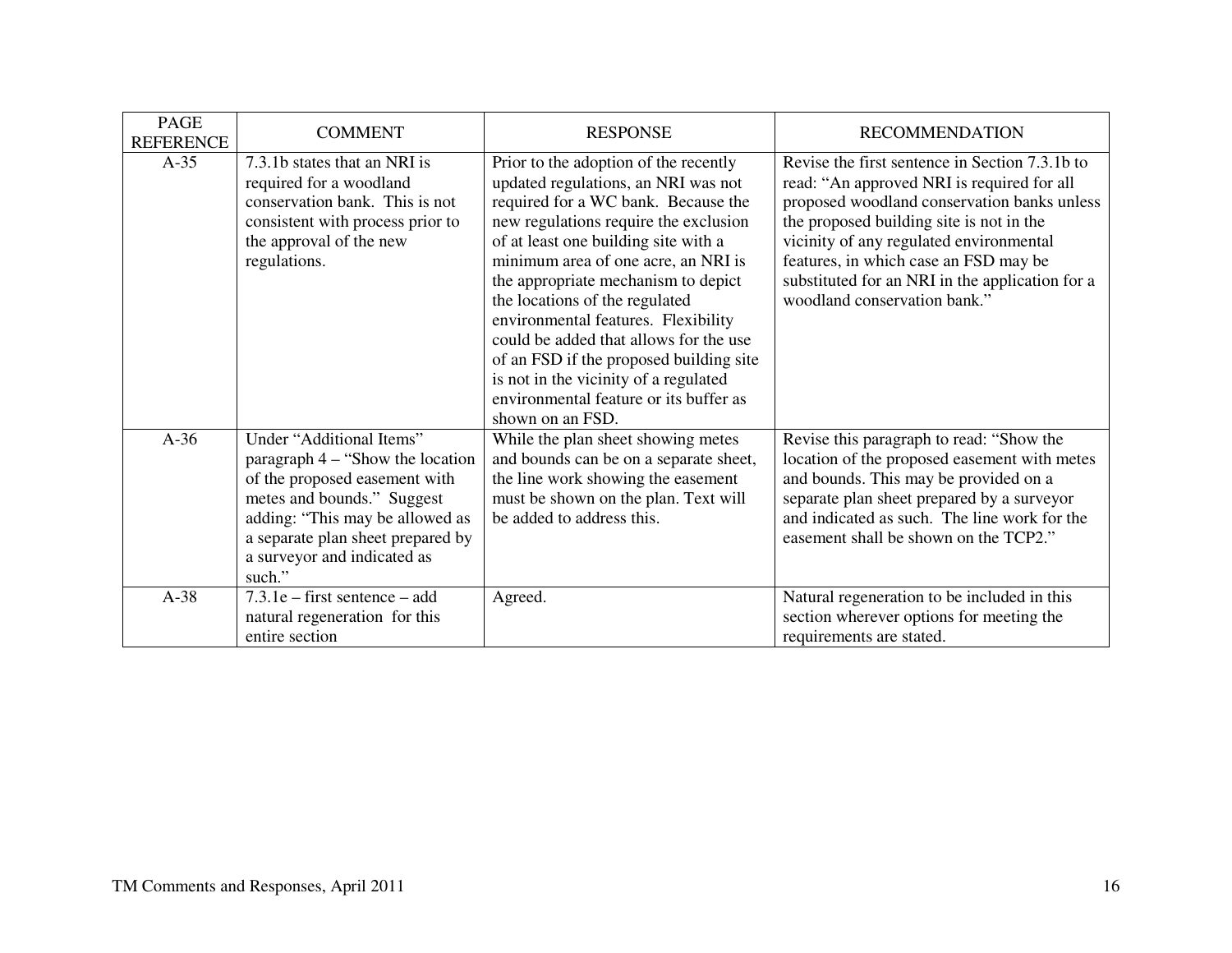| <b>PAGE</b><br><b>REFERENCE</b> | <b>COMMENT</b>                                                                                                                                                                                                                               | <b>RESPONSE</b>                                                                                                                                                                                                                                                                                                                                                                                                                                                                                                                                         | <b>RECOMMENDATION</b>                                                                                                                                                                                                                                                                                                                                          |
|---------------------------------|----------------------------------------------------------------------------------------------------------------------------------------------------------------------------------------------------------------------------------------------|---------------------------------------------------------------------------------------------------------------------------------------------------------------------------------------------------------------------------------------------------------------------------------------------------------------------------------------------------------------------------------------------------------------------------------------------------------------------------------------------------------------------------------------------------------|----------------------------------------------------------------------------------------------------------------------------------------------------------------------------------------------------------------------------------------------------------------------------------------------------------------------------------------------------------------|
| $A-35$                          | 7.3.1b states that an NRI is<br>required for a woodland<br>conservation bank. This is not<br>consistent with process prior to<br>the approval of the new<br>regulations.                                                                     | Prior to the adoption of the recently<br>updated regulations, an NRI was not<br>required for a WC bank. Because the<br>new regulations require the exclusion<br>of at least one building site with a<br>minimum area of one acre, an NRI is<br>the appropriate mechanism to depict<br>the locations of the regulated<br>environmental features. Flexibility<br>could be added that allows for the use<br>of an FSD if the proposed building site<br>is not in the vicinity of a regulated<br>environmental feature or its buffer as<br>shown on an FSD. | Revise the first sentence in Section 7.3.1b to<br>read: "An approved NRI is required for all<br>proposed woodland conservation banks unless<br>the proposed building site is not in the<br>vicinity of any regulated environmental<br>features, in which case an FSD may be<br>substituted for an NRI in the application for a<br>woodland conservation bank." |
| $A-36$                          | Under "Additional Items"<br>paragraph 4 – "Show the location<br>of the proposed easement with<br>metes and bounds." Suggest<br>adding: "This may be allowed as<br>a separate plan sheet prepared by<br>a surveyor and indicated as<br>such." | While the plan sheet showing metes<br>and bounds can be on a separate sheet,<br>the line work showing the easement<br>must be shown on the plan. Text will<br>be added to address this.                                                                                                                                                                                                                                                                                                                                                                 | Revise this paragraph to read: "Show the<br>location of the proposed easement with metes<br>and bounds. This may be provided on a<br>separate plan sheet prepared by a surveyor<br>and indicated as such. The line work for the<br>easement shall be shown on the TCP2."                                                                                       |
| $A-38$                          | $7.3.1e$ – first sentence – add<br>natural regeneration for this<br>entire section                                                                                                                                                           | Agreed.                                                                                                                                                                                                                                                                                                                                                                                                                                                                                                                                                 | Natural regeneration to be included in this<br>section wherever options for meeting the<br>requirements are stated.                                                                                                                                                                                                                                            |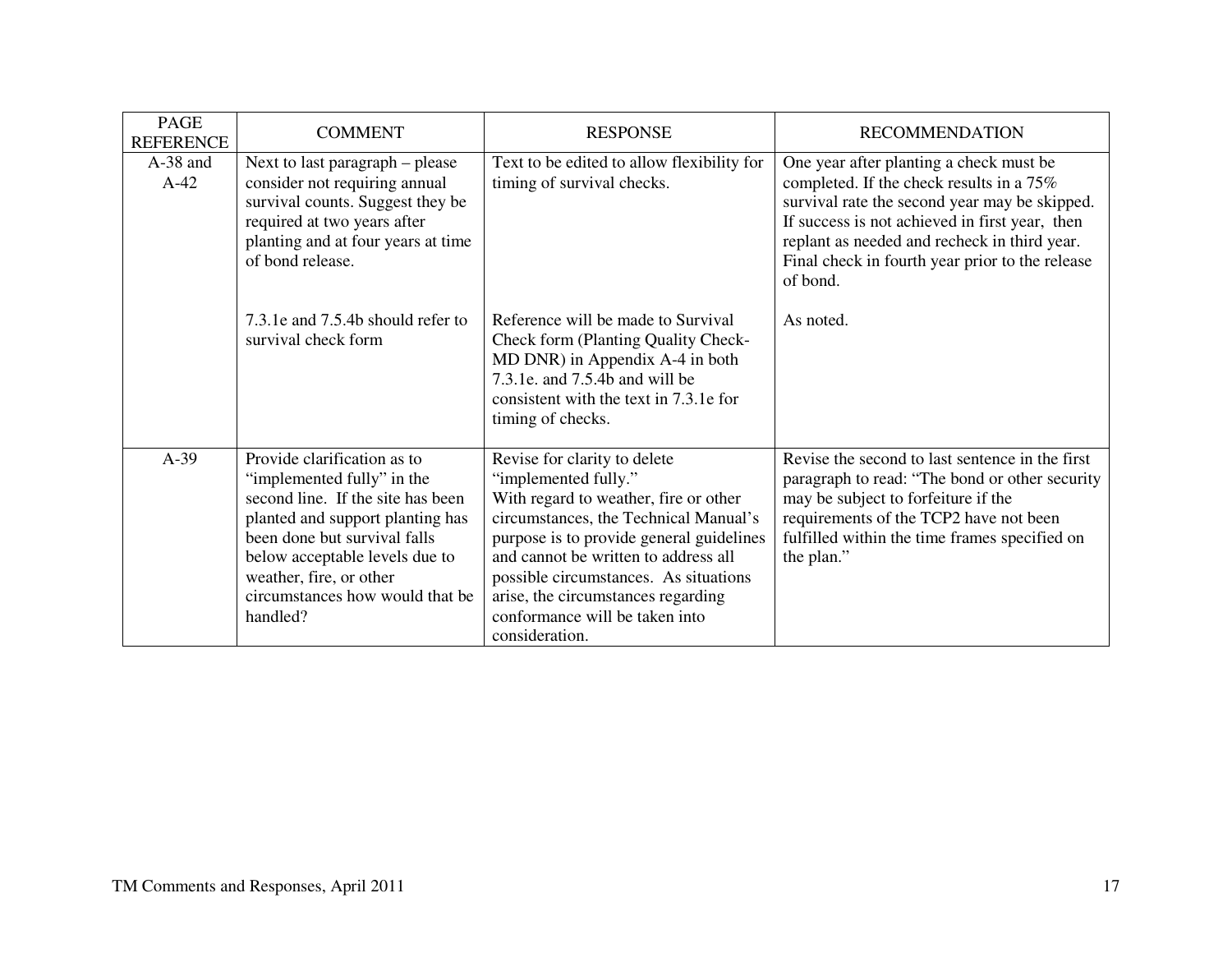| <b>PAGE</b><br><b>REFERENCE</b> | <b>COMMENT</b>                                                                                                                                                                                                                                                                 | <b>RESPONSE</b>                                                                                                                                                                                                                                                                                                                                               | <b>RECOMMENDATION</b>                                                                                                                                                                                                                                                                                 |
|---------------------------------|--------------------------------------------------------------------------------------------------------------------------------------------------------------------------------------------------------------------------------------------------------------------------------|---------------------------------------------------------------------------------------------------------------------------------------------------------------------------------------------------------------------------------------------------------------------------------------------------------------------------------------------------------------|-------------------------------------------------------------------------------------------------------------------------------------------------------------------------------------------------------------------------------------------------------------------------------------------------------|
| $A-38$ and<br>$A-42$            | Next to last paragraph – please<br>consider not requiring annual<br>survival counts. Suggest they be<br>required at two years after<br>planting and at four years at time<br>of bond release.                                                                                  | Text to be edited to allow flexibility for<br>timing of survival checks.                                                                                                                                                                                                                                                                                      | One year after planting a check must be<br>completed. If the check results in a 75%<br>survival rate the second year may be skipped.<br>If success is not achieved in first year, then<br>replant as needed and recheck in third year.<br>Final check in fourth year prior to the release<br>of bond. |
|                                 | 7.3.1e and 7.5.4b should refer to<br>survival check form                                                                                                                                                                                                                       | Reference will be made to Survival<br><b>Check form (Planting Quality Check-</b><br>MD DNR) in Appendix A-4 in both<br>7.3.1e. and 7.5.4b and will be<br>consistent with the text in 7.3.1e for<br>timing of checks.                                                                                                                                          | As noted.                                                                                                                                                                                                                                                                                             |
| $A-39$                          | Provide clarification as to<br>"implemented fully" in the<br>second line. If the site has been<br>planted and support planting has<br>been done but survival falls<br>below acceptable levels due to<br>weather, fire, or other<br>circumstances how would that be<br>handled? | Revise for clarity to delete<br>"implemented fully."<br>With regard to weather, fire or other<br>circumstances, the Technical Manual's<br>purpose is to provide general guidelines<br>and cannot be written to address all<br>possible circumstances. As situations<br>arise, the circumstances regarding<br>conformance will be taken into<br>consideration. | Revise the second to last sentence in the first<br>paragraph to read: "The bond or other security<br>may be subject to forfeiture if the<br>requirements of the TCP2 have not been<br>fulfilled within the time frames specified on<br>the plan."                                                     |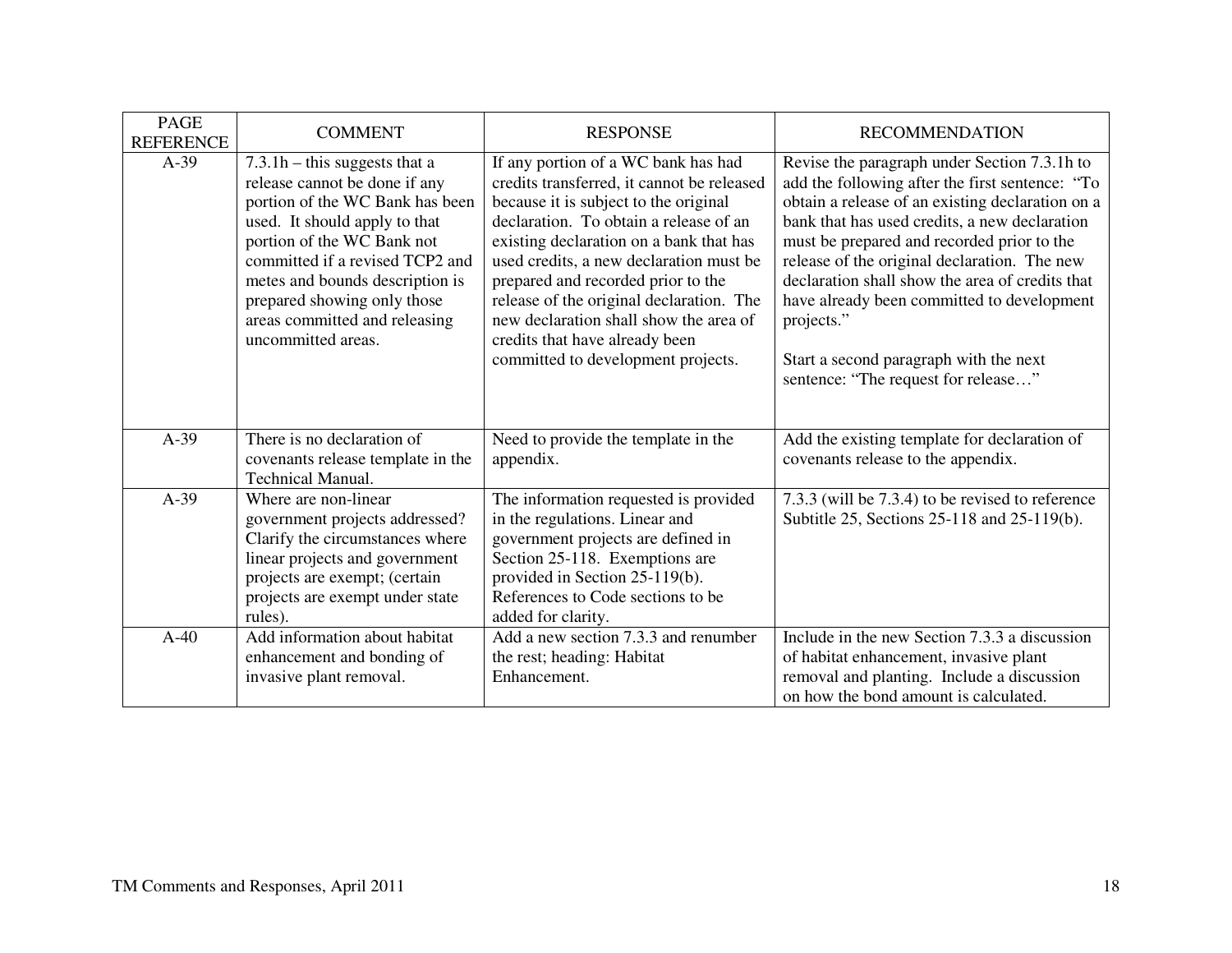| <b>PAGE</b><br><b>REFERENCE</b> | <b>COMMENT</b>                                                                                                                                                                                                                                                                                                                 | <b>RESPONSE</b>                                                                                                                                                                                                                                                                                                                                                                                                                                                | <b>RECOMMENDATION</b>                                                                                                                                                                                                                                                                                                                                                                                                                                                                              |
|---------------------------------|--------------------------------------------------------------------------------------------------------------------------------------------------------------------------------------------------------------------------------------------------------------------------------------------------------------------------------|----------------------------------------------------------------------------------------------------------------------------------------------------------------------------------------------------------------------------------------------------------------------------------------------------------------------------------------------------------------------------------------------------------------------------------------------------------------|----------------------------------------------------------------------------------------------------------------------------------------------------------------------------------------------------------------------------------------------------------------------------------------------------------------------------------------------------------------------------------------------------------------------------------------------------------------------------------------------------|
| $A-39$                          | $7.3.1h$ – this suggests that a<br>release cannot be done if any<br>portion of the WC Bank has been<br>used. It should apply to that<br>portion of the WC Bank not<br>committed if a revised TCP2 and<br>metes and bounds description is<br>prepared showing only those<br>areas committed and releasing<br>uncommitted areas. | If any portion of a WC bank has had<br>credits transferred, it cannot be released<br>because it is subject to the original<br>declaration. To obtain a release of an<br>existing declaration on a bank that has<br>used credits, a new declaration must be<br>prepared and recorded prior to the<br>release of the original declaration. The<br>new declaration shall show the area of<br>credits that have already been<br>committed to development projects. | Revise the paragraph under Section 7.3.1h to<br>add the following after the first sentence: "To<br>obtain a release of an existing declaration on a<br>bank that has used credits, a new declaration<br>must be prepared and recorded prior to the<br>release of the original declaration. The new<br>declaration shall show the area of credits that<br>have already been committed to development<br>projects."<br>Start a second paragraph with the next<br>sentence: "The request for release" |
| $A-39$                          | There is no declaration of<br>covenants release template in the<br><b>Technical Manual.</b>                                                                                                                                                                                                                                    | Need to provide the template in the<br>appendix.                                                                                                                                                                                                                                                                                                                                                                                                               | Add the existing template for declaration of<br>covenants release to the appendix.                                                                                                                                                                                                                                                                                                                                                                                                                 |
| $A-39$                          | Where are non-linear<br>government projects addressed?<br>Clarify the circumstances where<br>linear projects and government<br>projects are exempt; (certain<br>projects are exempt under state<br>rules).                                                                                                                     | The information requested is provided<br>in the regulations. Linear and<br>government projects are defined in<br>Section 25-118. Exemptions are<br>provided in Section 25-119(b).<br>References to Code sections to be<br>added for clarity.                                                                                                                                                                                                                   | 7.3.3 (will be 7.3.4) to be revised to reference<br>Subtitle 25, Sections 25-118 and 25-119(b).                                                                                                                                                                                                                                                                                                                                                                                                    |
| $A-40$                          | Add information about habitat<br>enhancement and bonding of<br>invasive plant removal.                                                                                                                                                                                                                                         | Add a new section 7.3.3 and renumber<br>the rest; heading: Habitat<br>Enhancement.                                                                                                                                                                                                                                                                                                                                                                             | Include in the new Section 7.3.3 a discussion<br>of habitat enhancement, invasive plant<br>removal and planting. Include a discussion<br>on how the bond amount is calculated.                                                                                                                                                                                                                                                                                                                     |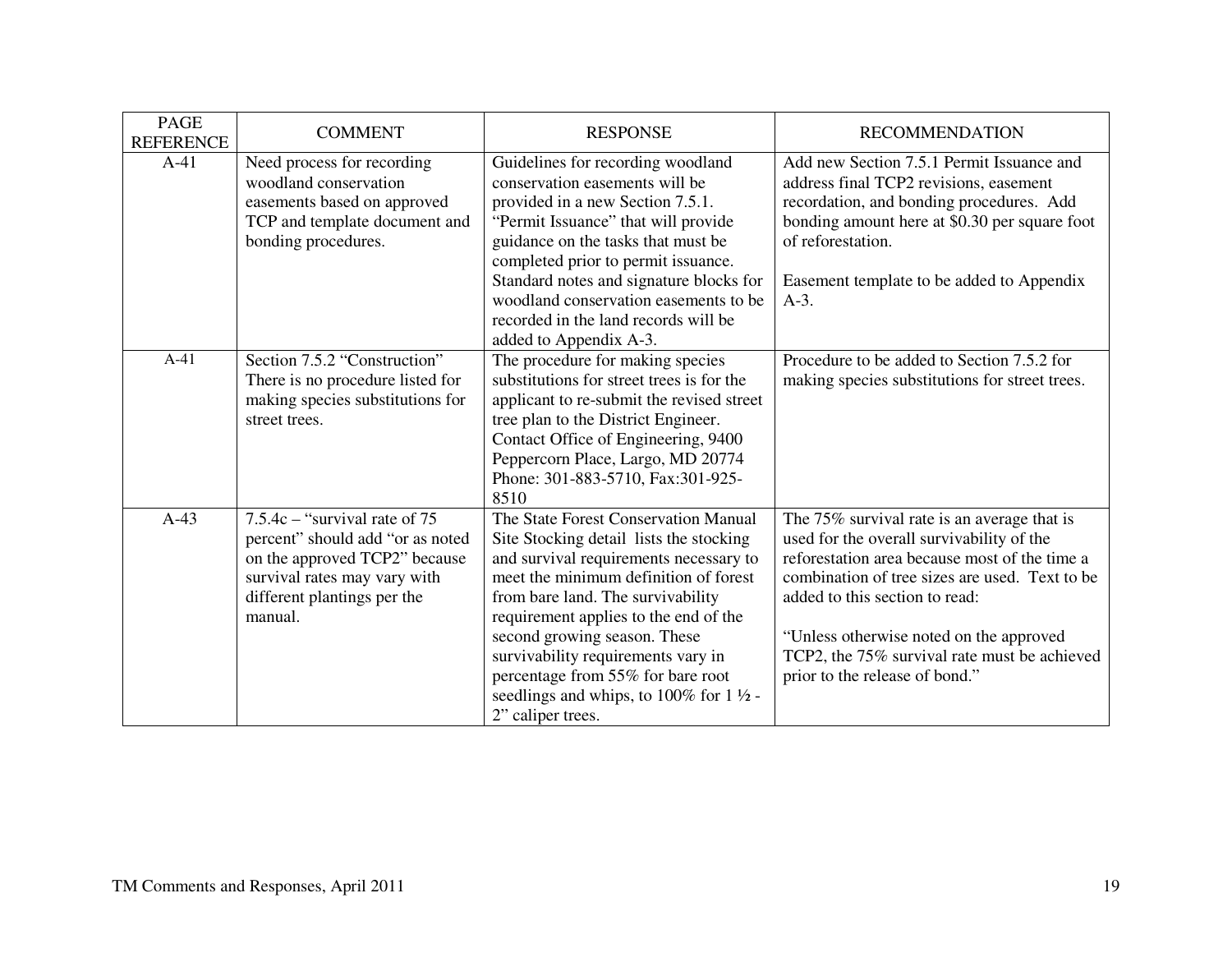| <b>PAGE</b><br><b>REFERENCE</b> | <b>COMMENT</b>                                                                                                                                                                 | <b>RESPONSE</b>                                                                                                                                                                                                                                                                                                                                                                                                                       | <b>RECOMMENDATION</b>                                                                                                                                                                                                                                                                                                                                      |
|---------------------------------|--------------------------------------------------------------------------------------------------------------------------------------------------------------------------------|---------------------------------------------------------------------------------------------------------------------------------------------------------------------------------------------------------------------------------------------------------------------------------------------------------------------------------------------------------------------------------------------------------------------------------------|------------------------------------------------------------------------------------------------------------------------------------------------------------------------------------------------------------------------------------------------------------------------------------------------------------------------------------------------------------|
| $A-41$                          | Need process for recording<br>woodland conservation<br>easements based on approved<br>TCP and template document and<br>bonding procedures.                                     | Guidelines for recording woodland<br>conservation easements will be<br>provided in a new Section 7.5.1.<br>"Permit Issuance" that will provide<br>guidance on the tasks that must be<br>completed prior to permit issuance.<br>Standard notes and signature blocks for<br>woodland conservation easements to be<br>recorded in the land records will be<br>added to Appendix A-3.                                                     | Add new Section 7.5.1 Permit Issuance and<br>address final TCP2 revisions, easement<br>recordation, and bonding procedures. Add<br>bonding amount here at \$0.30 per square foot<br>of reforestation.<br>Easement template to be added to Appendix<br>$A-3$ .                                                                                              |
| $A-41$                          | Section 7.5.2 "Construction"<br>There is no procedure listed for<br>making species substitutions for<br>street trees.                                                          | The procedure for making species<br>substitutions for street trees is for the<br>applicant to re-submit the revised street<br>tree plan to the District Engineer.<br>Contact Office of Engineering, 9400<br>Peppercorn Place, Largo, MD 20774<br>Phone: 301-883-5710, Fax:301-925-<br>8510                                                                                                                                            | Procedure to be added to Section 7.5.2 for<br>making species substitutions for street trees.                                                                                                                                                                                                                                                               |
| $A-43$                          | $7.5.4c -$ "survival rate of 75<br>percent" should add "or as noted<br>on the approved TCP2" because<br>survival rates may vary with<br>different plantings per the<br>manual. | The State Forest Conservation Manual<br>Site Stocking detail lists the stocking<br>and survival requirements necessary to<br>meet the minimum definition of forest<br>from bare land. The survivability<br>requirement applies to the end of the<br>second growing season. These<br>survivability requirements vary in<br>percentage from 55% for bare root<br>seedlings and whips, to 100% for $1\frac{1}{2}$ -<br>2" caliper trees. | The 75% survival rate is an average that is<br>used for the overall survivability of the<br>reforestation area because most of the time a<br>combination of tree sizes are used. Text to be<br>added to this section to read:<br>"Unless otherwise noted on the approved<br>TCP2, the 75% survival rate must be achieved<br>prior to the release of bond." |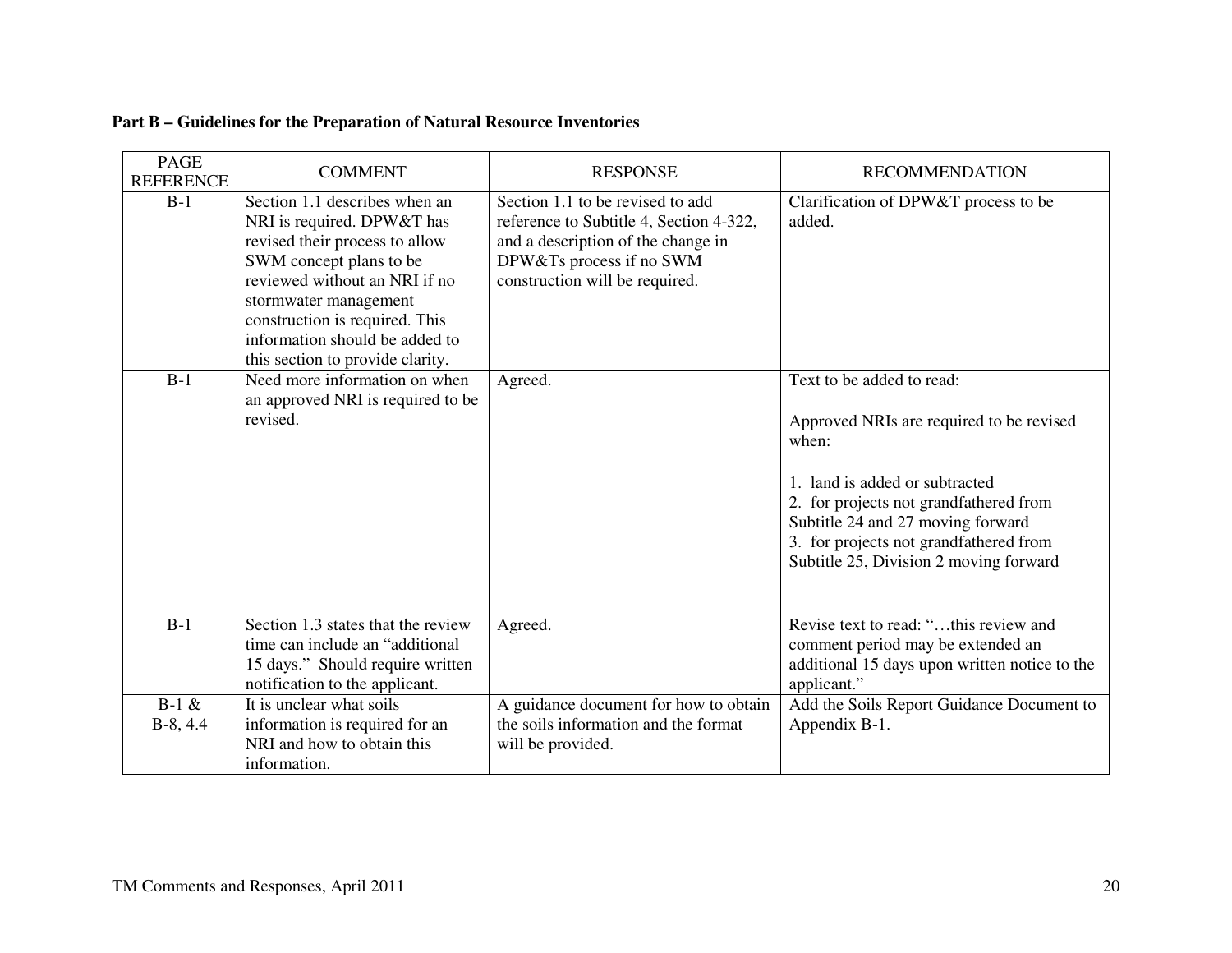### **Part B – Guidelines for the Preparation of Natural Resource Inventories**

| <b>PAGE</b><br><b>REFERENCE</b> | <b>COMMENT</b>                                                                                                                                                                                                                                                                             | <b>RESPONSE</b>                                                                                                                                                                 | <b>RECOMMENDATION</b>                                                                                                                                                                                                                                                               |
|---------------------------------|--------------------------------------------------------------------------------------------------------------------------------------------------------------------------------------------------------------------------------------------------------------------------------------------|---------------------------------------------------------------------------------------------------------------------------------------------------------------------------------|-------------------------------------------------------------------------------------------------------------------------------------------------------------------------------------------------------------------------------------------------------------------------------------|
| $B-1$                           | Section 1.1 describes when an<br>NRI is required. DPW&T has<br>revised their process to allow<br>SWM concept plans to be<br>reviewed without an NRI if no<br>stormwater management<br>construction is required. This<br>information should be added to<br>this section to provide clarity. | Section 1.1 to be revised to add<br>reference to Subtitle 4, Section 4-322,<br>and a description of the change in<br>DPW&Ts process if no SWM<br>construction will be required. | Clarification of DPW&T process to be<br>added.                                                                                                                                                                                                                                      |
| $B-1$                           | Need more information on when<br>an approved NRI is required to be<br>revised.                                                                                                                                                                                                             | Agreed.                                                                                                                                                                         | Text to be added to read:<br>Approved NRIs are required to be revised<br>when:<br>1. land is added or subtracted<br>2. for projects not grandfathered from<br>Subtitle 24 and 27 moving forward<br>3. for projects not grandfathered from<br>Subtitle 25, Division 2 moving forward |
| $B-1$                           | Section 1.3 states that the review<br>time can include an "additional"<br>15 days." Should require written<br>notification to the applicant.                                                                                                                                               | Agreed.                                                                                                                                                                         | Revise text to read: "this review and<br>comment period may be extended an<br>additional 15 days upon written notice to the<br>applicant."                                                                                                                                          |
| $B-1 &$<br>$B-8, 4.4$           | It is unclear what soils<br>information is required for an<br>NRI and how to obtain this<br>information.                                                                                                                                                                                   | A guidance document for how to obtain<br>the soils information and the format<br>will be provided.                                                                              | Add the Soils Report Guidance Document to<br>Appendix B-1.                                                                                                                                                                                                                          |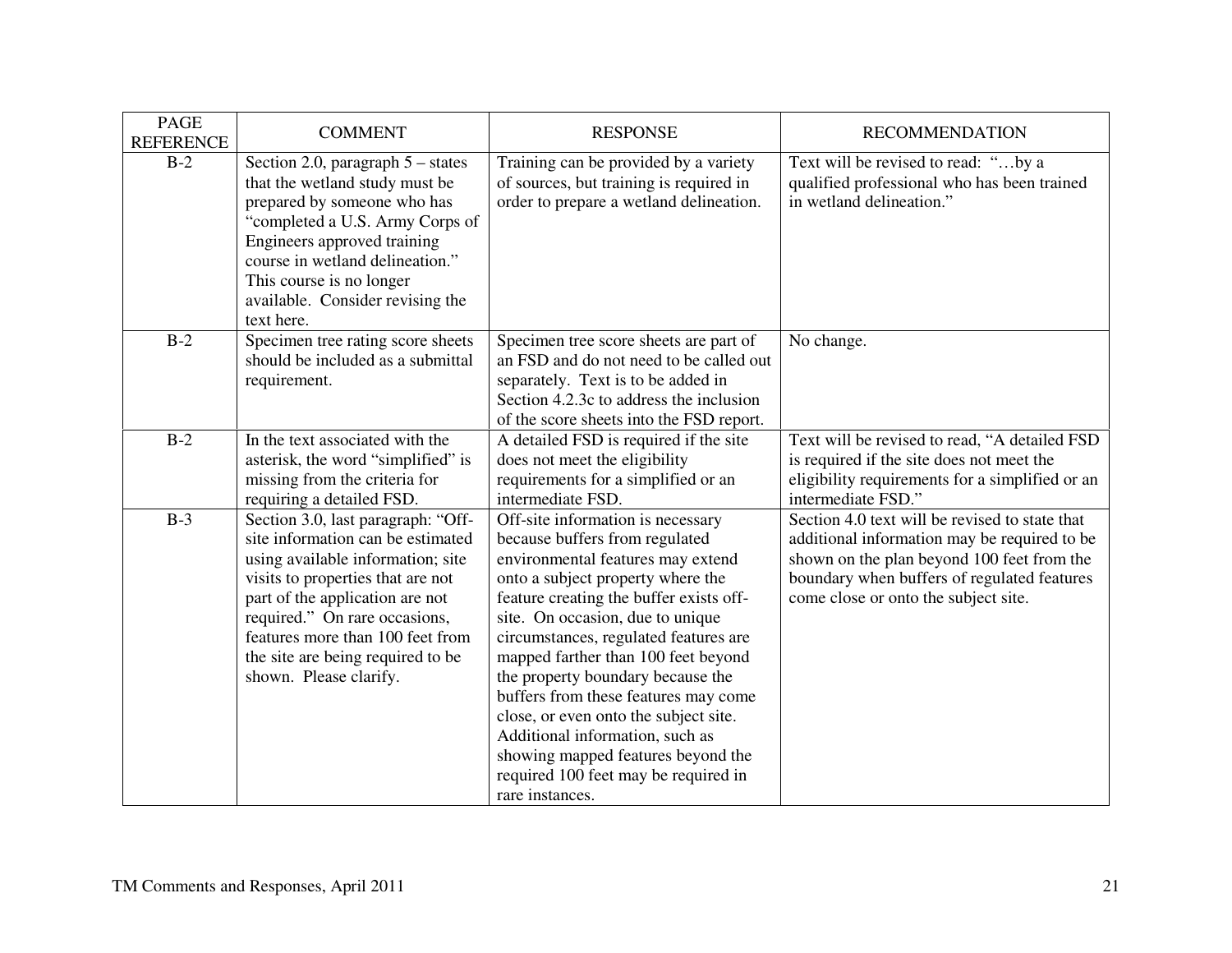| <b>PAGE</b><br><b>REFERENCE</b> | <b>COMMENT</b>                                                                                                                                                                                                                                                                                                           | <b>RESPONSE</b>                                                                                                                                                                                                                                                                                                                                                                                                                                                                                                                                                        | <b>RECOMMENDATION</b>                                                                                                                                                                                                               |
|---------------------------------|--------------------------------------------------------------------------------------------------------------------------------------------------------------------------------------------------------------------------------------------------------------------------------------------------------------------------|------------------------------------------------------------------------------------------------------------------------------------------------------------------------------------------------------------------------------------------------------------------------------------------------------------------------------------------------------------------------------------------------------------------------------------------------------------------------------------------------------------------------------------------------------------------------|-------------------------------------------------------------------------------------------------------------------------------------------------------------------------------------------------------------------------------------|
| $B-2$                           | Section 2.0, paragraph $5 -$ states<br>that the wetland study must be<br>prepared by someone who has<br>"completed a U.S. Army Corps of<br>Engineers approved training<br>course in wetland delineation."<br>This course is no longer<br>available. Consider revising the<br>text here.                                  | Training can be provided by a variety<br>of sources, but training is required in<br>order to prepare a wetland delineation.                                                                                                                                                                                                                                                                                                                                                                                                                                            | Text will be revised to read: "by a<br>qualified professional who has been trained<br>in wetland delineation."                                                                                                                      |
| $B-2$                           | Specimen tree rating score sheets<br>should be included as a submittal<br>requirement.                                                                                                                                                                                                                                   | Specimen tree score sheets are part of<br>an FSD and do not need to be called out<br>separately. Text is to be added in<br>Section 4.2.3c to address the inclusion<br>of the score sheets into the FSD report.                                                                                                                                                                                                                                                                                                                                                         | No change.                                                                                                                                                                                                                          |
| $B-2$                           | In the text associated with the<br>asterisk, the word "simplified" is<br>missing from the criteria for<br>requiring a detailed FSD.                                                                                                                                                                                      | A detailed FSD is required if the site<br>does not meet the eligibility<br>requirements for a simplified or an<br>intermediate FSD.                                                                                                                                                                                                                                                                                                                                                                                                                                    | Text will be revised to read, "A detailed FSD<br>is required if the site does not meet the<br>eligibility requirements for a simplified or an<br>intermediate FSD."                                                                 |
| $B-3$                           | Section 3.0, last paragraph: "Off-<br>site information can be estimated<br>using available information; site<br>visits to properties that are not<br>part of the application are not<br>required." On rare occasions,<br>features more than 100 feet from<br>the site are being required to be<br>shown. Please clarify. | Off-site information is necessary<br>because buffers from regulated<br>environmental features may extend<br>onto a subject property where the<br>feature creating the buffer exists off-<br>site. On occasion, due to unique<br>circumstances, regulated features are<br>mapped farther than 100 feet beyond<br>the property boundary because the<br>buffers from these features may come<br>close, or even onto the subject site.<br>Additional information, such as<br>showing mapped features beyond the<br>required 100 feet may be required in<br>rare instances. | Section 4.0 text will be revised to state that<br>additional information may be required to be<br>shown on the plan beyond 100 feet from the<br>boundary when buffers of regulated features<br>come close or onto the subject site. |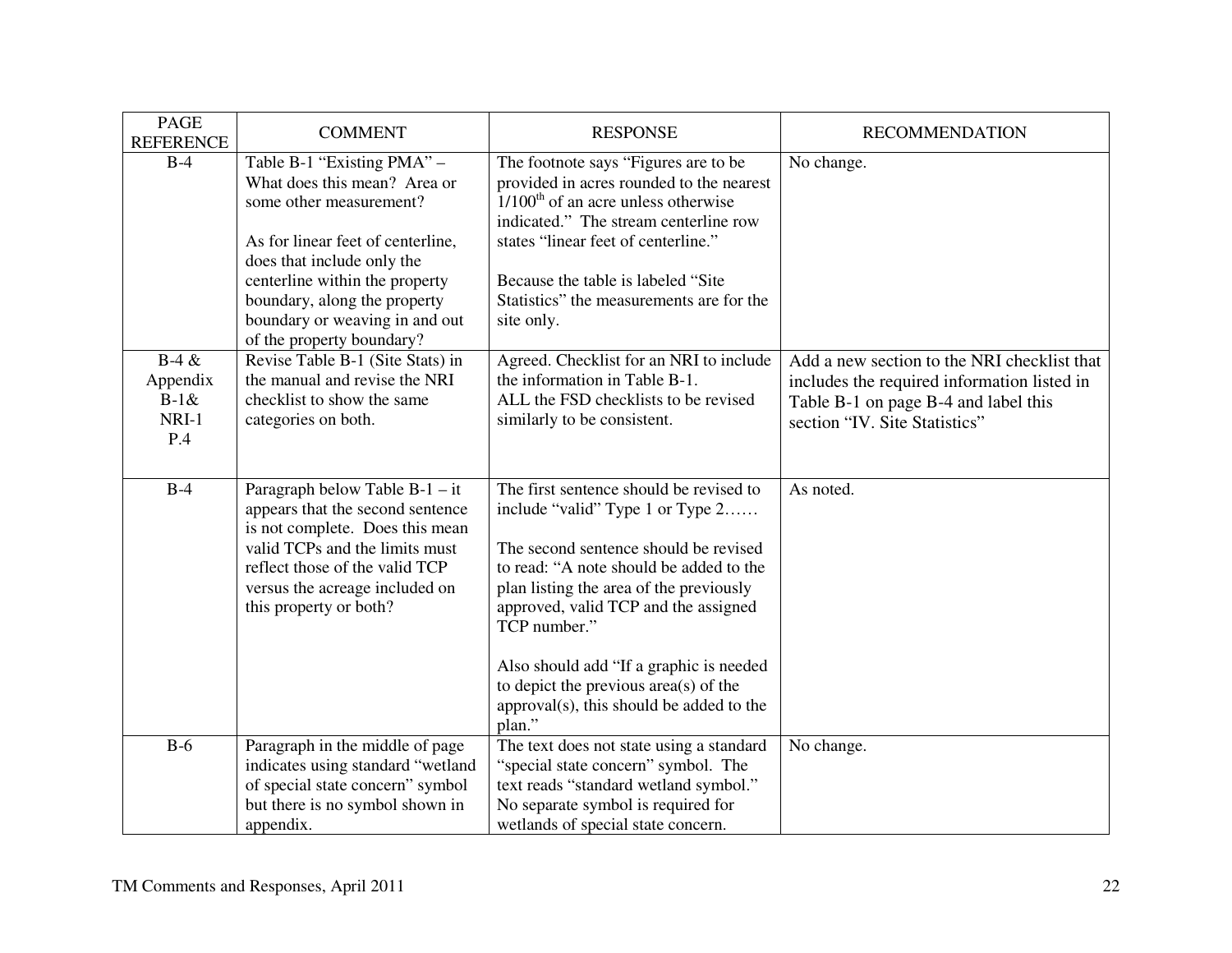| <b>PAGE</b><br><b>REFERENCE</b>                | <b>COMMENT</b>                                                                                                                                                                                                                                                                            | <b>RESPONSE</b>                                                                                                                                                                                                                                                                                                                                                                                                | <b>RECOMMENDATION</b>                                                                                                                                               |
|------------------------------------------------|-------------------------------------------------------------------------------------------------------------------------------------------------------------------------------------------------------------------------------------------------------------------------------------------|----------------------------------------------------------------------------------------------------------------------------------------------------------------------------------------------------------------------------------------------------------------------------------------------------------------------------------------------------------------------------------------------------------------|---------------------------------------------------------------------------------------------------------------------------------------------------------------------|
| $B-4$                                          | Table B-1 "Existing PMA" -<br>What does this mean? Area or<br>some other measurement?<br>As for linear feet of centerline,<br>does that include only the<br>centerline within the property<br>boundary, along the property<br>boundary or weaving in and out<br>of the property boundary? | The footnote says "Figures are to be<br>provided in acres rounded to the nearest<br>$1/100$ <sup>th</sup> of an acre unless otherwise<br>indicated." The stream centerline row<br>states "linear feet of centerline."<br>Because the table is labeled "Site"<br>Statistics" the measurements are for the<br>site only.                                                                                         | No change.                                                                                                                                                          |
| $B-4 &$<br>Appendix<br>$B-1&&$<br>NRI-1<br>P.4 | Revise Table B-1 (Site Stats) in<br>the manual and revise the NRI<br>checklist to show the same<br>categories on both.                                                                                                                                                                    | Agreed. Checklist for an NRI to include<br>the information in Table B-1.<br>ALL the FSD checklists to be revised<br>similarly to be consistent.                                                                                                                                                                                                                                                                | Add a new section to the NRI checklist that<br>includes the required information listed in<br>Table B-1 on page B-4 and label this<br>section "IV. Site Statistics" |
| $B-4$                                          | Paragraph below Table $B-1 - it$<br>appears that the second sentence<br>is not complete. Does this mean<br>valid TCPs and the limits must<br>reflect those of the valid TCP<br>versus the acreage included on<br>this property or both?                                                   | The first sentence should be revised to<br>include "valid" Type 1 or Type 2<br>The second sentence should be revised<br>to read: "A note should be added to the<br>plan listing the area of the previously<br>approved, valid TCP and the assigned<br>TCP number."<br>Also should add "If a graphic is needed<br>to depict the previous $area(s)$ of the<br>approval(s), this should be added to the<br>plan." | As noted.                                                                                                                                                           |
| $B-6$                                          | Paragraph in the middle of page<br>indicates using standard "wetland<br>of special state concern" symbol<br>but there is no symbol shown in<br>appendix.                                                                                                                                  | The text does not state using a standard<br>"special state concern" symbol. The<br>text reads "standard wetland symbol."<br>No separate symbol is required for<br>wetlands of special state concern.                                                                                                                                                                                                           | No change.                                                                                                                                                          |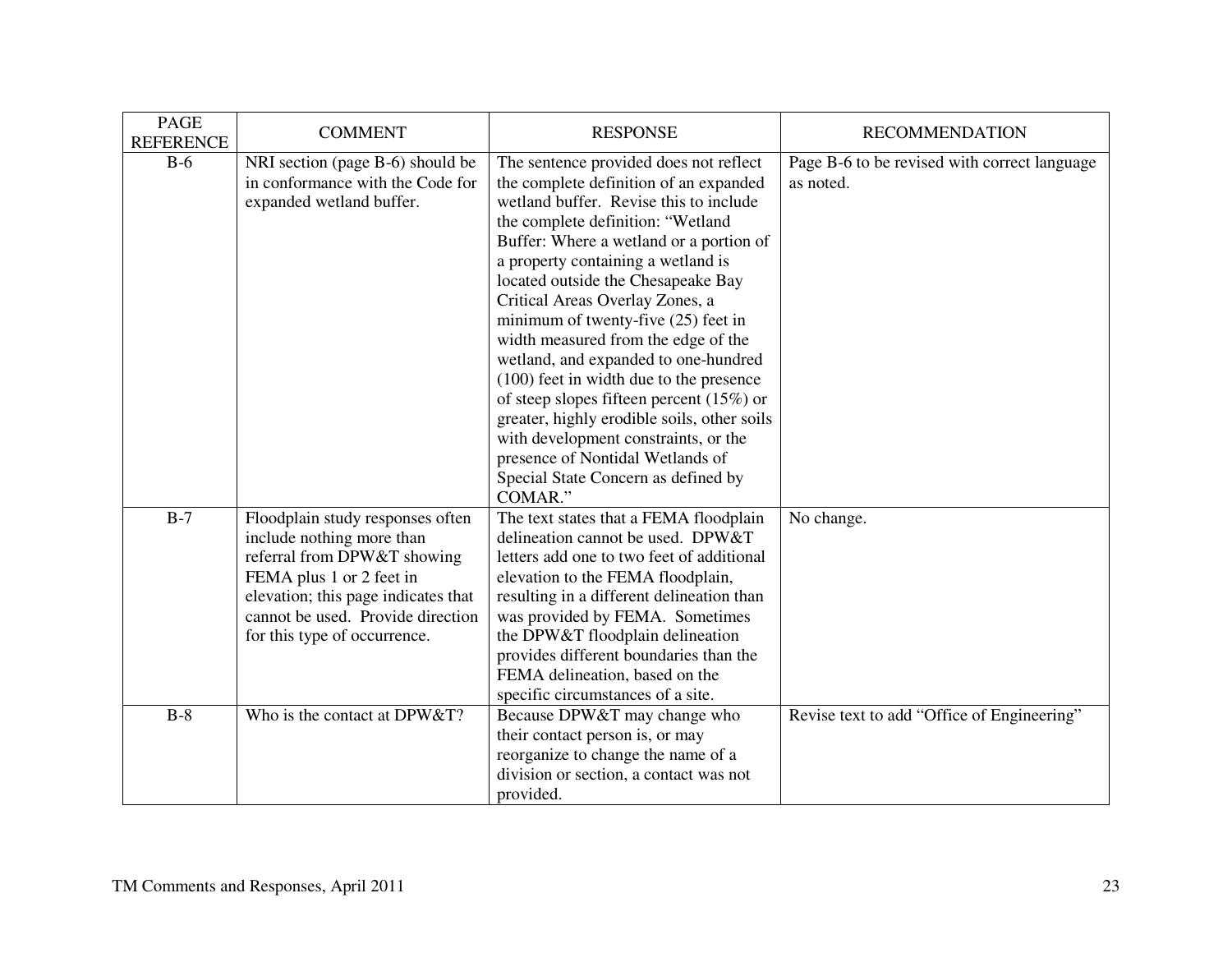| <b>PAGE</b><br><b>REFERENCE</b> | <b>COMMENT</b>                                                                                                                                                                                                                       | <b>RESPONSE</b>                                                                                                                                                                                                                                                                                                                                                                                                                                                                                                                                                                                                                                                                                                         | <b>RECOMMENDATION</b>                                     |
|---------------------------------|--------------------------------------------------------------------------------------------------------------------------------------------------------------------------------------------------------------------------------------|-------------------------------------------------------------------------------------------------------------------------------------------------------------------------------------------------------------------------------------------------------------------------------------------------------------------------------------------------------------------------------------------------------------------------------------------------------------------------------------------------------------------------------------------------------------------------------------------------------------------------------------------------------------------------------------------------------------------------|-----------------------------------------------------------|
| $B-6$                           | NRI section (page B-6) should be<br>in conformance with the Code for<br>expanded wetland buffer.                                                                                                                                     | The sentence provided does not reflect<br>the complete definition of an expanded<br>wetland buffer. Revise this to include<br>the complete definition: "Wetland<br>Buffer: Where a wetland or a portion of<br>a property containing a wetland is<br>located outside the Chesapeake Bay<br>Critical Areas Overlay Zones, a<br>minimum of twenty-five (25) feet in<br>width measured from the edge of the<br>wetland, and expanded to one-hundred<br>$(100)$ feet in width due to the presence<br>of steep slopes fifteen percent $(15%)$ or<br>greater, highly erodible soils, other soils<br>with development constraints, or the<br>presence of Nontidal Wetlands of<br>Special State Concern as defined by<br>COMAR." | Page B-6 to be revised with correct language<br>as noted. |
| $B-7$                           | Floodplain study responses often<br>include nothing more than<br>referral from DPW&T showing<br>FEMA plus 1 or 2 feet in<br>elevation; this page indicates that<br>cannot be used. Provide direction<br>for this type of occurrence. | The text states that a FEMA floodplain<br>delineation cannot be used. DPW&T<br>letters add one to two feet of additional<br>elevation to the FEMA floodplain,<br>resulting in a different delineation than<br>was provided by FEMA. Sometimes<br>the DPW&T floodplain delineation<br>provides different boundaries than the<br>FEMA delineation, based on the<br>specific circumstances of a site.                                                                                                                                                                                                                                                                                                                      | No change.                                                |
| $B-8$                           | Who is the contact at DPW&T?                                                                                                                                                                                                         | Because DPW&T may change who<br>their contact person is, or may<br>reorganize to change the name of a<br>division or section, a contact was not<br>provided.                                                                                                                                                                                                                                                                                                                                                                                                                                                                                                                                                            | Revise text to add "Office of Engineering"                |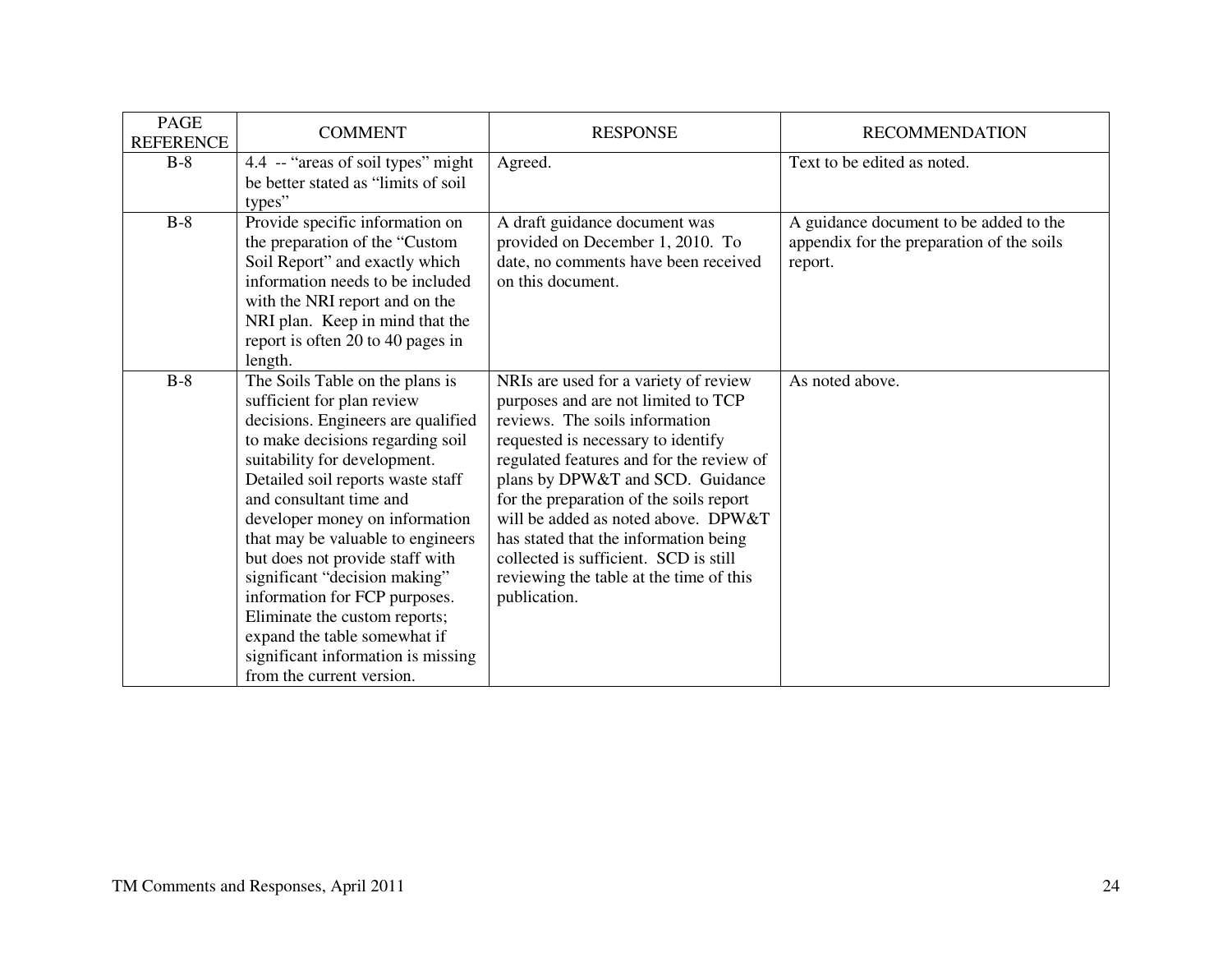| <b>PAGE</b><br><b>REFERENCE</b> | <b>COMMENT</b>                                                                                                                                                                                                                                                                                                                                                                                                                                                                                                                                          | <b>RESPONSE</b>                                                                                                                                                                                                                                                                                                                                                                                                                                                     | <b>RECOMMENDATION</b>                                                                          |
|---------------------------------|---------------------------------------------------------------------------------------------------------------------------------------------------------------------------------------------------------------------------------------------------------------------------------------------------------------------------------------------------------------------------------------------------------------------------------------------------------------------------------------------------------------------------------------------------------|---------------------------------------------------------------------------------------------------------------------------------------------------------------------------------------------------------------------------------------------------------------------------------------------------------------------------------------------------------------------------------------------------------------------------------------------------------------------|------------------------------------------------------------------------------------------------|
| $B-8$                           | 4.4 -- "areas of soil types" might<br>be better stated as "limits of soil<br>types"                                                                                                                                                                                                                                                                                                                                                                                                                                                                     | Agreed.                                                                                                                                                                                                                                                                                                                                                                                                                                                             | Text to be edited as noted.                                                                    |
| $B-8$                           | Provide specific information on<br>the preparation of the "Custom"<br>Soil Report" and exactly which<br>information needs to be included<br>with the NRI report and on the<br>NRI plan. Keep in mind that the<br>report is often 20 to 40 pages in<br>length.                                                                                                                                                                                                                                                                                           | A draft guidance document was<br>provided on December 1, 2010. To<br>date, no comments have been received<br>on this document.                                                                                                                                                                                                                                                                                                                                      | A guidance document to be added to the<br>appendix for the preparation of the soils<br>report. |
| $B-8$                           | The Soils Table on the plans is<br>sufficient for plan review<br>decisions. Engineers are qualified<br>to make decisions regarding soil<br>suitability for development.<br>Detailed soil reports waste staff<br>and consultant time and<br>developer money on information<br>that may be valuable to engineers<br>but does not provide staff with<br>significant "decision making"<br>information for FCP purposes.<br>Eliminate the custom reports;<br>expand the table somewhat if<br>significant information is missing<br>from the current version. | NRIs are used for a variety of review<br>purposes and are not limited to TCP<br>reviews. The soils information<br>requested is necessary to identify<br>regulated features and for the review of<br>plans by DPW&T and SCD. Guidance<br>for the preparation of the soils report<br>will be added as noted above. DPW&T<br>has stated that the information being<br>collected is sufficient. SCD is still<br>reviewing the table at the time of this<br>publication. | As noted above.                                                                                |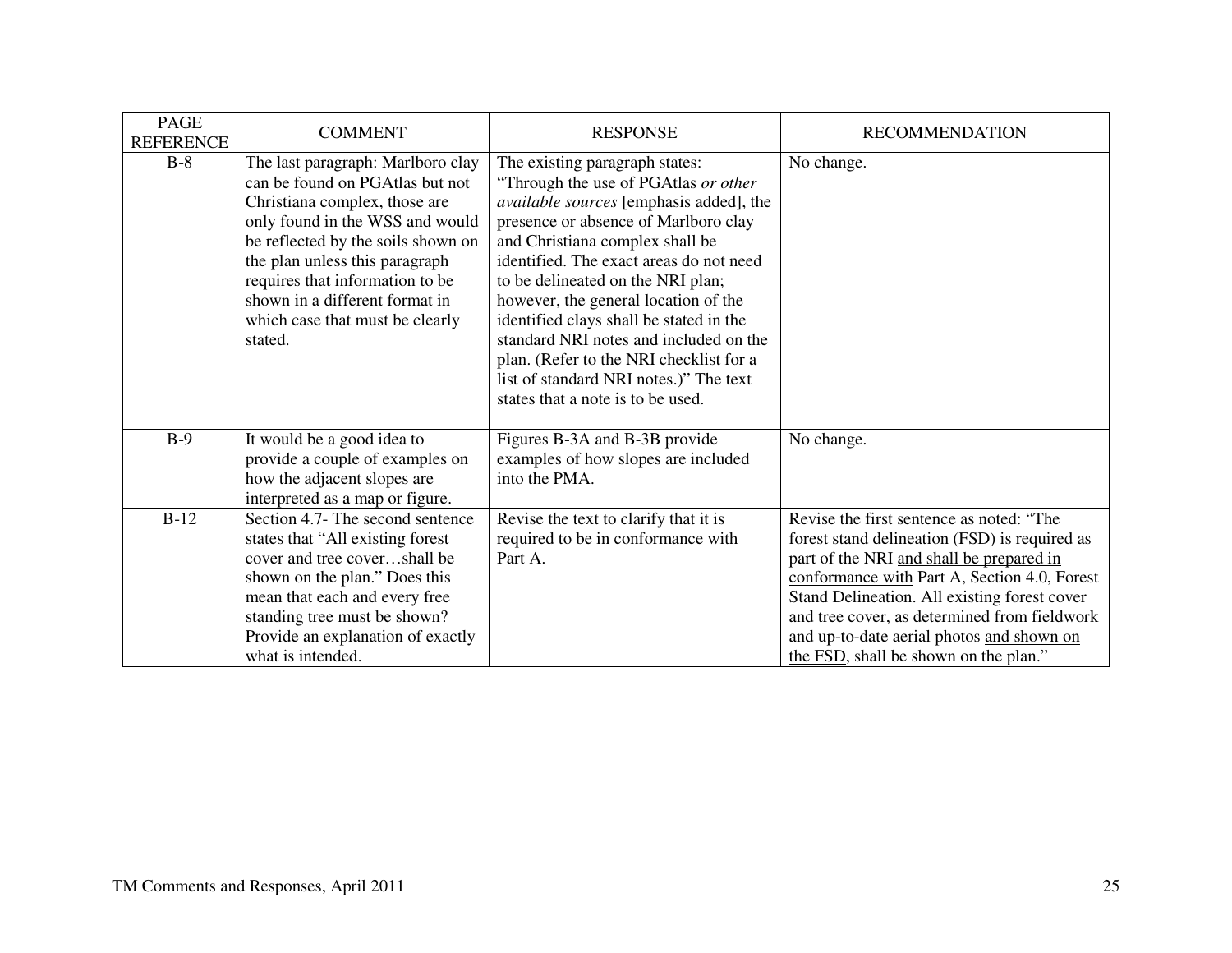| <b>PAGE</b><br><b>REFERENCE</b> | <b>COMMENT</b>                                                                                                                                                                                                                                                                                                                      | <b>RESPONSE</b>                                                                                                                                                                                                                                                                                                                                                                                                                                                                                                                     | <b>RECOMMENDATION</b>                                                                                                                                                                                                                                                                                                                                                       |
|---------------------------------|-------------------------------------------------------------------------------------------------------------------------------------------------------------------------------------------------------------------------------------------------------------------------------------------------------------------------------------|-------------------------------------------------------------------------------------------------------------------------------------------------------------------------------------------------------------------------------------------------------------------------------------------------------------------------------------------------------------------------------------------------------------------------------------------------------------------------------------------------------------------------------------|-----------------------------------------------------------------------------------------------------------------------------------------------------------------------------------------------------------------------------------------------------------------------------------------------------------------------------------------------------------------------------|
| $B-8$                           | The last paragraph: Marlboro clay<br>can be found on PGAtlas but not<br>Christiana complex, those are<br>only found in the WSS and would<br>be reflected by the soils shown on<br>the plan unless this paragraph<br>requires that information to be<br>shown in a different format in<br>which case that must be clearly<br>stated. | The existing paragraph states:<br>"Through the use of PGAtlas or other<br>available sources [emphasis added], the<br>presence or absence of Marlboro clay<br>and Christiana complex shall be<br>identified. The exact areas do not need<br>to be delineated on the NRI plan;<br>however, the general location of the<br>identified clays shall be stated in the<br>standard NRI notes and included on the<br>plan. (Refer to the NRI checklist for a<br>list of standard NRI notes.)" The text<br>states that a note is to be used. | No change.                                                                                                                                                                                                                                                                                                                                                                  |
| $B-9$                           | It would be a good idea to<br>provide a couple of examples on<br>how the adjacent slopes are<br>interpreted as a map or figure.                                                                                                                                                                                                     | Figures B-3A and B-3B provide<br>examples of how slopes are included<br>into the PMA.                                                                                                                                                                                                                                                                                                                                                                                                                                               | No change.                                                                                                                                                                                                                                                                                                                                                                  |
| $B-12$                          | Section 4.7- The second sentence<br>states that "All existing forest<br>cover and tree covershall be<br>shown on the plan." Does this<br>mean that each and every free<br>standing tree must be shown?<br>Provide an explanation of exactly<br>what is intended.                                                                    | Revise the text to clarify that it is<br>required to be in conformance with<br>Part A.                                                                                                                                                                                                                                                                                                                                                                                                                                              | Revise the first sentence as noted: "The<br>forest stand delineation (FSD) is required as<br>part of the NRI and shall be prepared in<br>conformance with Part A, Section 4.0, Forest<br>Stand Delineation. All existing forest cover<br>and tree cover, as determined from fieldwork<br>and up-to-date aerial photos and shown on<br>the FSD, shall be shown on the plan." |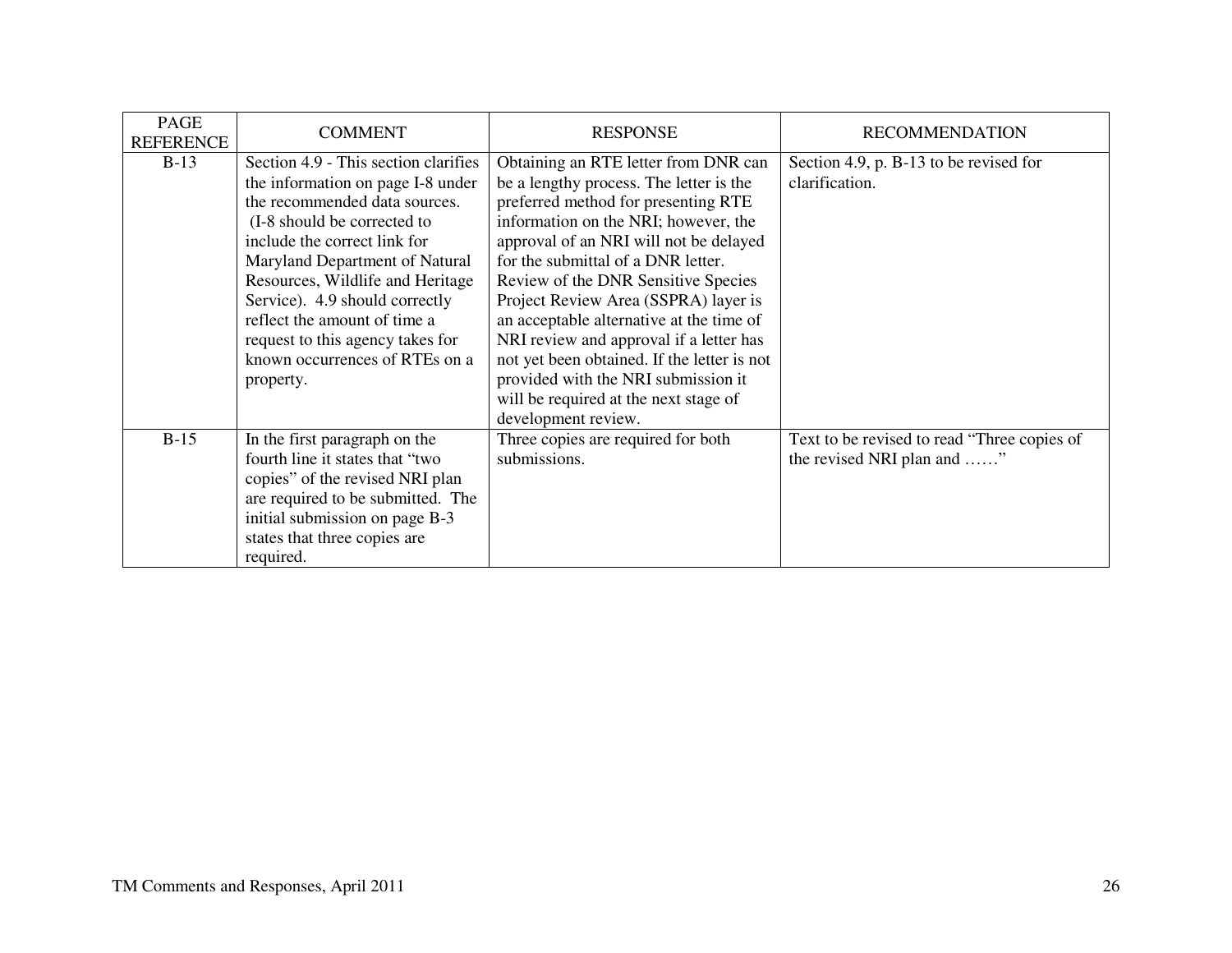| PAGE<br><b>REFERENCE</b> | <b>COMMENT</b>                                                                                                                                                                                                                                                                                                                                                                                       | <b>RESPONSE</b>                                                                                                                                                                                                                                                                                                                                                                                                                                                                                                                                                            | <b>RECOMMENDATION</b>                                                     |
|--------------------------|------------------------------------------------------------------------------------------------------------------------------------------------------------------------------------------------------------------------------------------------------------------------------------------------------------------------------------------------------------------------------------------------------|----------------------------------------------------------------------------------------------------------------------------------------------------------------------------------------------------------------------------------------------------------------------------------------------------------------------------------------------------------------------------------------------------------------------------------------------------------------------------------------------------------------------------------------------------------------------------|---------------------------------------------------------------------------|
| $B-13$                   | Section 4.9 - This section clarifies<br>the information on page I-8 under<br>the recommended data sources.<br>(I-8 should be corrected to<br>include the correct link for<br>Maryland Department of Natural<br>Resources, Wildlife and Heritage<br>Service). 4.9 should correctly<br>reflect the amount of time a<br>request to this agency takes for<br>known occurrences of RTEs on a<br>property. | Obtaining an RTE letter from DNR can<br>be a lengthy process. The letter is the<br>preferred method for presenting RTE<br>information on the NRI; however, the<br>approval of an NRI will not be delayed<br>for the submittal of a DNR letter.<br>Review of the DNR Sensitive Species<br>Project Review Area (SSPRA) layer is<br>an acceptable alternative at the time of<br>NRI review and approval if a letter has<br>not yet been obtained. If the letter is not<br>provided with the NRI submission it<br>will be required at the next stage of<br>development review. | Section 4.9, p. B-13 to be revised for<br>clarification.                  |
| $B-15$                   | In the first paragraph on the<br>fourth line it states that "two<br>copies" of the revised NRI plan<br>are required to be submitted. The<br>initial submission on page B-3<br>states that three copies are<br>required.                                                                                                                                                                              | Three copies are required for both<br>submissions.                                                                                                                                                                                                                                                                                                                                                                                                                                                                                                                         | Text to be revised to read "Three copies of<br>the revised NRI plan and " |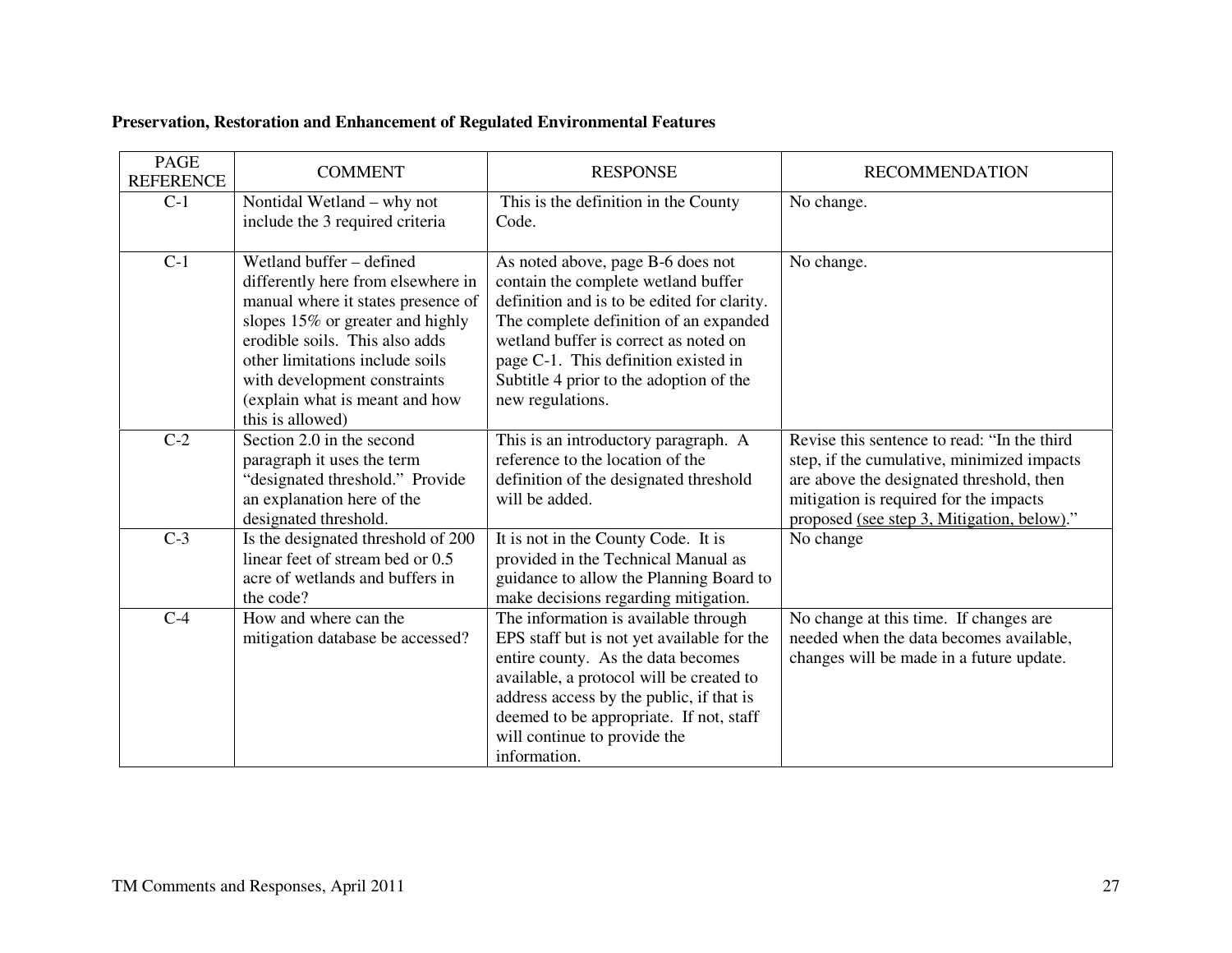### **Preservation, Restoration and Enhancement of Regulated Environmental Features**

| <b>PAGE</b><br><b>REFERENCE</b> | <b>COMMENT</b>                                                                                                                                                                                                                                                                                      | <b>RESPONSE</b>                                                                                                                                                                                                                                                                                                   | <b>RECOMMENDATION</b>                                                                                                                                                                                                         |
|---------------------------------|-----------------------------------------------------------------------------------------------------------------------------------------------------------------------------------------------------------------------------------------------------------------------------------------------------|-------------------------------------------------------------------------------------------------------------------------------------------------------------------------------------------------------------------------------------------------------------------------------------------------------------------|-------------------------------------------------------------------------------------------------------------------------------------------------------------------------------------------------------------------------------|
| $C-1$                           | Nontidal Wetland – why not<br>include the 3 required criteria                                                                                                                                                                                                                                       | This is the definition in the County<br>Code.                                                                                                                                                                                                                                                                     | No change.                                                                                                                                                                                                                    |
| $C-1$                           | Wetland buffer – defined<br>differently here from elsewhere in<br>manual where it states presence of<br>slopes 15% or greater and highly<br>erodible soils. This also adds<br>other limitations include soils<br>with development constraints<br>(explain what is meant and how<br>this is allowed) | As noted above, page B-6 does not<br>contain the complete wetland buffer<br>definition and is to be edited for clarity.<br>The complete definition of an expanded<br>wetland buffer is correct as noted on<br>page C-1. This definition existed in<br>Subtitle 4 prior to the adoption of the<br>new regulations. | No change.                                                                                                                                                                                                                    |
| $C-2$                           | Section 2.0 in the second<br>paragraph it uses the term<br>"designated threshold." Provide<br>an explanation here of the<br>designated threshold.                                                                                                                                                   | This is an introductory paragraph. A<br>reference to the location of the<br>definition of the designated threshold<br>will be added.                                                                                                                                                                              | Revise this sentence to read: "In the third<br>step, if the cumulative, minimized impacts<br>are above the designated threshold, then<br>mitigation is required for the impacts<br>proposed (see step 3, Mitigation, below)." |
| $C-3$                           | Is the designated threshold of 200<br>linear feet of stream bed or 0.5<br>acre of wetlands and buffers in<br>the code?                                                                                                                                                                              | It is not in the County Code. It is<br>provided in the Technical Manual as<br>guidance to allow the Planning Board to<br>make decisions regarding mitigation.                                                                                                                                                     | No change                                                                                                                                                                                                                     |
| $C-4$                           | How and where can the<br>mitigation database be accessed?                                                                                                                                                                                                                                           | The information is available through<br>EPS staff but is not yet available for the<br>entire county. As the data becomes<br>available, a protocol will be created to<br>address access by the public, if that is<br>deemed to be appropriate. If not, staff<br>will continue to provide the<br>information.       | No change at this time. If changes are<br>needed when the data becomes available,<br>changes will be made in a future update.                                                                                                 |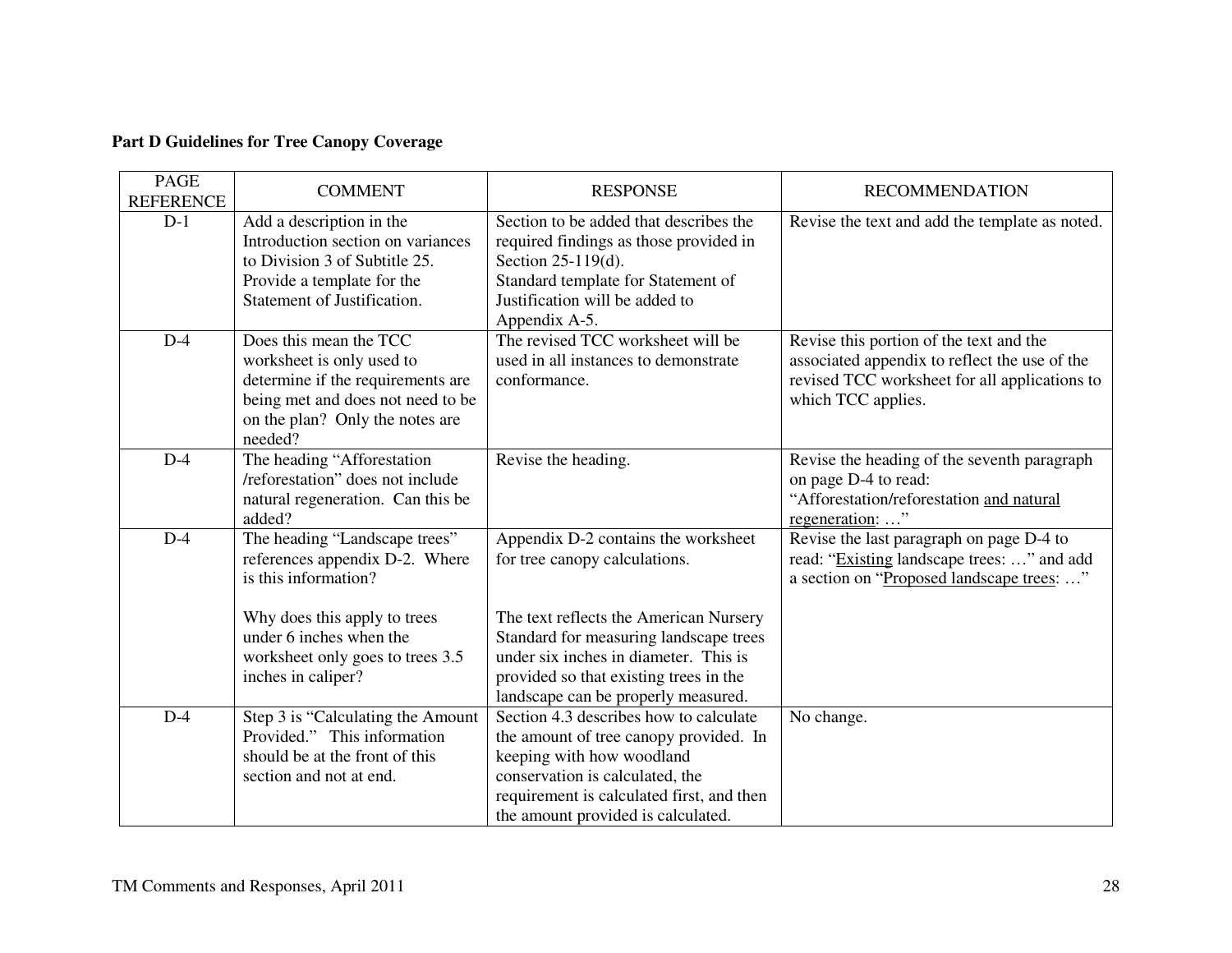# **Part D Guidelines for Tree Canopy Coverage**

| <b>PAGE</b><br><b>REFERENCE</b> | <b>COMMENT</b>                                                                                                                                                                                               | <b>RESPONSE</b>                                                                                                                                                                                                                                                                    | <b>RECOMMENDATION</b>                                                                                                                                           |
|---------------------------------|--------------------------------------------------------------------------------------------------------------------------------------------------------------------------------------------------------------|------------------------------------------------------------------------------------------------------------------------------------------------------------------------------------------------------------------------------------------------------------------------------------|-----------------------------------------------------------------------------------------------------------------------------------------------------------------|
| $D-1$                           | Add a description in the<br>Introduction section on variances<br>to Division 3 of Subtitle 25.<br>Provide a template for the<br>Statement of Justification.                                                  | Section to be added that describes the<br>required findings as those provided in<br>Section 25-119(d).<br>Standard template for Statement of<br>Justification will be added to<br>Appendix A-5.                                                                                    | Revise the text and add the template as noted.                                                                                                                  |
| $D-4$                           | Does this mean the TCC<br>worksheet is only used to<br>determine if the requirements are<br>being met and does not need to be<br>on the plan? Only the notes are<br>needed?                                  | The revised TCC worksheet will be<br>used in all instances to demonstrate<br>conformance.                                                                                                                                                                                          | Revise this portion of the text and the<br>associated appendix to reflect the use of the<br>revised TCC worksheet for all applications to<br>which TCC applies. |
| $D-4$                           | The heading "Afforestation<br>/reforestation" does not include<br>natural regeneration. Can this be<br>added?                                                                                                | Revise the heading.                                                                                                                                                                                                                                                                | Revise the heading of the seventh paragraph<br>on page D-4 to read:<br>"Afforestation/reforestation and natural<br>regeneration: "                              |
| $D-4$                           | The heading "Landscape trees"<br>references appendix D-2. Where<br>is this information?<br>Why does this apply to trees<br>under 6 inches when the<br>worksheet only goes to trees 3.5<br>inches in caliper? | Appendix D-2 contains the worksheet<br>for tree canopy calculations.<br>The text reflects the American Nursery<br>Standard for measuring landscape trees<br>under six inches in diameter. This is<br>provided so that existing trees in the<br>landscape can be properly measured. | Revise the last paragraph on page D-4 to<br>read: "Existing landscape trees: " and add<br>a section on "Proposed landscape trees: "                             |
| $D-4$                           | Step 3 is "Calculating the Amount<br>Provided." This information<br>should be at the front of this<br>section and not at end.                                                                                | Section 4.3 describes how to calculate<br>the amount of tree canopy provided. In<br>keeping with how woodland<br>conservation is calculated, the<br>requirement is calculated first, and then<br>the amount provided is calculated.                                                | No change.                                                                                                                                                      |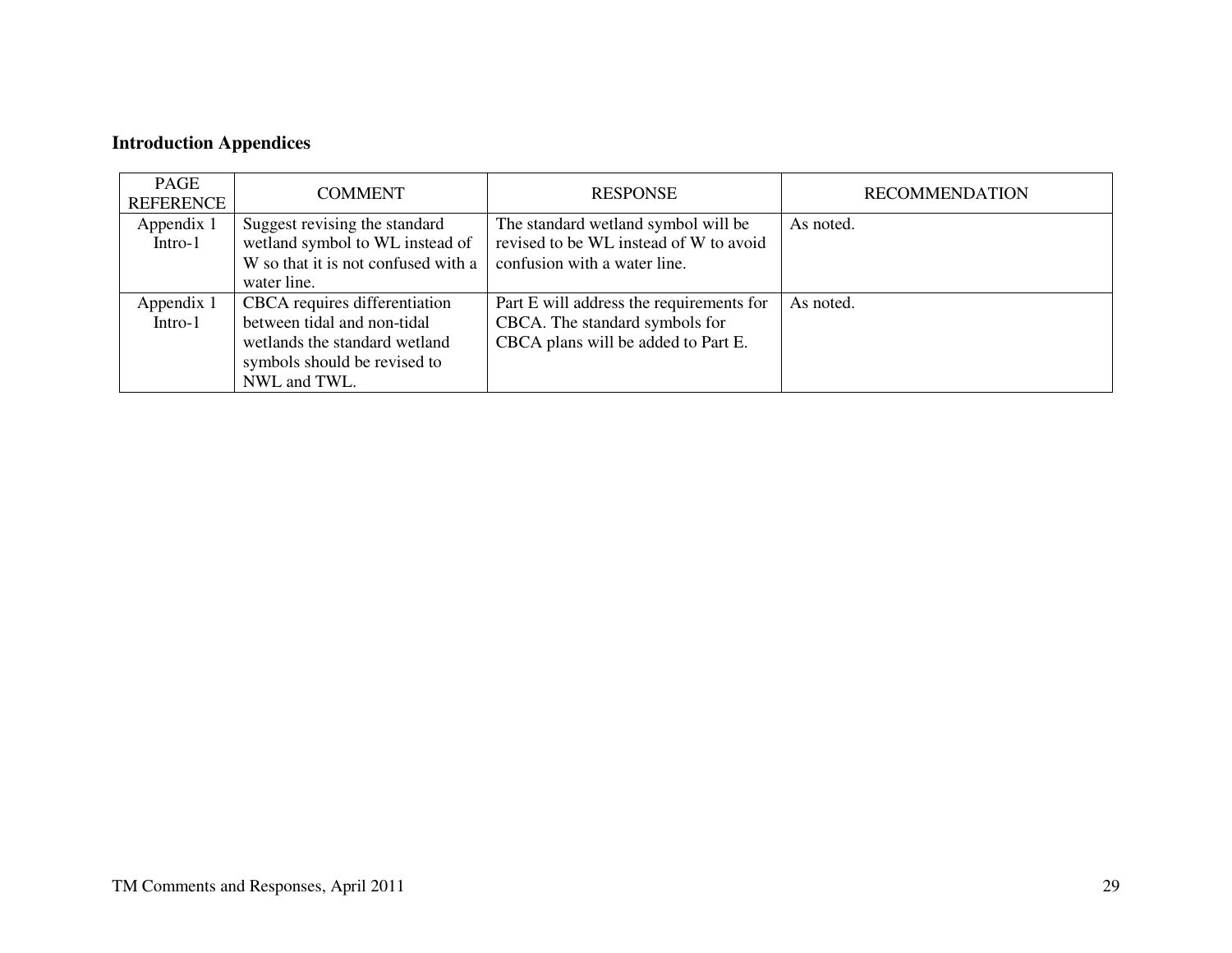# **Introduction Appendices**

| PAGE<br><b>REFERENCE</b> | <b>COMMENT</b>                                                                                                                                | <b>RESPONSE</b>                                                                                                   | <b>RECOMMENDATION</b> |
|--------------------------|-----------------------------------------------------------------------------------------------------------------------------------------------|-------------------------------------------------------------------------------------------------------------------|-----------------------|
| Appendix 1<br>$Intro-1$  | Suggest revising the standard<br>wetland symbol to WL instead of<br>W so that it is not confused with a<br>water line.                        | The standard wetland symbol will be<br>revised to be WL instead of W to avoid<br>confusion with a water line.     | As noted.             |
| Appendix 1<br>$Intro-1$  | CBCA requires differentiation<br>between tidal and non-tidal<br>wetlands the standard wetland<br>symbols should be revised to<br>NWL and TWL. | Part E will address the requirements for<br>CBCA. The standard symbols for<br>CBCA plans will be added to Part E. | As noted.             |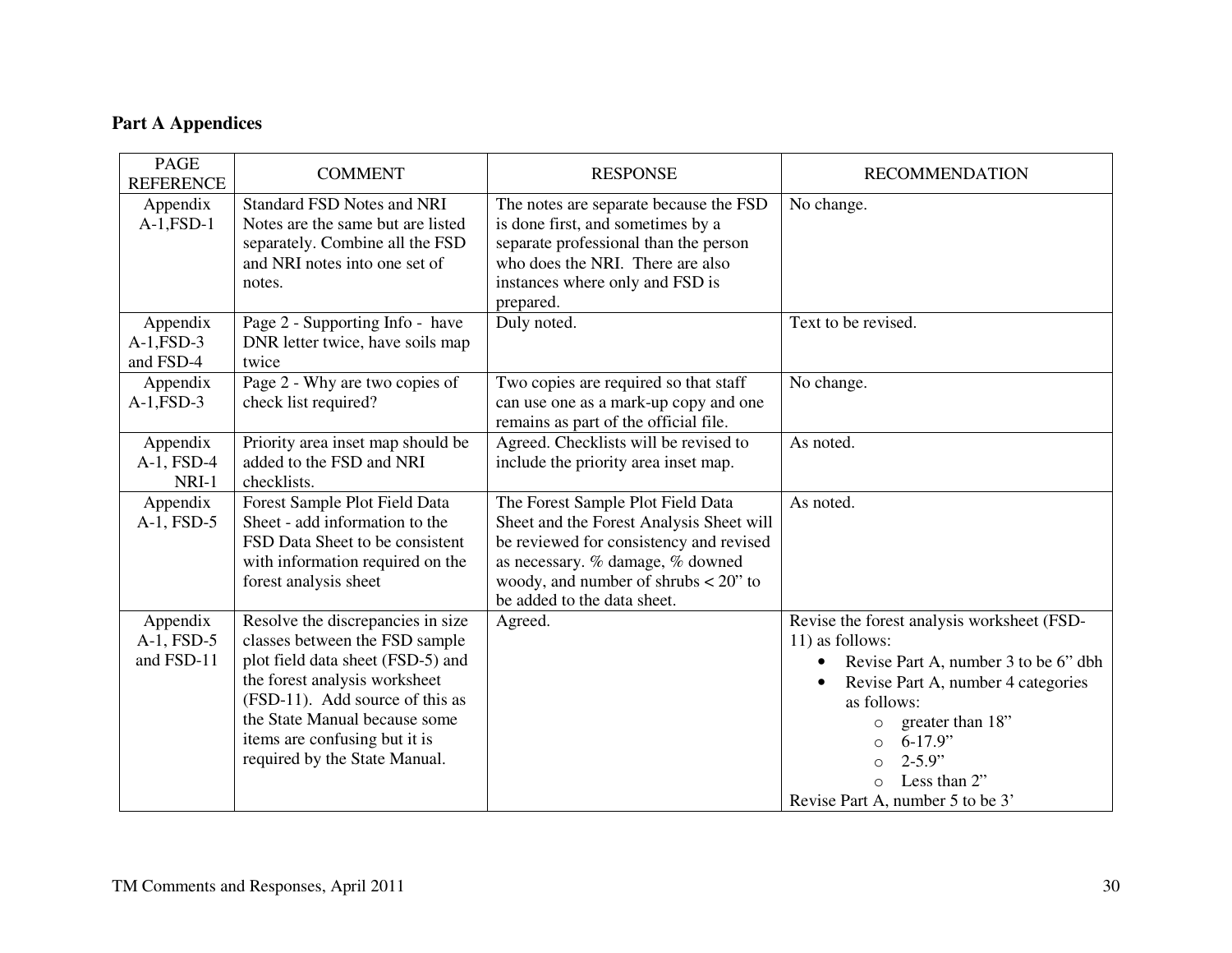### **Part A Appendices**

| <b>PAGE</b><br><b>REFERENCE</b>          | <b>COMMENT</b>                                                                                                                                                                                                                                                                  | <b>RESPONSE</b>                                                                                                                                                                                                                        | <b>RECOMMENDATION</b>                                                                                                                                                                                                                                                                                                     |
|------------------------------------------|---------------------------------------------------------------------------------------------------------------------------------------------------------------------------------------------------------------------------------------------------------------------------------|----------------------------------------------------------------------------------------------------------------------------------------------------------------------------------------------------------------------------------------|---------------------------------------------------------------------------------------------------------------------------------------------------------------------------------------------------------------------------------------------------------------------------------------------------------------------------|
| Appendix<br>$A-1$ , $FSD-1$              | <b>Standard FSD Notes and NRI</b><br>Notes are the same but are listed<br>separately. Combine all the FSD<br>and NRI notes into one set of<br>notes.                                                                                                                            | The notes are separate because the FSD<br>is done first, and sometimes by a<br>separate professional than the person<br>who does the NRI. There are also<br>instances where only and FSD is<br>prepared.                               | No change.                                                                                                                                                                                                                                                                                                                |
| Appendix<br>$A-1$ , $FSD-3$<br>and FSD-4 | Page 2 - Supporting Info - have<br>DNR letter twice, have soils map<br>twice                                                                                                                                                                                                    | Duly noted.                                                                                                                                                                                                                            | Text to be revised.                                                                                                                                                                                                                                                                                                       |
| Appendix<br>$A-1$ , FSD-3                | Page 2 - Why are two copies of<br>check list required?                                                                                                                                                                                                                          | Two copies are required so that staff<br>can use one as a mark-up copy and one<br>remains as part of the official file.                                                                                                                | No change.                                                                                                                                                                                                                                                                                                                |
| Appendix<br>A-1, FSD-4<br>NRI-1          | Priority area inset map should be<br>added to the FSD and NRI<br>checklists.                                                                                                                                                                                                    | Agreed. Checklists will be revised to<br>include the priority area inset map.                                                                                                                                                          | As noted.                                                                                                                                                                                                                                                                                                                 |
| Appendix<br>A-1, FSD-5                   | Forest Sample Plot Field Data<br>Sheet - add information to the<br>FSD Data Sheet to be consistent<br>with information required on the<br>forest analysis sheet                                                                                                                 | The Forest Sample Plot Field Data<br>Sheet and the Forest Analysis Sheet will<br>be reviewed for consistency and revised<br>as necessary. % damage, % downed<br>woody, and number of shrubs $< 20$ " to<br>be added to the data sheet. | As noted.                                                                                                                                                                                                                                                                                                                 |
| Appendix<br>A-1, FSD-5<br>and FSD-11     | Resolve the discrepancies in size<br>classes between the FSD sample<br>plot field data sheet (FSD-5) and<br>the forest analysis worksheet<br>(FSD-11). Add source of this as<br>the State Manual because some<br>items are confusing but it is<br>required by the State Manual. | Agreed.                                                                                                                                                                                                                                | Revise the forest analysis worksheet (FSD-<br>11) as follows:<br>Revise Part A, number 3 to be 6" dbh<br>$\bullet$<br>Revise Part A, number 4 categories<br>as follows:<br>greater than 18"<br>$\circ$<br>$6 - 17.9"$<br>$\circ$<br>$2 - 5.9"$<br>$\circ$<br>Less than 2"<br>$\Omega$<br>Revise Part A, number 5 to be 3' |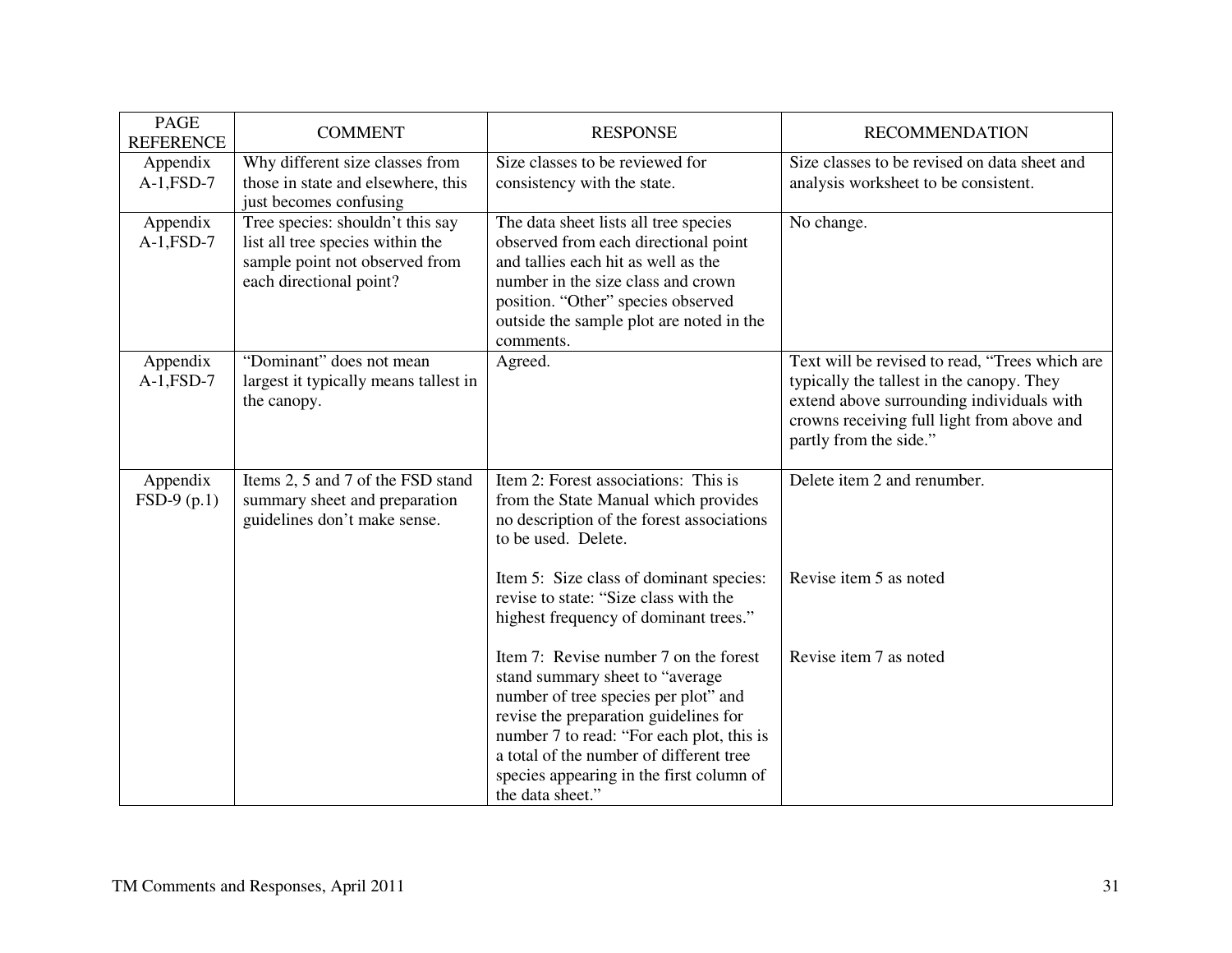| <b>PAGE</b><br><b>REFERENCE</b> | <b>COMMENT</b>                                                                                                                    | <b>RESPONSE</b>                                                                                                                                                                                                                                                                                                    | <b>RECOMMENDATION</b>                                                                                                                                                                                            |
|---------------------------------|-----------------------------------------------------------------------------------------------------------------------------------|--------------------------------------------------------------------------------------------------------------------------------------------------------------------------------------------------------------------------------------------------------------------------------------------------------------------|------------------------------------------------------------------------------------------------------------------------------------------------------------------------------------------------------------------|
| Appendix<br>$A-1$ , FSD-7       | Why different size classes from<br>those in state and elsewhere, this<br>just becomes confusing                                   | Size classes to be reviewed for<br>consistency with the state.                                                                                                                                                                                                                                                     | Size classes to be revised on data sheet and<br>analysis worksheet to be consistent.                                                                                                                             |
| Appendix<br>$A-1$ , FSD-7       | Tree species: shouldn't this say<br>list all tree species within the<br>sample point not observed from<br>each directional point? | The data sheet lists all tree species<br>observed from each directional point<br>and tallies each hit as well as the<br>number in the size class and crown<br>position. "Other" species observed<br>outside the sample plot are noted in the<br>comments.                                                          | No change.                                                                                                                                                                                                       |
| Appendix<br>$A-1$ , FSD-7       | "Dominant" does not mean<br>largest it typically means tallest in<br>the canopy.                                                  | Agreed.                                                                                                                                                                                                                                                                                                            | Text will be revised to read, "Trees which are<br>typically the tallest in the canopy. They<br>extend above surrounding individuals with<br>crowns receiving full light from above and<br>partly from the side." |
| Appendix<br>$FSD-9(p.1)$        | Items 2, 5 and 7 of the FSD stand<br>summary sheet and preparation<br>guidelines don't make sense.                                | Item 2: Forest associations: This is<br>from the State Manual which provides<br>no description of the forest associations<br>to be used. Delete.                                                                                                                                                                   | Delete item 2 and renumber.                                                                                                                                                                                      |
|                                 |                                                                                                                                   | Item 5: Size class of dominant species:<br>revise to state: "Size class with the<br>highest frequency of dominant trees."                                                                                                                                                                                          | Revise item 5 as noted                                                                                                                                                                                           |
|                                 |                                                                                                                                   | Item 7: Revise number 7 on the forest<br>stand summary sheet to "average"<br>number of tree species per plot" and<br>revise the preparation guidelines for<br>number 7 to read: "For each plot, this is<br>a total of the number of different tree<br>species appearing in the first column of<br>the data sheet." | Revise item 7 as noted                                                                                                                                                                                           |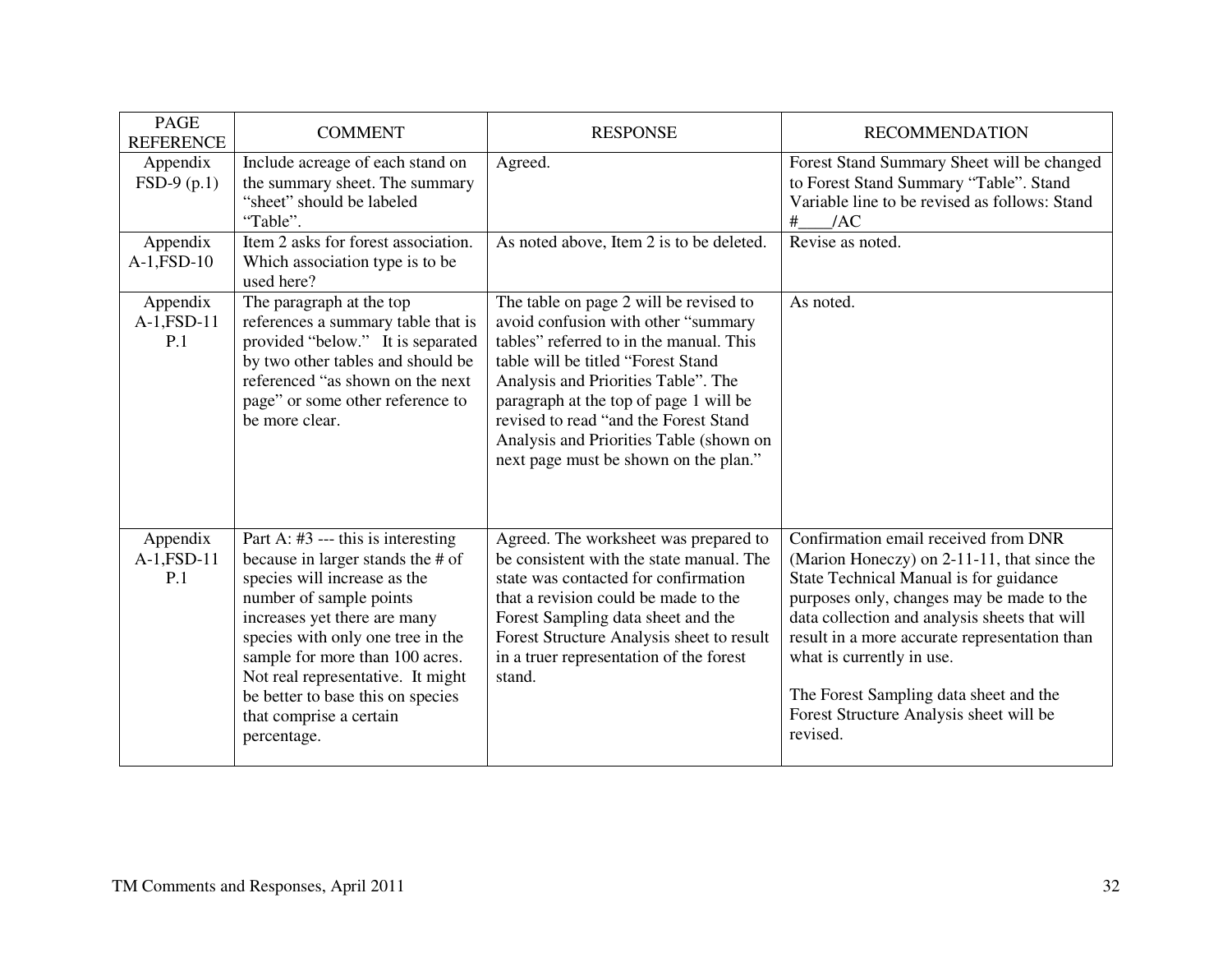| <b>PAGE</b><br><b>REFERENCE</b>     | <b>COMMENT</b>                                                                                                                                                                                                                                                                                                                                                   | <b>RESPONSE</b>                                                                                                                                                                                                                                                                                                                                                               | <b>RECOMMENDATION</b>                                                                                                                                                                                                                                                                                                                                                                                      |
|-------------------------------------|------------------------------------------------------------------------------------------------------------------------------------------------------------------------------------------------------------------------------------------------------------------------------------------------------------------------------------------------------------------|-------------------------------------------------------------------------------------------------------------------------------------------------------------------------------------------------------------------------------------------------------------------------------------------------------------------------------------------------------------------------------|------------------------------------------------------------------------------------------------------------------------------------------------------------------------------------------------------------------------------------------------------------------------------------------------------------------------------------------------------------------------------------------------------------|
| Appendix<br>$FSD-9(p.1)$            | Include acreage of each stand on<br>the summary sheet. The summary<br>"sheet" should be labeled<br>"Table".                                                                                                                                                                                                                                                      | Agreed.                                                                                                                                                                                                                                                                                                                                                                       | Forest Stand Summary Sheet will be changed<br>to Forest Stand Summary "Table". Stand<br>Variable line to be revised as follows: Stand<br>$#$ /AC                                                                                                                                                                                                                                                           |
| Appendix<br>$A-1$ , FSD-10          | Item 2 asks for forest association.<br>Which association type is to be<br>used here?                                                                                                                                                                                                                                                                             | As noted above, Item 2 is to be deleted.                                                                                                                                                                                                                                                                                                                                      | Revise as noted.                                                                                                                                                                                                                                                                                                                                                                                           |
| Appendix<br>$A-1$ , $FSD-11$<br>P.1 | The paragraph at the top<br>references a summary table that is<br>provided "below." It is separated<br>by two other tables and should be<br>referenced "as shown on the next<br>page" or some other reference to<br>be more clear.                                                                                                                               | The table on page 2 will be revised to<br>avoid confusion with other "summary<br>tables" referred to in the manual. This<br>table will be titled "Forest Stand<br>Analysis and Priorities Table". The<br>paragraph at the top of page 1 will be<br>revised to read "and the Forest Stand"<br>Analysis and Priorities Table (shown on<br>next page must be shown on the plan." | As noted.                                                                                                                                                                                                                                                                                                                                                                                                  |
| Appendix<br>$A-1$ , $FSD-11$<br>P.1 | Part A: $#3$ --- this is interesting<br>because in larger stands the # of<br>species will increase as the<br>number of sample points<br>increases yet there are many<br>species with only one tree in the<br>sample for more than 100 acres.<br>Not real representative. It might<br>be better to base this on species<br>that comprise a certain<br>percentage. | Agreed. The worksheet was prepared to<br>be consistent with the state manual. The<br>state was contacted for confirmation<br>that a revision could be made to the<br>Forest Sampling data sheet and the<br>Forest Structure Analysis sheet to result<br>in a truer representation of the forest<br>stand.                                                                     | Confirmation email received from DNR<br>(Marion Honeczy) on 2-11-11, that since the<br>State Technical Manual is for guidance<br>purposes only, changes may be made to the<br>data collection and analysis sheets that will<br>result in a more accurate representation than<br>what is currently in use.<br>The Forest Sampling data sheet and the<br>Forest Structure Analysis sheet will be<br>revised. |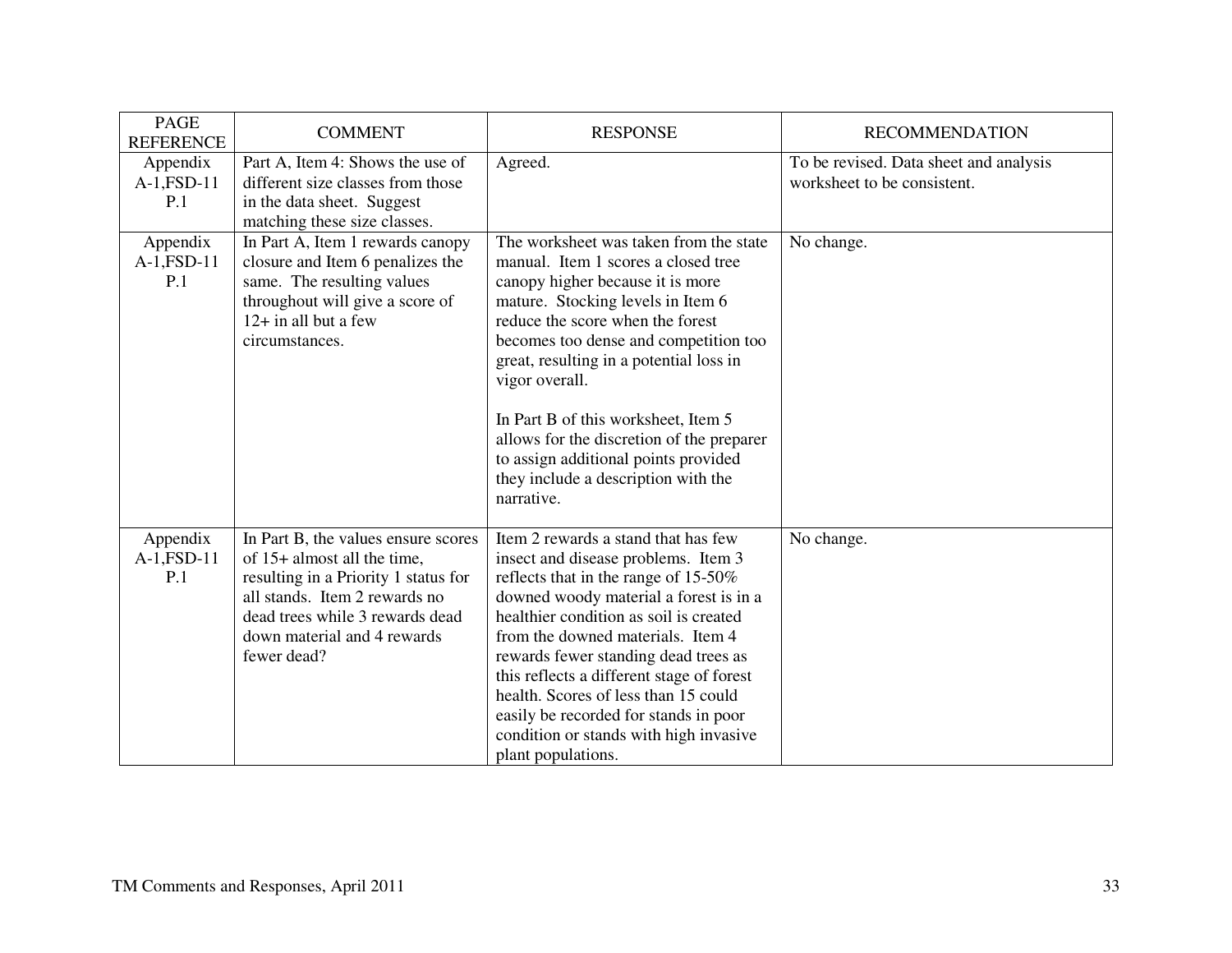| PAGE<br><b>REFERENCE</b>            | <b>COMMENT</b>                                                                                                                                                                                                               | <b>RESPONSE</b>                                                                                                                                                                                                                                                                                                                                                                                                                                                                      | <b>RECOMMENDATION</b>                                                 |
|-------------------------------------|------------------------------------------------------------------------------------------------------------------------------------------------------------------------------------------------------------------------------|--------------------------------------------------------------------------------------------------------------------------------------------------------------------------------------------------------------------------------------------------------------------------------------------------------------------------------------------------------------------------------------------------------------------------------------------------------------------------------------|-----------------------------------------------------------------------|
| Appendix<br>$A-1$ , $FSD-11$<br>P.1 | Part A, Item 4: Shows the use of<br>different size classes from those<br>in the data sheet. Suggest<br>matching these size classes.                                                                                          | Agreed.                                                                                                                                                                                                                                                                                                                                                                                                                                                                              | To be revised. Data sheet and analysis<br>worksheet to be consistent. |
| Appendix<br>$A-1$ , $FSD-11$<br>P.1 | In Part A, Item 1 rewards canopy<br>closure and Item 6 penalizes the<br>same. The resulting values<br>throughout will give a score of<br>$12+$ in all but a few<br>circumstances.                                            | The worksheet was taken from the state<br>manual. Item 1 scores a closed tree<br>canopy higher because it is more<br>mature. Stocking levels in Item 6<br>reduce the score when the forest<br>becomes too dense and competition too<br>great, resulting in a potential loss in<br>vigor overall.<br>In Part B of this worksheet, Item 5<br>allows for the discretion of the preparer<br>to assign additional points provided<br>they include a description with the<br>narrative.    | No change.                                                            |
| Appendix<br>$A-1$ , $FSD-11$<br>P.1 | In Part B, the values ensure scores<br>of 15+ almost all the time,<br>resulting in a Priority 1 status for<br>all stands. Item 2 rewards no<br>dead trees while 3 rewards dead<br>down material and 4 rewards<br>fewer dead? | Item 2 rewards a stand that has few<br>insect and disease problems. Item 3<br>reflects that in the range of $15-50\%$<br>downed woody material a forest is in a<br>healthier condition as soil is created<br>from the downed materials. Item 4<br>rewards fewer standing dead trees as<br>this reflects a different stage of forest<br>health. Scores of less than 15 could<br>easily be recorded for stands in poor<br>condition or stands with high invasive<br>plant populations. | No change.                                                            |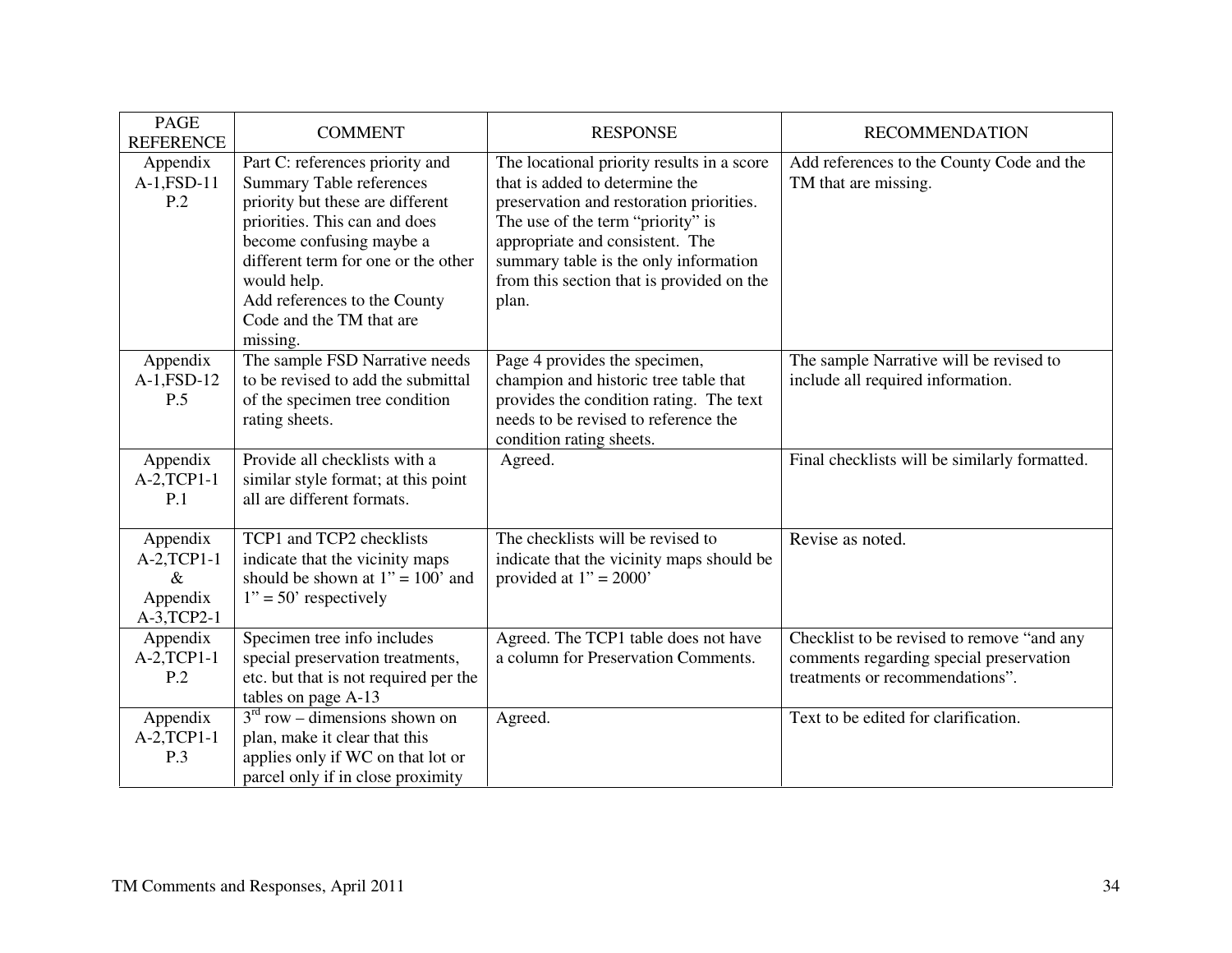| <b>PAGE</b><br><b>REFERENCE</b>                              | <b>COMMENT</b>                                                                                                                                                                                                                                                                                    | <b>RESPONSE</b>                                                                                                                                                                                                                                                                                 | <b>RECOMMENDATION</b>                                                                                                    |
|--------------------------------------------------------------|---------------------------------------------------------------------------------------------------------------------------------------------------------------------------------------------------------------------------------------------------------------------------------------------------|-------------------------------------------------------------------------------------------------------------------------------------------------------------------------------------------------------------------------------------------------------------------------------------------------|--------------------------------------------------------------------------------------------------------------------------|
| Appendix<br>$A-1$ , $FSD-11$<br>P.2                          | Part C: references priority and<br><b>Summary Table references</b><br>priority but these are different<br>priorities. This can and does<br>become confusing maybe a<br>different term for one or the other<br>would help.<br>Add references to the County<br>Code and the TM that are<br>missing. | The locational priority results in a score<br>that is added to determine the<br>preservation and restoration priorities.<br>The use of the term "priority" is<br>appropriate and consistent. The<br>summary table is the only information<br>from this section that is provided on the<br>plan. | Add references to the County Code and the<br>TM that are missing.                                                        |
| Appendix<br>$A-1$ , $FSD-12$<br>P.5                          | The sample FSD Narrative needs<br>to be revised to add the submittal<br>of the specimen tree condition<br>rating sheets.                                                                                                                                                                          | Page 4 provides the specimen,<br>champion and historic tree table that<br>provides the condition rating. The text<br>needs to be revised to reference the<br>condition rating sheets.                                                                                                           | The sample Narrative will be revised to<br>include all required information.                                             |
| Appendix<br>$A-2, TCP1-1$<br>P.1                             | Provide all checklists with a<br>similar style format; at this point<br>all are different formats.                                                                                                                                                                                                | Agreed.                                                                                                                                                                                                                                                                                         | Final checklists will be similarly formatted.                                                                            |
| Appendix<br>$A-2, TCP1-1$<br>$\&$<br>Appendix<br>A-3, TCP2-1 | TCP1 and TCP2 checklists<br>indicate that the vicinity maps<br>should be shown at $1" = 100'$ and<br>$1" = 50'$ respectively                                                                                                                                                                      | The checklists will be revised to<br>indicate that the vicinity maps should be<br>provided at $1" = 2000"$                                                                                                                                                                                      | Revise as noted.                                                                                                         |
| Appendix<br>$A-2, TCP1-1$<br>P.2                             | Specimen tree info includes<br>special preservation treatments,<br>etc. but that is not required per the<br>tables on page A-13                                                                                                                                                                   | Agreed. The TCP1 table does not have<br>a column for Preservation Comments.                                                                                                                                                                                                                     | Checklist to be revised to remove "and any<br>comments regarding special preservation<br>treatments or recommendations". |
| Appendix<br>$A-2, TCP1-1$<br>P.3                             | $3rd$ row – dimensions shown on<br>plan, make it clear that this<br>applies only if WC on that lot or<br>parcel only if in close proximity                                                                                                                                                        | Agreed.                                                                                                                                                                                                                                                                                         | Text to be edited for clarification.                                                                                     |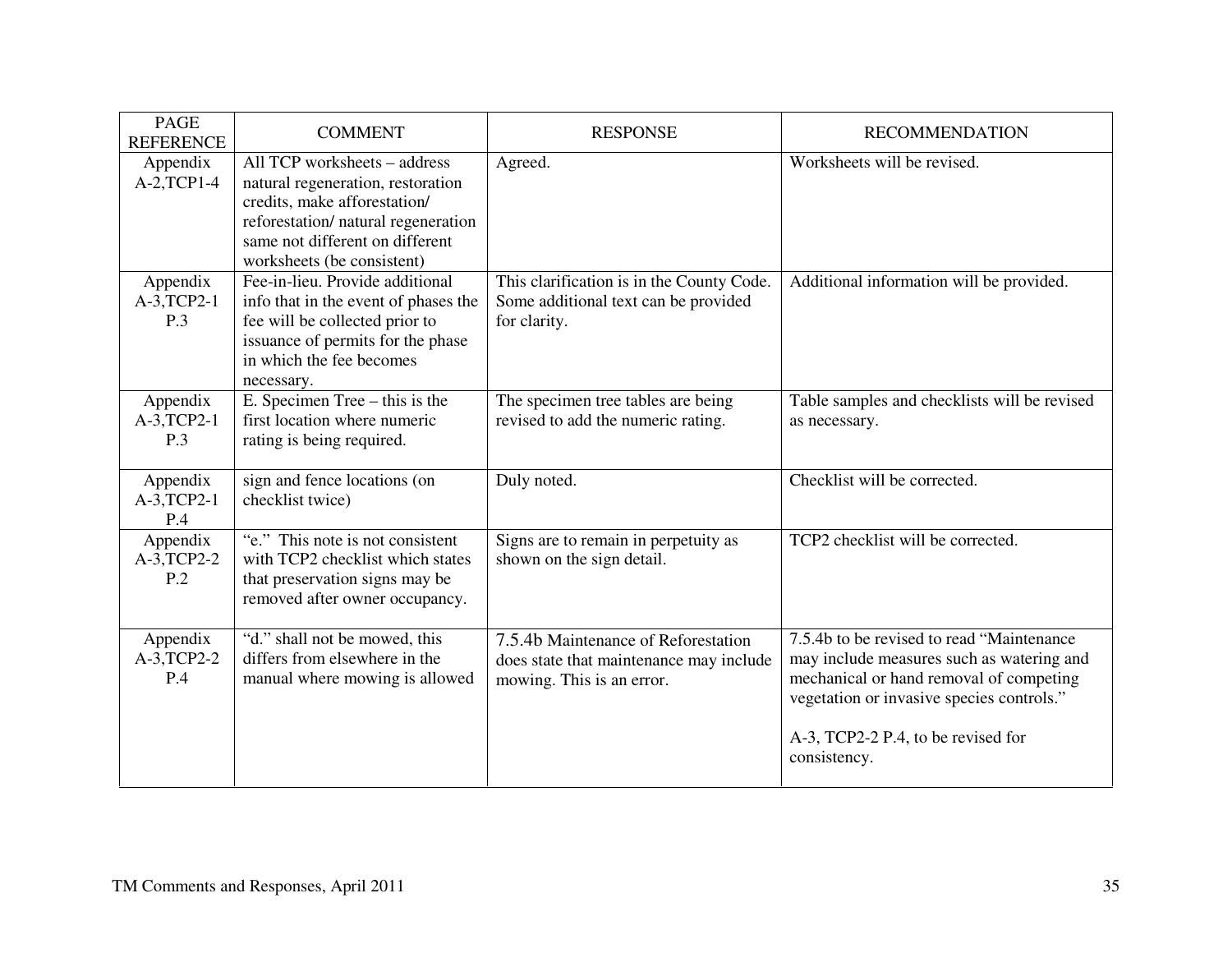| <b>PAGE</b><br><b>REFERENCE</b>   | <b>COMMENT</b>                                                                                                                                                                                           | <b>RESPONSE</b>                                                                                             | <b>RECOMMENDATION</b>                                                                                                                                                                                                                 |
|-----------------------------------|----------------------------------------------------------------------------------------------------------------------------------------------------------------------------------------------------------|-------------------------------------------------------------------------------------------------------------|---------------------------------------------------------------------------------------------------------------------------------------------------------------------------------------------------------------------------------------|
| Appendix<br>$A-2, TCP1-4$         | All TCP worksheets - address<br>natural regeneration, restoration<br>credits, make afforestation/<br>reforestation/natural regeneration<br>same not different on different<br>worksheets (be consistent) | Agreed.                                                                                                     | Worksheets will be revised.                                                                                                                                                                                                           |
| Appendix<br>A-3, TCP2-1<br>P.3    | Fee-in-lieu. Provide additional<br>info that in the event of phases the<br>fee will be collected prior to<br>issuance of permits for the phase<br>in which the fee becomes<br>necessary.                 | This clarification is in the County Code.<br>Some additional text can be provided<br>for clarity.           | Additional information will be provided.                                                                                                                                                                                              |
| Appendix<br>$A-3, TCP2-1$<br>P.3  | E. Specimen Tree $-$ this is the<br>first location where numeric<br>rating is being required.                                                                                                            | The specimen tree tables are being<br>revised to add the numeric rating.                                    | Table samples and checklists will be revised<br>as necessary.                                                                                                                                                                         |
| Appendix<br>$A-3$ , TCP2-1<br>P.4 | sign and fence locations (on<br>checklist twice)                                                                                                                                                         | Duly noted.                                                                                                 | Checklist will be corrected.                                                                                                                                                                                                          |
| Appendix<br>A-3, TCP2-2<br>P.2    | "e." This note is not consistent<br>with TCP2 checklist which states<br>that preservation signs may be<br>removed after owner occupancy.                                                                 | Signs are to remain in perpetuity as<br>shown on the sign detail.                                           | TCP2 checklist will be corrected.                                                                                                                                                                                                     |
| Appendix<br>A-3, TCP2-2<br>P.4    | "d." shall not be mowed, this<br>differs from elsewhere in the<br>manual where mowing is allowed                                                                                                         | 7.5.4b Maintenance of Reforestation<br>does state that maintenance may include<br>mowing. This is an error. | 7.5.4b to be revised to read "Maintenance"<br>may include measures such as watering and<br>mechanical or hand removal of competing<br>vegetation or invasive species controls."<br>A-3, TCP2-2 P.4, to be revised for<br>consistency. |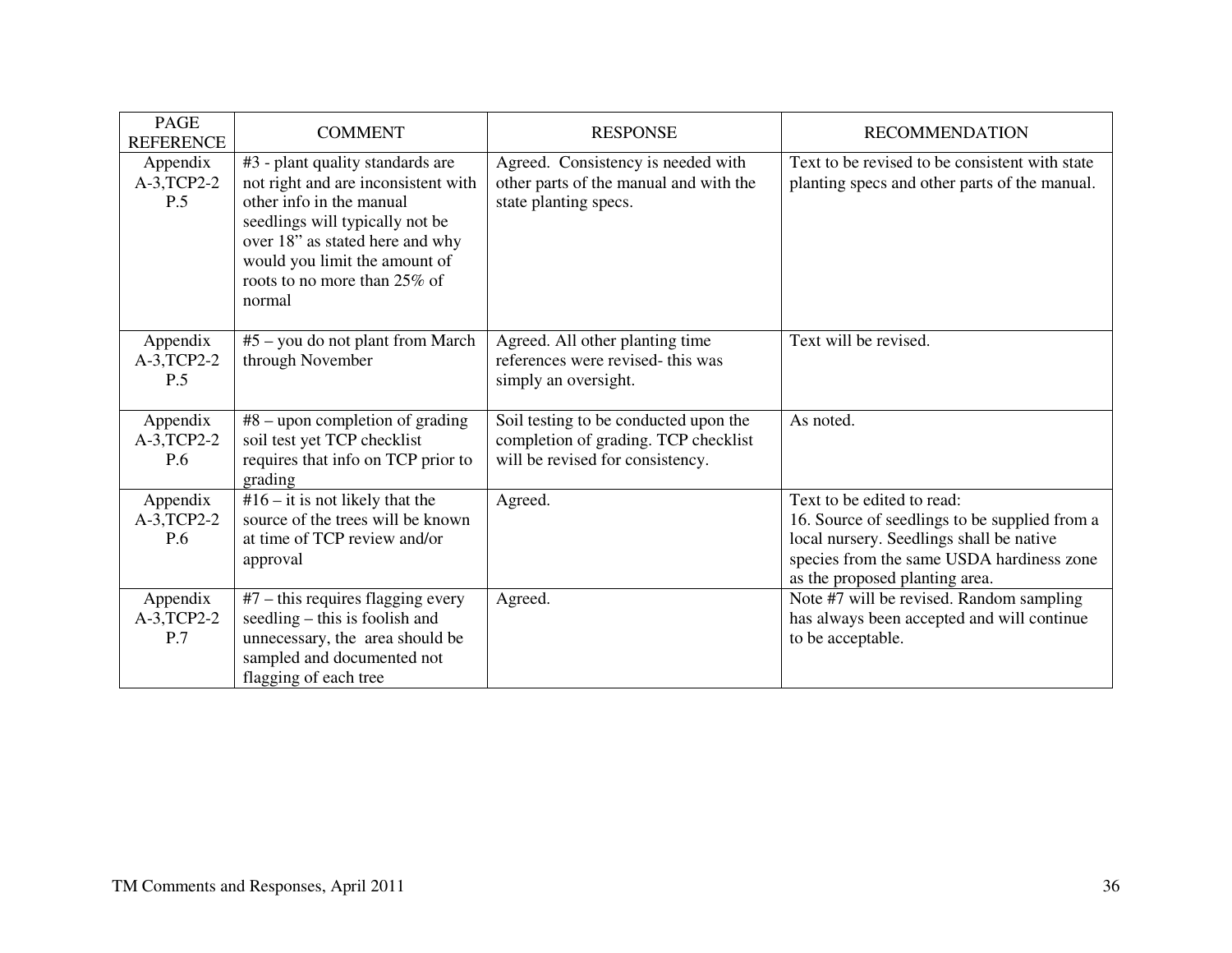| <b>PAGE</b><br><b>REFERENCE</b>   | <b>COMMENT</b>                                                                                                                                                                                                                                       | <b>RESPONSE</b>                                                                                                   | <b>RECOMMENDATION</b>                                                                                                                                                                                  |
|-----------------------------------|------------------------------------------------------------------------------------------------------------------------------------------------------------------------------------------------------------------------------------------------------|-------------------------------------------------------------------------------------------------------------------|--------------------------------------------------------------------------------------------------------------------------------------------------------------------------------------------------------|
| Appendix<br>A-3, TCP2-2<br>P.5    | #3 - plant quality standards are<br>not right and are inconsistent with<br>other info in the manual<br>seedlings will typically not be<br>over 18" as stated here and why<br>would you limit the amount of<br>roots to no more than 25% of<br>normal | Agreed. Consistency is needed with<br>other parts of the manual and with the<br>state planting specs.             | Text to be revised to be consistent with state<br>planting specs and other parts of the manual.                                                                                                        |
| Appendix<br>A-3, TCP2-2<br>P.5    | #5 - you do not plant from March<br>through November                                                                                                                                                                                                 | Agreed. All other planting time<br>references were revised-this was<br>simply an oversight.                       | Text will be revised.                                                                                                                                                                                  |
| Appendix<br>$A-3$ , TCP2-2<br>P.6 | $#8$ – upon completion of grading<br>soil test yet TCP checklist<br>requires that info on TCP prior to<br>grading                                                                                                                                    | Soil testing to be conducted upon the<br>completion of grading. TCP checklist<br>will be revised for consistency. | As noted.                                                                                                                                                                                              |
| Appendix<br>A-3, TCP2-2<br>P.6    | $#16 - it$ is not likely that the<br>source of the trees will be known<br>at time of TCP review and/or<br>approval                                                                                                                                   | Agreed.                                                                                                           | Text to be edited to read:<br>16. Source of seedlings to be supplied from a<br>local nursery. Seedlings shall be native<br>species from the same USDA hardiness zone<br>as the proposed planting area. |
| Appendix<br>A-3, TCP2-2<br>P.7    | $#7$ – this requires flagging every<br>seedling – this is foolish and<br>unnecessary, the area should be<br>sampled and documented not<br>flagging of each tree                                                                                      | Agreed.                                                                                                           | Note #7 will be revised. Random sampling<br>has always been accepted and will continue<br>to be acceptable.                                                                                            |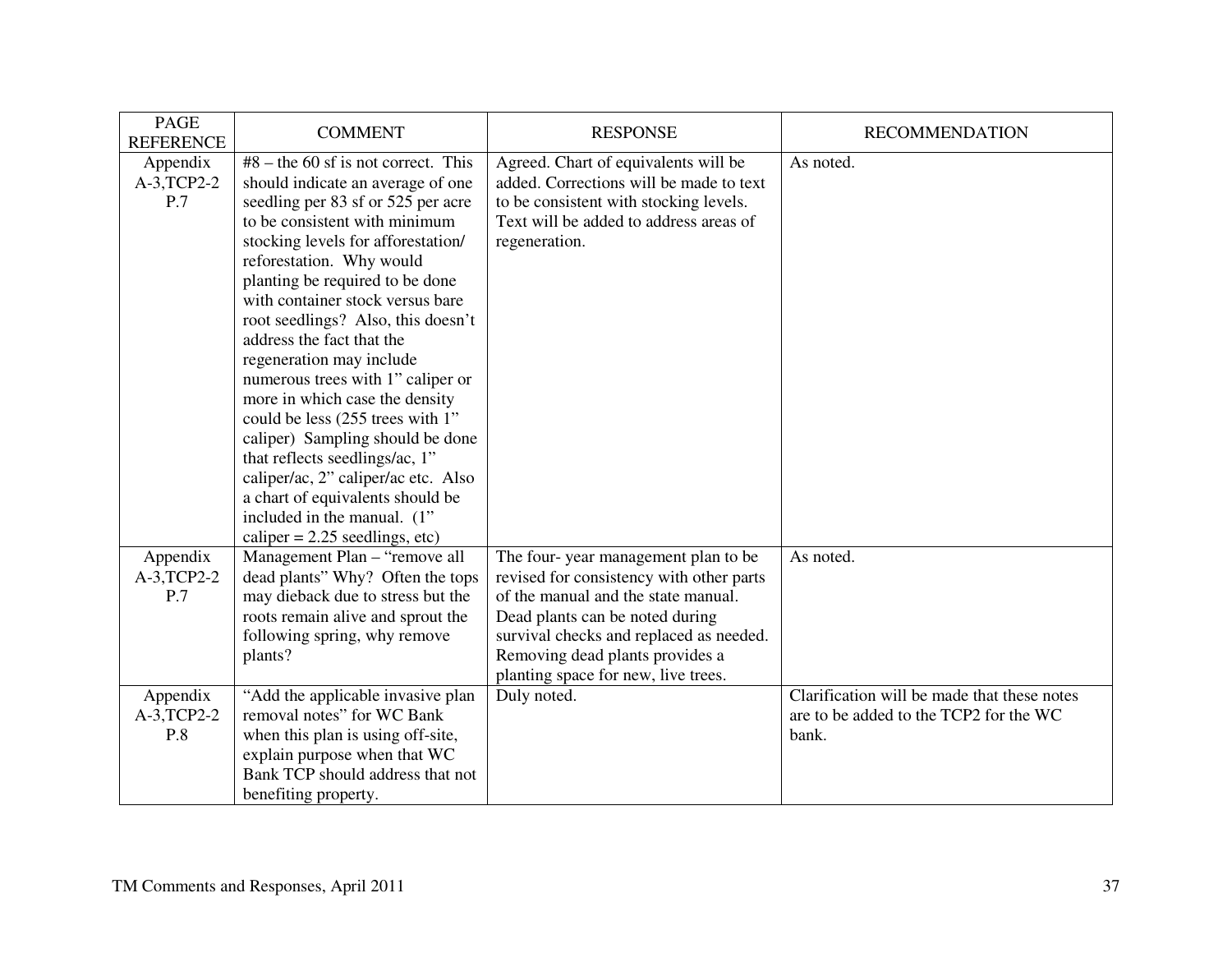| PAGE<br><b>REFERENCE</b>       | <b>COMMENT</b>                                                                                                                                                                                                                                                                                                                                                                                                                                                                                                                                                                                                                                                                                                           | <b>RESPONSE</b>                                                                                                                                                                                                                                                                | <b>RECOMMENDATION</b>                                                                          |
|--------------------------------|--------------------------------------------------------------------------------------------------------------------------------------------------------------------------------------------------------------------------------------------------------------------------------------------------------------------------------------------------------------------------------------------------------------------------------------------------------------------------------------------------------------------------------------------------------------------------------------------------------------------------------------------------------------------------------------------------------------------------|--------------------------------------------------------------------------------------------------------------------------------------------------------------------------------------------------------------------------------------------------------------------------------|------------------------------------------------------------------------------------------------|
| Appendix<br>A-3, TCP2-2<br>P.7 | $#8$ – the 60 sf is not correct. This<br>should indicate an average of one<br>seedling per 83 sf or 525 per acre<br>to be consistent with minimum<br>stocking levels for afforestation/<br>reforestation. Why would<br>planting be required to be done<br>with container stock versus bare<br>root seedlings? Also, this doesn't<br>address the fact that the<br>regeneration may include<br>numerous trees with 1" caliper or<br>more in which case the density<br>could be less (255 trees with 1"<br>caliper) Sampling should be done<br>that reflects seedlings/ac, 1"<br>caliper/ac, 2" caliper/ac etc. Also<br>a chart of equivalents should be<br>included in the manual. (1"<br>caliper = $2.25$ seedlings, etc) | Agreed. Chart of equivalents will be<br>added. Corrections will be made to text<br>to be consistent with stocking levels.<br>Text will be added to address areas of<br>regeneration.                                                                                           | As noted.                                                                                      |
| Appendix<br>A-3, TCP2-2<br>P.7 | Management Plan - "remove all<br>dead plants" Why? Often the tops<br>may dieback due to stress but the<br>roots remain alive and sprout the<br>following spring, why remove<br>plants?                                                                                                                                                                                                                                                                                                                                                                                                                                                                                                                                   | The four-year management plan to be<br>revised for consistency with other parts<br>of the manual and the state manual.<br>Dead plants can be noted during<br>survival checks and replaced as needed.<br>Removing dead plants provides a<br>planting space for new, live trees. | As noted.                                                                                      |
| Appendix<br>A-3, TCP2-2<br>P.8 | "Add the applicable invasive plan<br>removal notes" for WC Bank<br>when this plan is using off-site,<br>explain purpose when that WC<br>Bank TCP should address that not<br>benefiting property.                                                                                                                                                                                                                                                                                                                                                                                                                                                                                                                         | Duly noted.                                                                                                                                                                                                                                                                    | Clarification will be made that these notes<br>are to be added to the TCP2 for the WC<br>bank. |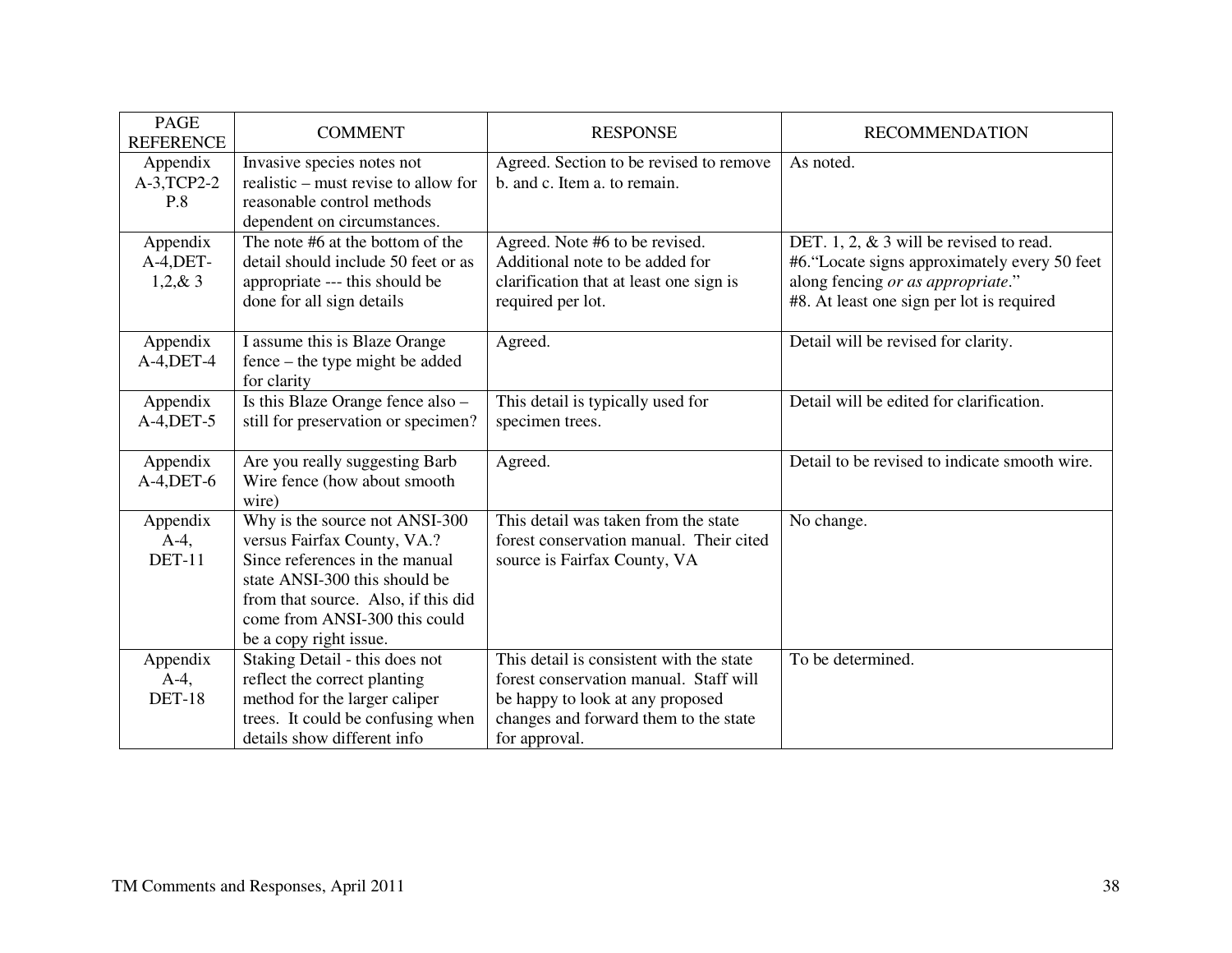| <b>PAGE</b><br><b>REFERENCE</b>      | <b>COMMENT</b>                                                                                                                                                                                                                     | <b>RESPONSE</b>                                                                                                                                                                  | <b>RECOMMENDATION</b>                                                                                                                                                        |
|--------------------------------------|------------------------------------------------------------------------------------------------------------------------------------------------------------------------------------------------------------------------------------|----------------------------------------------------------------------------------------------------------------------------------------------------------------------------------|------------------------------------------------------------------------------------------------------------------------------------------------------------------------------|
| Appendix<br>A-3, TCP2-2<br>P.8       | Invasive species notes not<br>realistic – must revise to allow for<br>reasonable control methods<br>dependent on circumstances.                                                                                                    | Agreed. Section to be revised to remove<br>b. and c. Item a. to remain.                                                                                                          | As noted.                                                                                                                                                                    |
| Appendix<br>$A-4,$ DET-<br>1,2,8,3   | The note #6 at the bottom of the<br>detail should include 50 feet or as<br>appropriate --- this should be<br>done for all sign details                                                                                             | Agreed. Note #6 to be revised.<br>Additional note to be added for<br>clarification that at least one sign is<br>required per lot.                                                | DET. 1, 2, $&$ 3 will be revised to read.<br>#6. "Locate signs approximately every 50 feet<br>along fencing or as appropriate."<br>#8. At least one sign per lot is required |
| Appendix<br>$A-4, DET-4$             | I assume this is Blaze Orange<br>fence – the type might be added<br>for clarity                                                                                                                                                    | Agreed.                                                                                                                                                                          | Detail will be revised for clarity.                                                                                                                                          |
| Appendix<br>$A-4,$ DET $-5$          | Is this Blaze Orange fence also -<br>still for preservation or specimen?                                                                                                                                                           | This detail is typically used for<br>specimen trees.                                                                                                                             | Detail will be edited for clarification.                                                                                                                                     |
| Appendix<br>$A-4,$ DET-6             | Are you really suggesting Barb<br>Wire fence (how about smooth<br>wire)                                                                                                                                                            | Agreed.                                                                                                                                                                          | Detail to be revised to indicate smooth wire.                                                                                                                                |
| Appendix<br>$A-4$ ,<br><b>DET-11</b> | Why is the source not ANSI-300<br>versus Fairfax County, VA.?<br>Since references in the manual<br>state ANSI-300 this should be<br>from that source. Also, if this did<br>come from ANSI-300 this could<br>be a copy right issue. | This detail was taken from the state<br>forest conservation manual. Their cited<br>source is Fairfax County, VA                                                                  | No change.                                                                                                                                                                   |
| Appendix<br>$A-4$ ,<br><b>DET-18</b> | Staking Detail - this does not<br>reflect the correct planting<br>method for the larger caliper<br>trees. It could be confusing when<br>details show different info                                                                | This detail is consistent with the state<br>forest conservation manual. Staff will<br>be happy to look at any proposed<br>changes and forward them to the state<br>for approval. | To be determined.                                                                                                                                                            |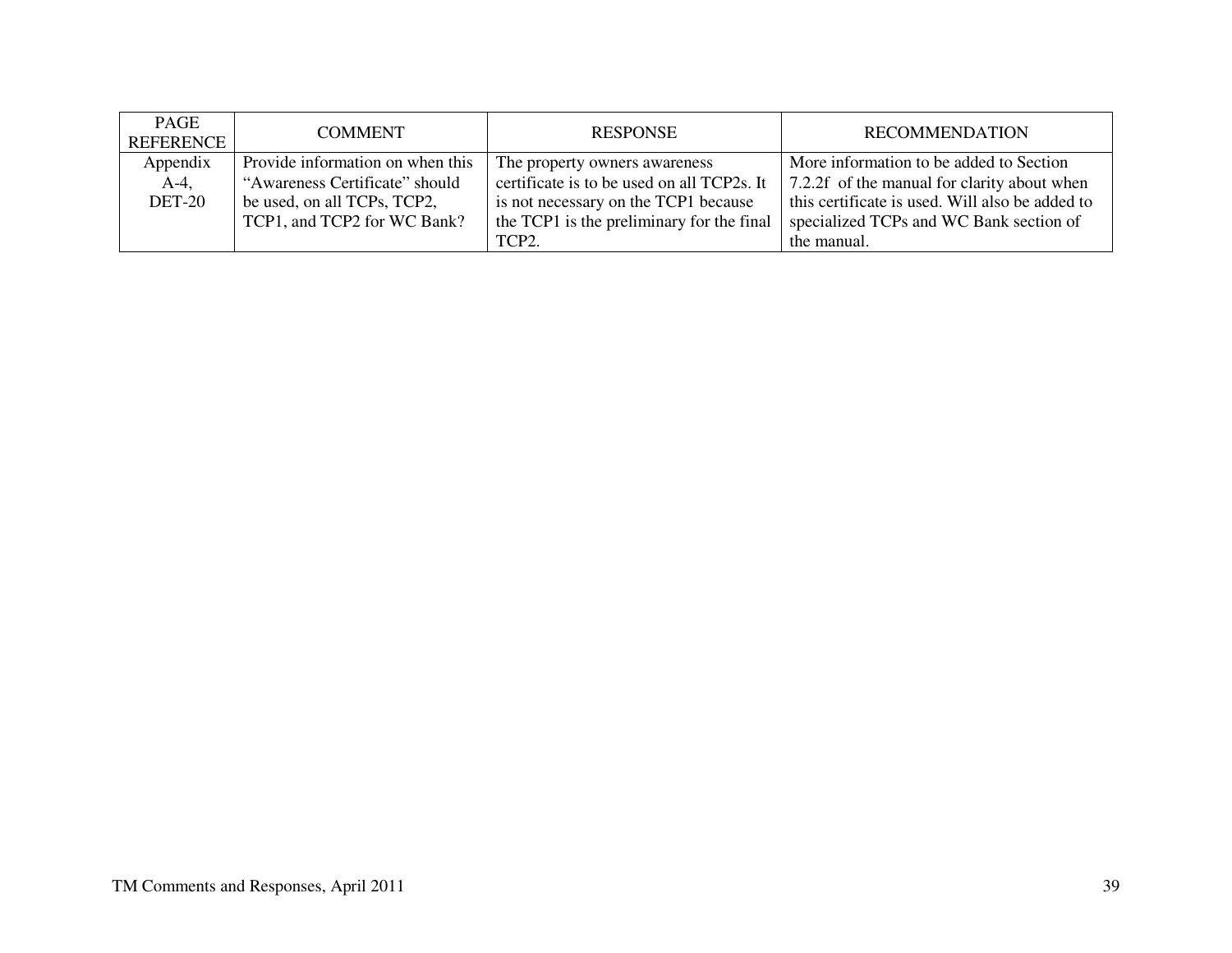| PAGE<br><b>REFERENCE</b> | <b>COMMENT</b>                   | <b>RESPONSE</b>                            | <b>RECOMMENDATION</b>                           |
|--------------------------|----------------------------------|--------------------------------------------|-------------------------------------------------|
| Appendix                 | Provide information on when this | The property owners awareness              | More information to be added to Section         |
| $A-4$ ,                  | "Awareness Certificate" should   | certificate is to be used on all TCP2s. It | 7.2.2f of the manual for clarity about when     |
| <b>DET-20</b>            | be used, on all TCPs, TCP2,      | is not necessary on the TCP1 because       | this certificate is used. Will also be added to |
|                          | TCP1, and TCP2 for WC Bank?      | the TCP1 is the preliminary for the final  | specialized TCPs and WC Bank section of         |
|                          |                                  | TCP2.                                      | the manual.                                     |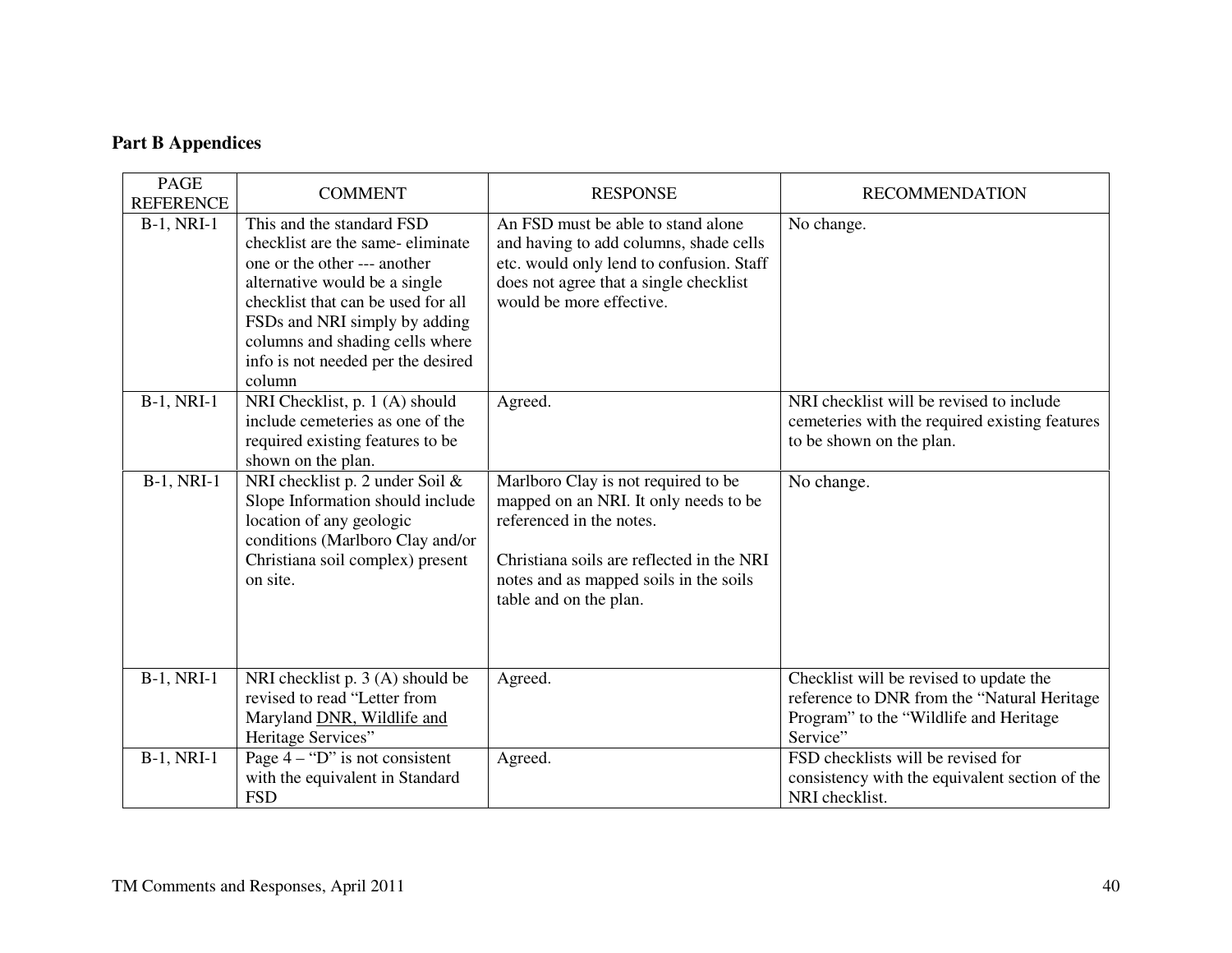# **Part B Appendices**

| <b>PAGE</b><br><b>REFERENCE</b> | <b>COMMENT</b>                                                                                                                                                                                                                                                                           | <b>RESPONSE</b>                                                                                                                                                                                                           | <b>RECOMMENDATION</b>                                                                                                                        |
|---------------------------------|------------------------------------------------------------------------------------------------------------------------------------------------------------------------------------------------------------------------------------------------------------------------------------------|---------------------------------------------------------------------------------------------------------------------------------------------------------------------------------------------------------------------------|----------------------------------------------------------------------------------------------------------------------------------------------|
| <b>B-1, NRI-1</b>               | This and the standard FSD<br>checklist are the same-eliminate<br>one or the other --- another<br>alternative would be a single<br>checklist that can be used for all<br>FSDs and NRI simply by adding<br>columns and shading cells where<br>info is not needed per the desired<br>column | An FSD must be able to stand alone<br>and having to add columns, shade cells<br>etc. would only lend to confusion. Staff<br>does not agree that a single checklist<br>would be more effective.                            | No change.                                                                                                                                   |
| <b>B-1, NRI-1</b>               | NRI Checklist, p. 1 (A) should<br>include cemeteries as one of the<br>required existing features to be<br>shown on the plan.                                                                                                                                                             | Agreed.                                                                                                                                                                                                                   | NRI checklist will be revised to include<br>cemeteries with the required existing features<br>to be shown on the plan.                       |
| <b>B-1, NRI-1</b>               | NRI checklist p. 2 under Soil &<br>Slope Information should include<br>location of any geologic<br>conditions (Marlboro Clay and/or<br>Christiana soil complex) present<br>on site.                                                                                                      | Marlboro Clay is not required to be<br>mapped on an NRI. It only needs to be<br>referenced in the notes.<br>Christiana soils are reflected in the NRI<br>notes and as mapped soils in the soils<br>table and on the plan. | No change.                                                                                                                                   |
| <b>B-1, NRI-1</b>               | NRI checklist p. 3 (A) should be<br>revised to read "Letter from<br>Maryland DNR, Wildlife and<br>Heritage Services"                                                                                                                                                                     | Agreed.                                                                                                                                                                                                                   | Checklist will be revised to update the<br>reference to DNR from the "Natural Heritage<br>Program" to the "Wildlife and Heritage<br>Service" |
| <b>B-1, NRI-1</b>               | Page $4 - "D"$ is not consistent<br>with the equivalent in Standard<br><b>FSD</b>                                                                                                                                                                                                        | Agreed.                                                                                                                                                                                                                   | FSD checklists will be revised for<br>consistency with the equivalent section of the<br>NRI checklist.                                       |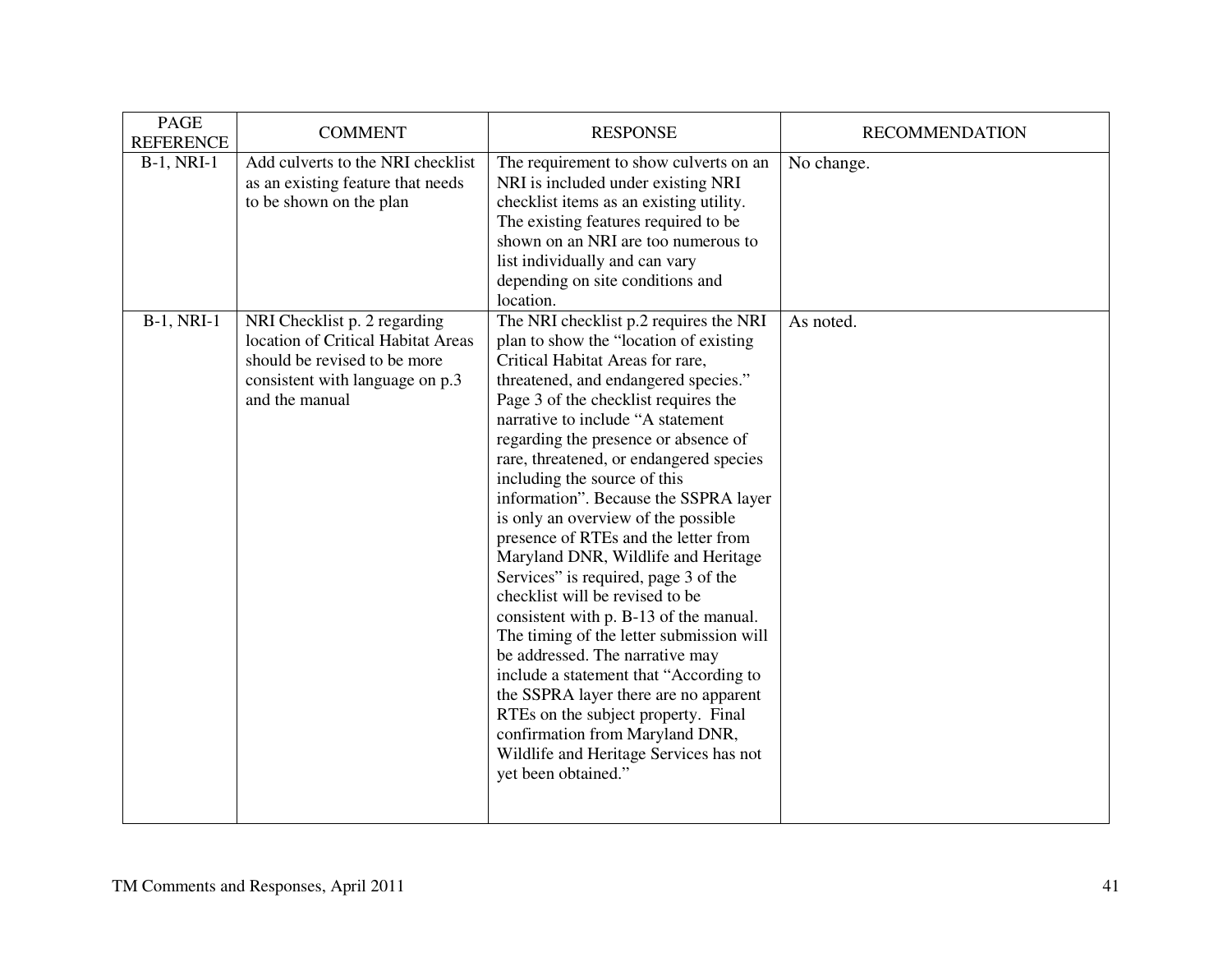| <b>PAGE</b><br><b>REFERENCE</b> | <b>COMMENT</b>                                                                                                                                          | <b>RESPONSE</b>                                                                                                                                                                                                                                                                                                                                                                                                                                                                                                                                                                                                                                                                                                                                                                                                                                                                                                                                                | <b>RECOMMENDATION</b> |
|---------------------------------|---------------------------------------------------------------------------------------------------------------------------------------------------------|----------------------------------------------------------------------------------------------------------------------------------------------------------------------------------------------------------------------------------------------------------------------------------------------------------------------------------------------------------------------------------------------------------------------------------------------------------------------------------------------------------------------------------------------------------------------------------------------------------------------------------------------------------------------------------------------------------------------------------------------------------------------------------------------------------------------------------------------------------------------------------------------------------------------------------------------------------------|-----------------------|
| <b>B-1, NRI-1</b>               | Add culverts to the NRI checklist<br>as an existing feature that needs<br>to be shown on the plan                                                       | The requirement to show culverts on an<br>NRI is included under existing NRI<br>checklist items as an existing utility.<br>The existing features required to be<br>shown on an NRI are too numerous to<br>list individually and can vary<br>depending on site conditions and<br>location.                                                                                                                                                                                                                                                                                                                                                                                                                                                                                                                                                                                                                                                                      | No change.            |
| <b>B-1, NRI-1</b>               | NRI Checklist p. 2 regarding<br>location of Critical Habitat Areas<br>should be revised to be more<br>consistent with language on p.3<br>and the manual | The NRI checklist p.2 requires the NRI<br>plan to show the "location of existing"<br>Critical Habitat Areas for rare,<br>threatened, and endangered species."<br>Page 3 of the checklist requires the<br>narrative to include "A statement<br>regarding the presence or absence of<br>rare, threatened, or endangered species<br>including the source of this<br>information". Because the SSPRA layer<br>is only an overview of the possible<br>presence of RTEs and the letter from<br>Maryland DNR, Wildlife and Heritage<br>Services" is required, page 3 of the<br>checklist will be revised to be<br>consistent with p. B-13 of the manual.<br>The timing of the letter submission will<br>be addressed. The narrative may<br>include a statement that "According to<br>the SSPRA layer there are no apparent<br>RTEs on the subject property. Final<br>confirmation from Maryland DNR,<br>Wildlife and Heritage Services has not<br>yet been obtained." | As noted.             |